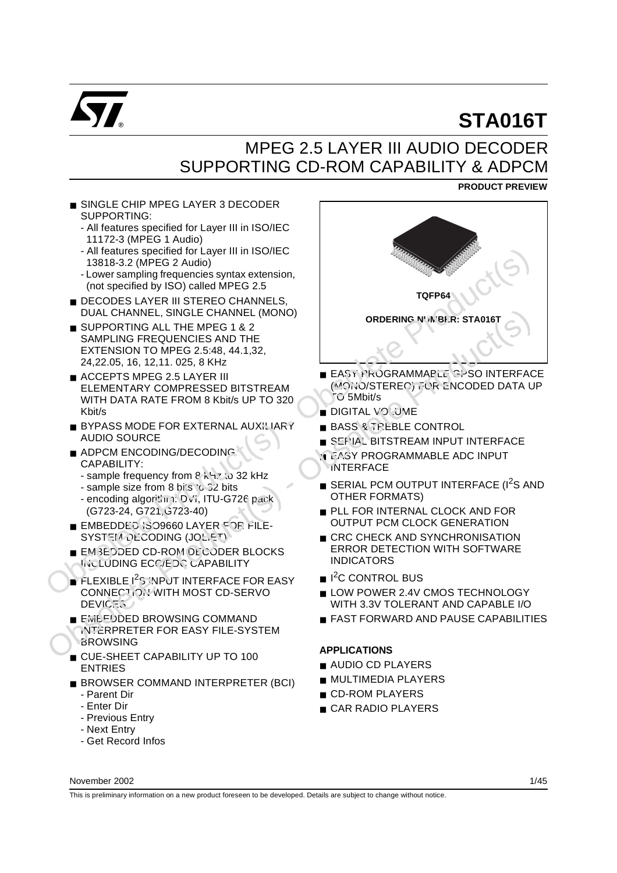

**PRODUCT PREVIEW**

# MPEG 2.5 LAYER III AUDIO DECODER SUPPORTING CD-ROM CAPABILITY & ADPCM

■ SINGLE CHIP MPEG LAYER 3 DECODER SUPPORTING:

- All features specified for Layer III in ISO/IEC 11172-3 (MPEG 1 Audio)
- All features specified for Layer III in ISO/IEC 13818-3.2 (MPEG 2 Audio)
- Lower sampling frequencies syntax extension, (not specified by ISO) called MPEG 2.5
- DECODES LAYER III STEREO CHANNELS, DUAL CHANNEL, SINGLE CHANNEL (MONO)
- SUPPORTING ALL THE MPEG 1 & 2 SAMPLING FREQUENCIES AND THE EXTENSION TO MPEG 2.5:48, 44.1,32, 24,22.05, 16, 12,11. 025, 8 KHz
- ACCEPTS MPEG 2.5 LAYER III ELEMENTARY COMPRESSED BITSTREAM WITH DATA RATE FROM 8 Kbit/s UP TO 320 Kbit/s
- **BYPASS MODE FOR EXTERNAL AUXILIARY** AUDIO SOURCE
- ADPCM ENCODING/DECODING CAPABILITY:
	- sample frequency from 8 kHz to 32 kHz
	- sample size from 8 bi's to 32 bits
	- encoding algorithm: Dvi, ITU-G726 pack (G723-24, G721,G723-40)
- EMBEDDED 'SO9660 LAYER FOR FILE-SYSTEM DECODING (JOLIET)
- EMBEDDED CD-ROM DECODER BLOCKS INCLUDING ECC/EDC CAPABILITY
- **FLEXIBLE 1<sup>2</sup>S INPUT INTERFACE FOR EASY** CONNECTION WITH MOST CD-SERVO **DEVICES**
- EMEFDDED BROWSING COMMAND INTERPRETER FOR EASY FILE-SYSTEM **BROWSING**
- CUE-SHEET CAPABILITY UP TO 100 ENTRIES
- BROWSER COMMAND INTERPRETER (BCI)
	- Parent Dir
	- Enter Dir
	- Previous Entry
	- Next Entry
	- Get Record Infos



- EASY PROGRAMMABLE GPSO INTERFACE (MONO/STEREO) FOR ENCODED DATA UP TO 5Mbit/s
- DIGITAL VOLUME
- BASS & TREBLE CONTROL
- **BITSTREAM INPUT INTERFACE**
- **TEASY PROGRAMMABLE ADC INPUT INTERFACE**
- **B** SERIAL PCM OUTPUT INTERFACE (I<sup>2</sup>S AND OTHER FORMATS)
- PLL FOR INTERNAL CLOCK AND FOR OUTPUT PCM CLOCK GENERATION
- CRC CHECK AND SYNCHRONISATION ERROR DETECTION WITH SOFTWARE INDICATORS
- I<sup>2</sup>C CONTROL BUS
- LOW POWER 2.4V CMOS TECHNOLOGY WITH 3.3V TOLERANT AND CAPABLE I/O
- FAST FORWARD AND PAUSE CAPABILITIES

## **APPLICATIONS**

- AUDIO CD PLAYERS
- MULTIMEDIA PLAYERS
- CD-ROM PLAYERS
- CAR RADIO PLAYERS

This is preliminary information on a new product foreseen to be developed. Details are subject to change without notice.

November 2002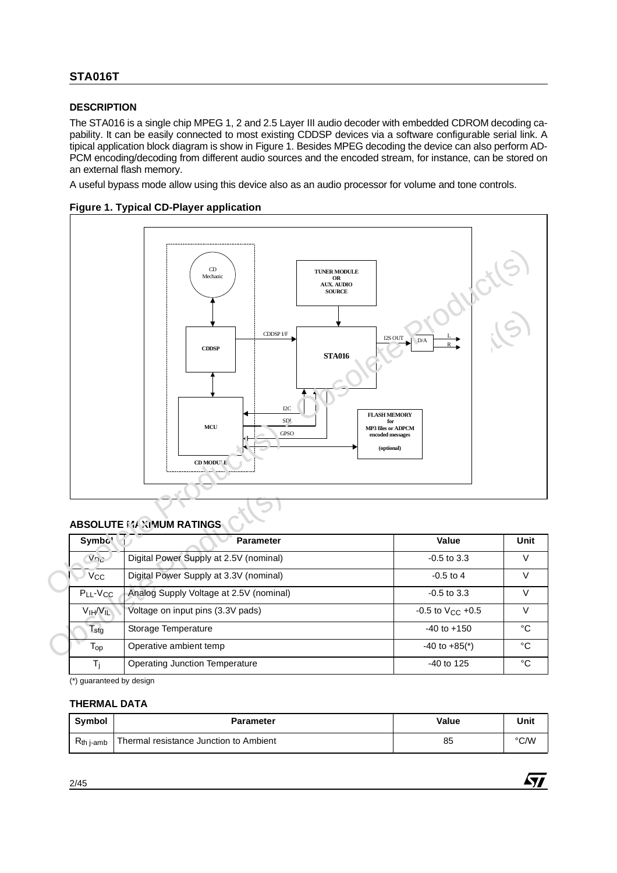## **DESCRIPTION**

The STA016 is a single chip MPEG 1, 2 and 2.5 Layer III audio decoder with embedded CDROM decoding capability. It can be easily connected to most existing CDDSP devices via a software configurable serial link. A tipical application block diagram is show in Figure 1. Besides MPEG decoding the device can also perform AD-PCM encoding/decoding from different audio sources and the encoded stream, for instance, can be stored on an external flash memory.

A useful bypass mode allow using this device also as an audio processor for volume and tone controls.

#### **Figure 1. Typical CD-Player application**



## **ABSOLUTE MAXIMUM RATINGS**

| Symbo'                            | <b>Parameter</b>                        | Value                         | Unit |
|-----------------------------------|-----------------------------------------|-------------------------------|------|
| $V_{D}$                           | Digital Power Supply at 2.5V (nominal)  | $-0.5$ to 3.3                 | V    |
| <b>V<sub>CC</sub></b>             | Digital Power Supply at 3.3V (nominal)  | $-0.5$ to 4                   | V    |
| $P_{LL}$ - $V_{CC}$               | Analog Supply Voltage at 2.5V (nominal) | $-0.5$ to 3.3                 | V    |
| V <sub>IH</sub> / V <sub>IL</sub> | Voltage on input pins (3.3V pads)       | $-0.5$ to $V_{C}$ +0.5        | V    |
| $T_{\text{stg}}$                  | Storage Temperature                     | $-40$ to $+150$               | °C   |
| $\mathsf{T_{op}}$                 | Operative ambient temp                  | $-40$ to $+85$ <sup>*</sup> ) | °C   |
| Тı                                | Operating Junction Temperature          | $-40$ to 125                  | °C   |

(\*) guaranteed by design

#### **THERMAL DATA**

| <b>Symbol</b>  | <b>Parameter</b>                       | Value | Unit |
|----------------|----------------------------------------|-------|------|
| $R_{th}$ j-amb | Thermal resistance Junction to Ambient | 85    | °C/W |

*ST*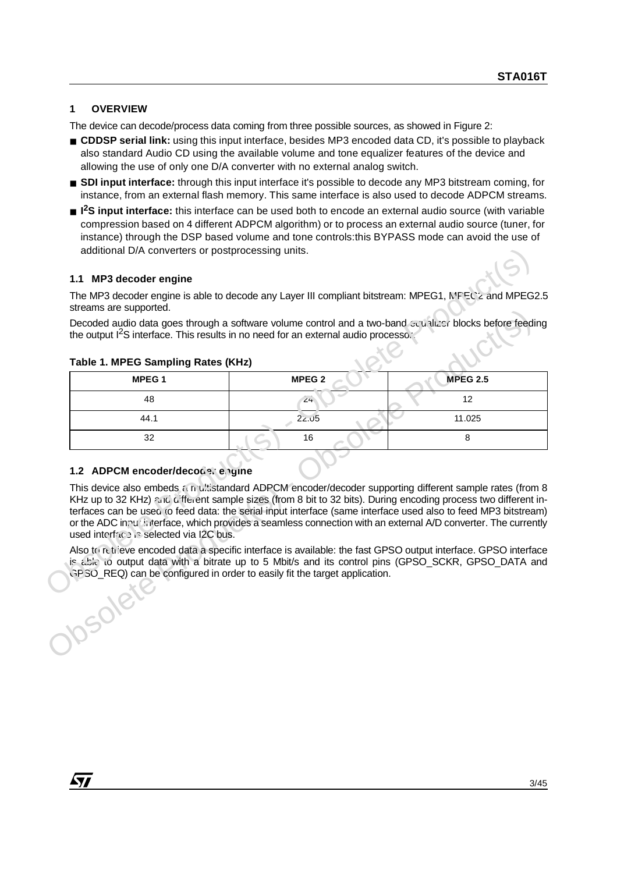## **1 OVERVIEW**

The device can decode/process data coming from three possible sources, as showed in Figure 2:

- **CDDSP serial link:** using this input interface, besides MP3 encoded data CD, it's possible to playback also standard Audio CD using the available volume and tone equalizer features of the device and allowing the use of only one D/A converter with no external analog switch.
- **SDI input interface:** through this input interface it's possible to decode any MP3 bitstream coming, for instance, from an external flash memory. This same interface is also used to decode ADPCM streams.
- <sup>12</sup>S input interface: this interface can be used both to encode an external audio source (with variable compression based on 4 different ADPCM algorithm) or to process an external audio source (tuner, for instance) through the DSP based volume and tone controls:this BYPASS mode can avoid the use of additional D/A converters or postprocessing units.

## **1.1 MP3 decoder engine**

| additional D/A converters or postprocessing units.                          |                                                                                                                                                                                                                                                                                                                                                                                                                                                                 |                 |
|-----------------------------------------------------------------------------|-----------------------------------------------------------------------------------------------------------------------------------------------------------------------------------------------------------------------------------------------------------------------------------------------------------------------------------------------------------------------------------------------------------------------------------------------------------------|-----------------|
| 1.1 MP3 decoder engine                                                      |                                                                                                                                                                                                                                                                                                                                                                                                                                                                 |                 |
| streams are supported.                                                      | The MP3 decoder engine is able to decode any Layer III compliant bitstream: MPEG1, N'FEC'2 and MPEG2.5                                                                                                                                                                                                                                                                                                                                                          |                 |
|                                                                             | Decoded audio data goes through a software volume control and a two-band seutilizer blocks before feeding<br>the output $1^2$ S interface. This results in no need for an external audio processo.                                                                                                                                                                                                                                                              |                 |
| Table 1. MPEG Sampling Rates (KHz)                                          |                                                                                                                                                                                                                                                                                                                                                                                                                                                                 |                 |
| MPEG <sub>1</sub>                                                           | MPEG <sub>2</sub>                                                                                                                                                                                                                                                                                                                                                                                                                                               | <b>MPEG 2.5</b> |
| 48                                                                          | 24                                                                                                                                                                                                                                                                                                                                                                                                                                                              | 12              |
| 44.1                                                                        | 2z.05                                                                                                                                                                                                                                                                                                                                                                                                                                                           | 11.025          |
| 32                                                                          | 16                                                                                                                                                                                                                                                                                                                                                                                                                                                              | 8               |
| 1.2 ADPCM encoder/decoder engine<br>used interface is selected via I2C bus. | This device also embeds an ultistandard ADPCM encoder/decoder supporting different sample rates (from 8<br>KHz up to 32 KHz) and different sample sizes (from 8 bit to 32 bits). During encoding process two different in-<br>terfaces can be used to feed data: the serial input interface (same interface used also to feed MP3 bitstream)<br>or the ADC inpul linterface, which provides a seamless connection with an external A/D converter. The currently |                 |
|                                                                             | Also to retrieve encoded data a specific interface is available: the fast GPSO output interface. GPSO interface<br>is able to output data with a bitrate up to 5 Mbit/s and its control pins (GPSO_SCKR, GPSO_DATA and<br>GPSO_REQ) can be configured in order to easily fit the target application.                                                                                                                                                            |                 |

#### **Table 1. MPEG Sampling Rates (KHz)**

## **1.2 ADPCM encoder/decoders engine**

*Ñ1*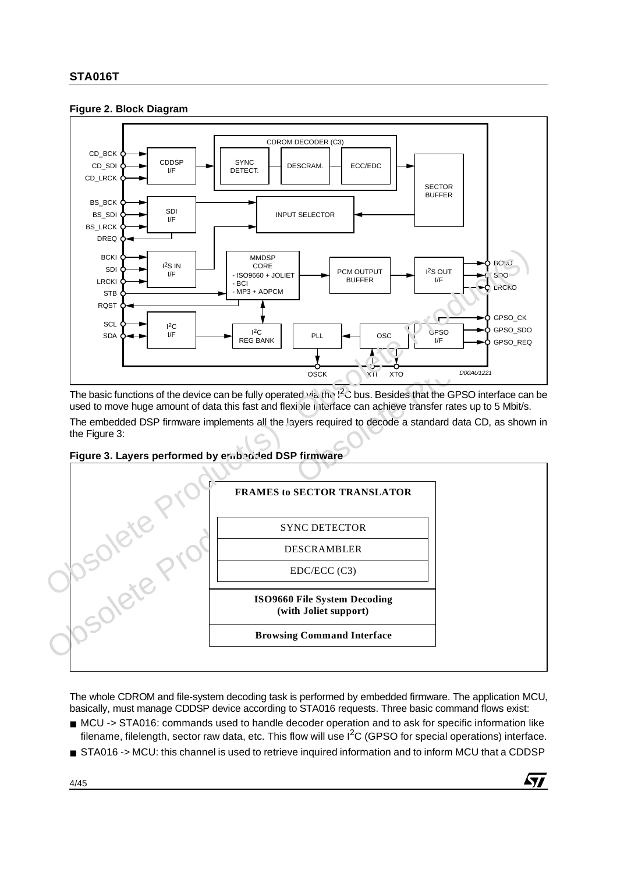## **Figure 2. Block Diagram**



The basic functions of the device can be fully operated via the  $I^2$  bus. Besides that the GPSO interface can be used to move huge amount of data this fast and flexible interface can achieve transfer rates up to 5 Mbit/s.

The embedded DSP firmware implements all the layers required to decode a standard data CD, as shown in the Figure 3:





The whole CDROM and file-system decoding task is performed by embedded firmware. The application MCU, basically, must manage CDDSP device according to STA016 requests. Three basic command flows exist:

- MCU -> STA016: commands used to handle decoder operation and to ask for specific information like filename, filelength, sector raw data, etc. This flow will use  $I<sup>2</sup>C$  (GPSO for special operations) interface.
- STA016 -> MCU: this channel is used to retrieve inquired information and to inform MCU that a CDDSP

57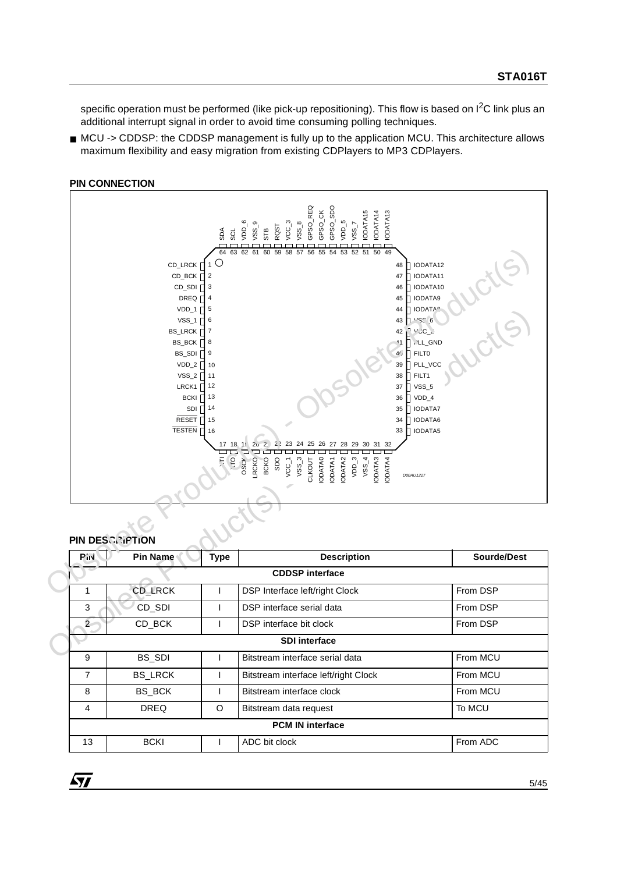specific operation must be performed (like pick-up repositioning). This flow is based on I<sup>2</sup>C link plus an additional interrupt signal in order to avoid time consuming polling techniques.

■ MCU -> CDDSP: the CDDSP management is fully up to the application MCU. This architecture allows maximum flexibility and easy migration from existing CDPlayers to MP3 CDPlayers.

#### **PIN CONNECTION**



## **PIN DESCRIPTION**

| <b>PM</b>              | <b>Pin Name</b> | Type | <b>Description</b>                   | <b>Sourde/Dest</b> |  |  |  |  |
|------------------------|-----------------|------|--------------------------------------|--------------------|--|--|--|--|
| <b>CDDSP</b> interface |                 |      |                                      |                    |  |  |  |  |
|                        | <b>CD LRCK</b>  |      | DSP Interface left/right Clock       | From DSP           |  |  |  |  |
| 3                      | CD_SDI          |      | DSP interface serial data            | From DSP           |  |  |  |  |
| $\overline{2}$         | CD BCK          |      | DSP interface bit clock              | From DSP           |  |  |  |  |
|                        |                 |      | <b>SDI</b> interface                 |                    |  |  |  |  |
| 9                      | BS SDI          |      | Bitstream interface serial data      | From MCU           |  |  |  |  |
| $\overline{7}$         | <b>BS LRCK</b>  |      | Bitstream interface left/right Clock | From MCU           |  |  |  |  |
| 8                      | BS BCK          |      | Bitstream interface clock            | From MCU           |  |  |  |  |
| 4<br><b>DREQ</b>       |                 | O    | Bitstream data request               | To MCU             |  |  |  |  |
|                        |                 |      | <b>PCM IN interface</b>              |                    |  |  |  |  |
| 13                     | <b>BCKI</b>     |      | ADC bit clock                        | From ADC           |  |  |  |  |

 $\sqrt{27}$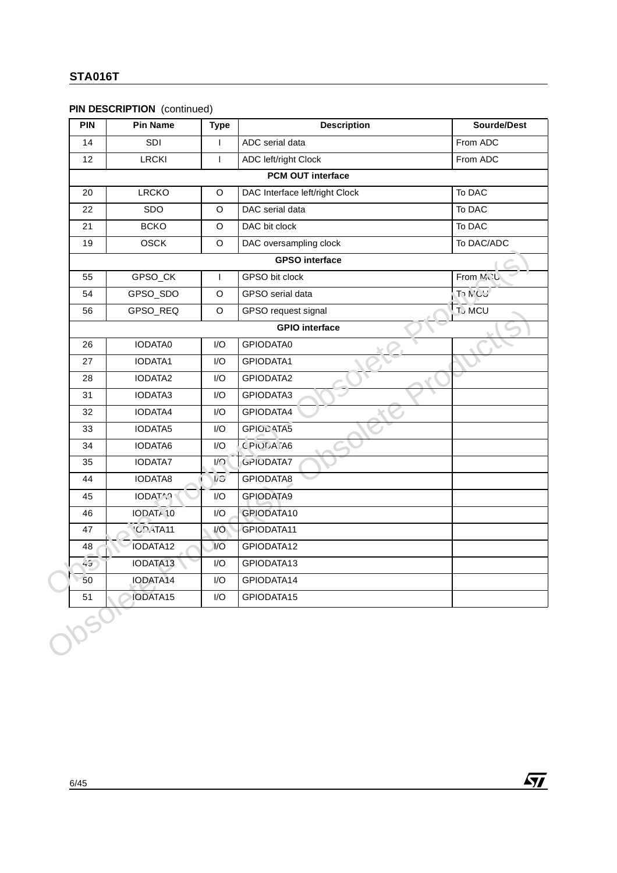# **PIN DESCRIPTION** (continued)

| <b>PIN</b> | <b>Pin Name</b> | <b>Type</b>             | <b>Description</b>             | Sourde/Dest    |
|------------|-----------------|-------------------------|--------------------------------|----------------|
| 14         | SDI             | $\mathsf{I}$            | ADC serial data                | From ADC       |
| 12         | <b>LRCKI</b>    | $\mathbf{I}$            | <b>ADC left/right Clock</b>    | From ADC       |
|            |                 |                         | PCM OUT interface              |                |
| 20         | <b>LRCKO</b>    | $\circ$                 | DAC Interface left/right Clock | To DAC         |
| 22         | <b>SDO</b>      | O                       | DAC serial data                | To DAC         |
| 21         | <b>BCKO</b>     | O                       | DAC bit clock                  | To DAC         |
| 19         | <b>OSCK</b>     | O                       | DAC oversampling clock         | To DAC/ADC     |
|            |                 |                         | <b>GPSO</b> interface          |                |
| 55         | GPSO_CK         | T                       | GPSO bit clock                 | From MCU       |
| 54         | GPSO_SDO        | O                       | GPSO serial data               | To MCU         |
| 56         | GPSO_REQ        | O                       | GPSO request signal            | <b>T</b> , MCU |
|            |                 |                         | <b>GPIO</b> interface          |                |
| 26         | <b>IODATA0</b>  | I/O                     | GPIODATA0                      |                |
| 27         | IODATA1         | I/O                     | GPIODATA1                      |                |
| 28         | IODATA2         | I/O                     | GPIODATA2                      |                |
| 31         | IODATA3         | I/O                     | GPIODATA3                      |                |
| 32         | IODATA4         | I/O                     | GPIODATA4                      |                |
| 33         | IODATA5         | 1/O                     | GPIOD ATA5                     |                |
| 34         | IODATA6         | I/O                     | <b>C PIOLA TA6</b>             |                |
| 35         | IODATA7         | $\mathsf{I}/\mathsf{O}$ | <b>GPIODATA7</b>               |                |
| 44         | IODATA8         | $\sqrt{2}$              | GPIODATA8                      |                |
| 45         | <b>IODATAR</b>  | I/O                     | GPIODATA9                      |                |
| 46         | IODATA10        | I/O                     | GPIODATA10                     |                |
| 47         | <b>'COATA11</b> | $\sqrt{O}$              | GPIODATA11                     |                |
| 48         | IODATA12        | $\mathsf{I}/\mathsf{O}$ | GPIODATA12                     |                |
| 45         | IODATA13        | I/O                     | GPIODATA13                     |                |
| 50         | IODATA14        | I/O                     | GPIODATA14                     |                |
| 51         | IODATA15        | I/O                     | GPIODATA15                     |                |

 $\sqrt{M}$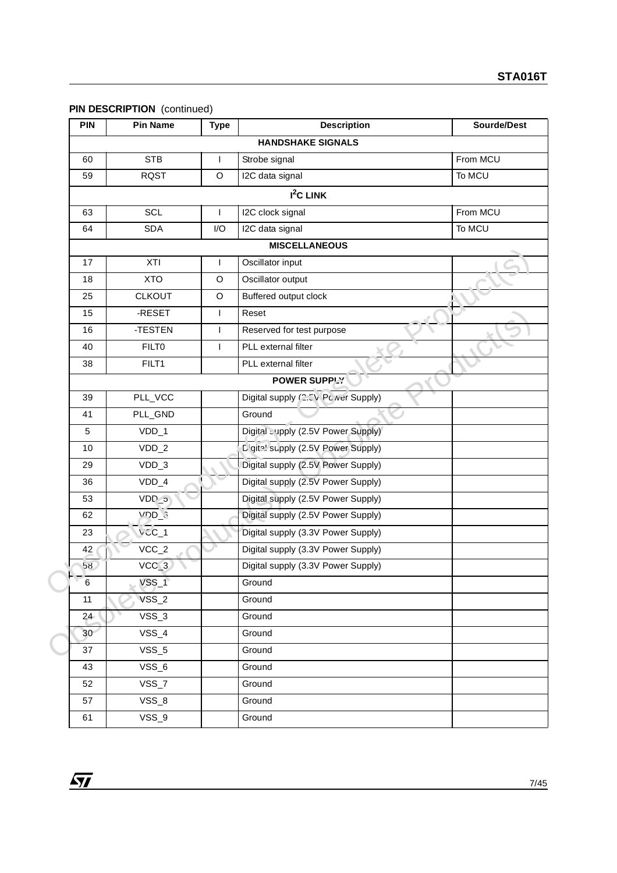# **PIN DESCRIPTION** (continued)

| <b>PIN</b> | <b>Pin Name</b>    | <b>Type</b> | <b>Description</b>                  | Sourde/Dest |
|------------|--------------------|-------------|-------------------------------------|-------------|
|            |                    |             | <b>HANDSHAKE SIGNALS</b>            |             |
| 60         | <b>STB</b>         |             | Strobe signal                       | From MCU    |
| 59         | <b>RQST</b>        | $\mathsf O$ | I2C data signal                     | To MCU      |
|            |                    |             | $I2C$ LINK                          |             |
| 63         | SCL                |             | I2C clock signal                    | From MCU    |
| 64         | <b>SDA</b>         | I/O         | I2C data signal                     | To MCU      |
|            |                    |             | <b>MISCELLANEOUS</b>                |             |
| 17         | XTI                | L           | Oscillator input                    |             |
| 18         | <b>XTO</b>         | $\mathsf O$ | Oscillator output                   |             |
| 25         | <b>CLKOUT</b>      | $\circ$     | Buffered output clock               |             |
| 15         | -RESET             | T           | Reset                               |             |
| 16         | -TESTEN            | I           | Reserved for test purpose           |             |
| 40         | <b>FILTO</b>       | ı           | PLL external filter                 |             |
| 38         | FILT1              |             | PLL external filter                 |             |
|            |                    |             | <b>POWER SUPPLY</b>                 |             |
| 39         | PLL_VCC            |             | Digital supply /2.5V Po wer Supply) |             |
| 41         | PLL_GND            |             | Ground                              |             |
| 5          | VDD_1              |             | Digital supply (2.5V Power Supply)  |             |
| 10         | $VDD_2$            |             | Digite! supply (2.5V Power Supply)  |             |
| 29         | $VDD_3$            |             | Digital supply (2.5V Power Supply)  |             |
| 36         | $VDD_4$            |             | Digital supply (2.5V Power Supply)  |             |
| 53         | VD <sub>P</sub> _o |             | Digital supply (2.5V Power Supply)  |             |
| 62         | VDD_C              |             | Digital supply (2.5V Power Supply)  |             |
| 23         | $VCC_1$            |             | Digital supply (3.3V Power Supply)  |             |
| 42         | $VCC_2$            |             | Digital supply (3.3V Power Supply)  |             |
| 5ጸጋ        | $VCC_3$            |             | Digital supply (3.3V Power Supply)  |             |
| 6          | $VSS_1$            |             | Ground                              |             |
| 11         | $VSS_2$            |             | Ground                              |             |
| 24         | $VSS_3$            |             | Ground                              |             |
| 30         | $VSS_4$            |             | Ground                              |             |
| 37         | $VSS_5$            |             | Ground                              |             |
| 43         | VSS_6              |             | Ground                              |             |
| 52         | $VSS_7$            |             | Ground                              |             |
| 57         | $VSS_8$            |             | Ground                              |             |
| 61         | $VSS_9$            |             | Ground                              |             |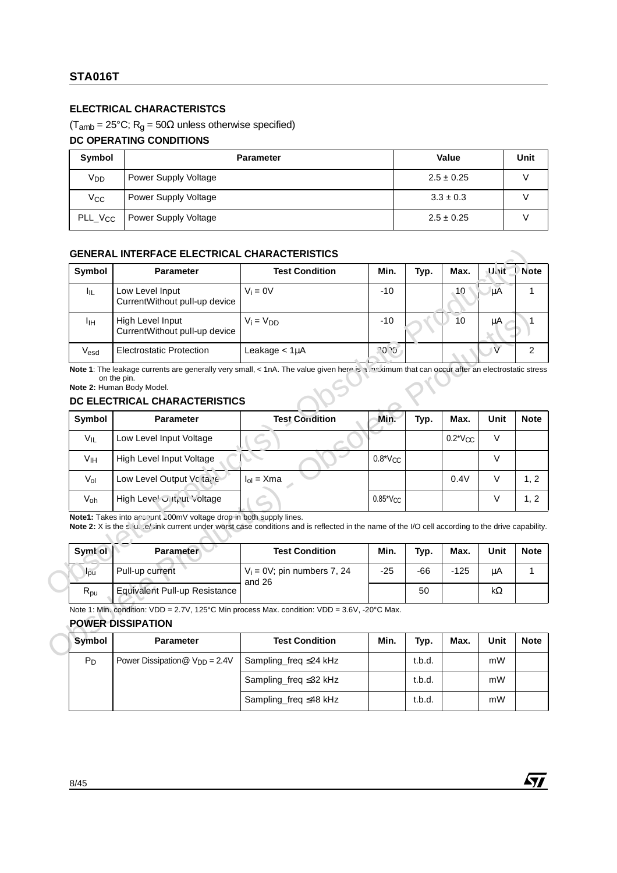## **ELECTRICAL CHARACTERISTCS**

#### $(T<sub>amb</sub> = 25°C; R<sub>g</sub> = 50 $\Omega$  unless otherwise specified)$

#### **DC OPERATING CONDITIONS**

| Symbol              | <b>Parameter</b>     | Value          | Unit |
|---------------------|----------------------|----------------|------|
| V <sub>DD</sub>     | Power Supply Voltage | $2.5 \pm 0.25$ |      |
| Vcc                 | Power Supply Voltage | $3.3 \pm 0.3$  |      |
| PLL_V <sub>CC</sub> | Power Supply Voltage | $2.5 \pm 0.25$ |      |

#### **GENERAL INTERFACE ELECTRICAL CHARACTERISTICS**

| Symbol           | <b>Parameter</b>                                  | <b>Test Condition</b> | Min.  | Typ. | Max. | Unit | <b>Note</b> |
|------------------|---------------------------------------------------|-----------------------|-------|------|------|------|-------------|
| ЩL               | Low Level Input<br>CurrentWithout pull-up device  | $V_i = 0V$            | $-10$ |      | 10   | μA   |             |
| ŀщ               | High Level Input<br>CurrentWithout pull-up device | $V_i = V_{DD}$        | $-10$ |      | 10   | μA   |             |
| V <sub>esd</sub> | <b>Electrostatic Protection</b>                   | Leakage < 1µA         | 20.25 |      |      |      |             |

#### **DC ELECTRICAL CHARACTERISTICS**

| Iщ.              | <b>Parameter</b>                                                                       | <b>Test Condition</b>                                                                                                                                                        | Min.         | Typ.  | Max.         | Unit           |
|------------------|----------------------------------------------------------------------------------------|------------------------------------------------------------------------------------------------------------------------------------------------------------------------------|--------------|-------|--------------|----------------|
|                  | Low Level Input<br>CurrentWithout pull-up device                                       | $V_i = 0V$                                                                                                                                                                   | $-10$        |       | 10           | μA             |
| Īщ               | High Level Input<br>CurrentWithout pull-up device                                      | $V_i = V_{DD}$                                                                                                                                                               | $-10$        |       | 10           | μA             |
| $V_{\text{esd}}$ | <b>Electrostatic Protection</b>                                                        | Leakage $<$ 1 $\mu$ A                                                                                                                                                        | 20.6         |       |              | $\overline{V}$ |
| Symbol           | Note 2: Human Body Model.<br>DC ELECTRICAL CHARACTERISTICS<br><b>Parameter</b>         | <b>Test Condition</b>                                                                                                                                                        | Min.         | Typ.  | Max.         | Unit           |
| $V_{IL}$         | Low Level Input Voltage                                                                |                                                                                                                                                                              |              |       | $0.2*V_{CC}$ | $\vee$         |
| V <sub>IH</sub>  | High Level Input Voltage                                                               |                                                                                                                                                                              | $0.8*V_{CC}$ |       |              | $\vee$         |
| $V_{ol}$         | Low Level Output Voltaye                                                               | $I_{ol}$ = Xma                                                                                                                                                               |              |       | 0.4V         | $\vee$         |
| Voh              | High Leve! Only ut Voltage                                                             |                                                                                                                                                                              | $0.85^*$ Vcc |       |              | $\vee$         |
| Symt ol          | Note1: Takes into arcount 200mV voltage drop in both supply lines.<br><b>Parameter</b> | Note 2: X is the strutt of link current under worst case conditions and is reflected in the name of the I/O cell according to the drive capability.<br><b>Test Condition</b> | Min.         | Typ.  | Max.         | Unit           |
|                  | Pull-up current                                                                        | $V_i = 0V$ ; pin numbers 7, 24<br>and 26                                                                                                                                     | $-25$        | $-66$ | $-125$       | μA             |
| lou              |                                                                                        |                                                                                                                                                                              |              |       |              |                |
| $R_{\text{pu}}$  | <b>Equivalent Pull-up Resistance</b>                                                   |                                                                                                                                                                              |              | 50    |              |                |
|                  | <b>POWER DISSIPATION</b>                                                               | Note 1: Min. condition: VDD = 2.7V, 125°C Min process Max. condition: VDD = 3.6V, -20°C Max.                                                                                 |              |       |              | $k\Omega$      |

| Symt of         | <b>Parameter</b>              | <b>Test Condition</b>                    | Min.  | Typ. | Max.   | Unit | <b>Note</b> |
|-----------------|-------------------------------|------------------------------------------|-------|------|--------|------|-------------|
| $I_{\text{pu}}$ | Pull-up current               | $V_i = 0V$ ; pin numbers 7, 24<br>and 26 | $-25$ | -66  | $-125$ | μA   |             |
| $R_{\text{pu}}$ | Equivalent Pull-up Resistance |                                          |       | 50   |        | kΩ   |             |

#### **POWER DISSIPATION**

| Symbol | <b>Parameter</b>                   | <b>Test Condition</b>       | Min. | Typ.   | Max. | Unit | <b>Note</b> |
|--------|------------------------------------|-----------------------------|------|--------|------|------|-------------|
| $P_D$  | Power Dissipation $@V_{DD} = 2.4V$ | Sampling freq $\leq$ 24 kHz |      | t.b.d. |      | mW   |             |
|        |                                    | Sampling_freq ≤32 kHz       |      | t.b.d. |      | mW   |             |
|        |                                    | Sampling freq $\leq$ 48 kHz |      | t.b.d. |      | mW   |             |

*ST*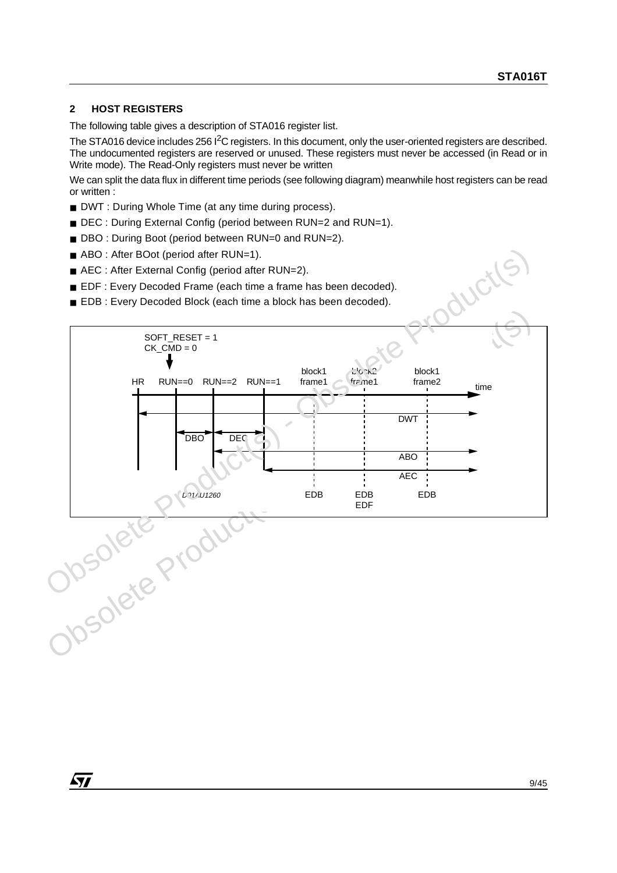## **2 HOST REGISTERS**

The following table gives a description of STA016 register list.

The STA016 device includes 256 <sup>2</sup>C registers. In this document, only the user-oriented registers are described. The undocumented registers are reserved or unused. These registers must never be accessed (in Read or in Write mode). The Read-Only registers must never be written

We can split the data flux in different time periods (see following diagram) meanwhile host registers can be read or written :

- DWT : During Whole Time (at any time during process).
- DEC : During External Config (period between RUN=2 and RUN=1).
- DBO : During Boot (period between RUN=0 and RUN=2).
- ABO : After BOot (period after RUN=1).
- AEC : After External Config (period after RUN=2).
- EDF : Every Decoded Frame (each time a frame has been decoded).
- EDB : Every Decoded Block (each time a block has been decoded).

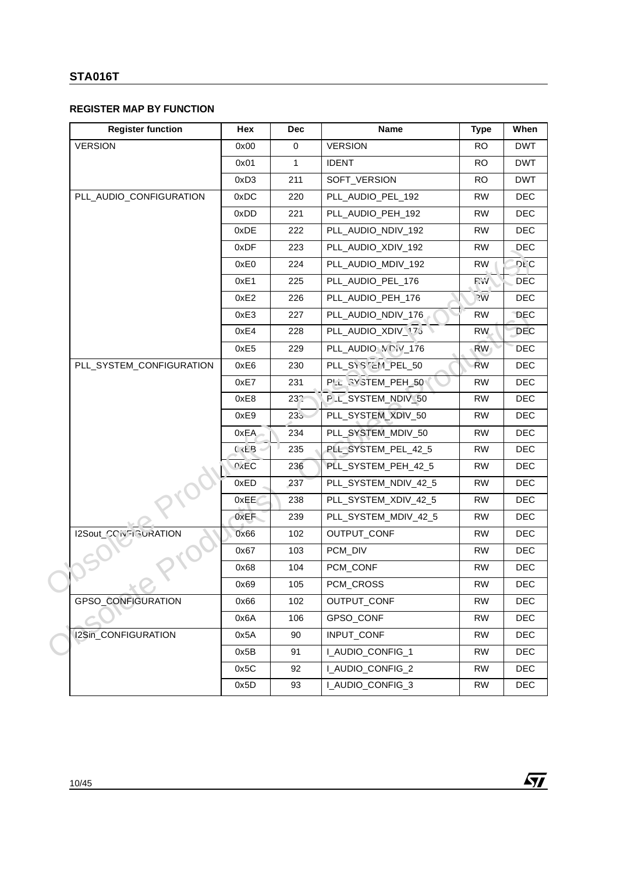# **REGISTER MAP BY FUNCTION**

| <b>Register function</b> | Hex               | <b>Dec</b>   | Name                   | <b>Type</b>          | When           |
|--------------------------|-------------------|--------------|------------------------|----------------------|----------------|
| <b>VERSION</b>           | 0x00              | $\mathsf 0$  | <b>VERSION</b>         | <b>RO</b>            | <b>DWT</b>     |
|                          | 0x01              | $\mathbf{1}$ | <b>IDENT</b>           | <b>RO</b>            | <b>DWT</b>     |
|                          | 0xD3              | 211          | SOFT_VERSION           | <b>RO</b>            | <b>DWT</b>     |
| PLL_AUDIO_CONFIGURATION  | 0xDC              | 220          | PLL_AUDIO_PEL_192      | <b>RW</b>            | <b>DEC</b>     |
|                          | 0xDD              | 221          | PLL_AUDIO_PEH_192      | <b>RW</b>            | <b>DEC</b>     |
|                          | 0xDE              | 222          | PLL_AUDIO_NDIV_192     | <b>RW</b>            | <b>DEC</b>     |
|                          | 0xDF              | 223          | PLL_AUDIO_XDIV_192     | <b>RW</b>            | <b>DEC</b>     |
|                          | 0xE0              | 224          | PLL_AUDIO_MDIV_192     | <b>RW</b>            | <b>DLC</b>     |
|                          | 0xE1              | 225          | PLL_AUDIO_PEL_176      | P.V                  | DEC            |
|                          | 0xE2              | 226          | PLL_AUDIO_PEH_176      | $\gamma_{\text{VV}}$ | <b>DEC</b>     |
|                          | 0xE3              | 227          | PLL_AUDIO_NDIV_176     | <b>RW</b>            | <b>DEC</b>     |
|                          | 0xE4              | 228          | PLL_AUDIO_XDIV_173     | <b>RW</b>            | DEC            |
|                          | 0xE5              | 229          | PLL_AUDIO_VOW_176      | <b>RW</b>            | <b>DEC</b>     |
| PLL_SYSTEM_CONFIGURATION | 0xE6              | 230          | PLL SYSTEM PEL 50      | <b>RW</b>            | <b>DEC</b>     |
|                          | 0xE7              | 231          | PLL SYSTEM_PEH_50      | <b>RW</b>            | <b>DEC</b>     |
|                          | 0xE8              | $23^\circ$   | PLL_SYSTEM_NDIV_50     | <b>RW</b>            | <b>DEC</b>     |
|                          | 0xE9              | $235 -$      | PLL_SYSTEM_XDIV_50     | <b>RW</b>            | <b>DEC</b>     |
|                          | 0xEA              | 234          | PLL_SYSTEM_MDIV_50     | <b>RW</b>            | <b>DEC</b>     |
|                          | $C$ :EB           | 235          | PLL_SYSTEM_PEL_42_5    | <b>RW</b>            | <b>DEC</b>     |
|                          | 0 <sub>X</sub> EC | 236          | PLL_SYSTEM_PEH_42_5    | <b>RW</b>            | <b>DEC</b>     |
|                          | 0xED              | 237          | PLL_SYSTEM_NDIV_42_5   | <b>RW</b>            | <b>DEC</b>     |
|                          | 0xEE              | 238          | PLL_SYSTEM_XDIV_42_5   | <b>RW</b>            | <b>DEC</b>     |
|                          | 0xEF              | 239          | PLL_SYSTEM_MDIV_42_5   | <b>RW</b>            | <b>DEC</b>     |
| I2Sout_CONSIGURATION     | 0x66              | 102          | OUTPUT_CONF            | <b>RW</b>            | <b>DEC</b>     |
|                          | 0x67              | 103          | PCM_DIV                | <b>RW</b>            | <b>DEC</b>     |
|                          | 0x68              | 104          | PCM_CONF               | <b>RW</b>            | <b>DEC</b>     |
|                          | 0x69              | 105          | PCM_CROSS              | ${\sf RW}$           | $\mathsf{DEC}$ |
| GPSO_CONFIGURATION       | 0x66              | 102          | OUTPUT_CONF            | <b>RW</b>            | <b>DEC</b>     |
|                          | 0x6A              | 106          | GPSO_CONF              | <b>RW</b>            | DEC            |
| I2Sin_CONFIGURATION      | 0x5A              | 90           | INPUT_CONF             | <b>RW</b>            | DEC            |
|                          | 0x5B              | 91           | I_AUDIO_CONFIG_1       | <b>RW</b>            | DEC            |
|                          | 0x5C              | 92           | I_AUDIO_CONFIG_2       | <b>RW</b>            | DEC            |
|                          | 0x5D              | 93           | <b>LAUDIO CONFIG 3</b> | <b>RW</b>            | DEC            |

 $\sqrt{M}$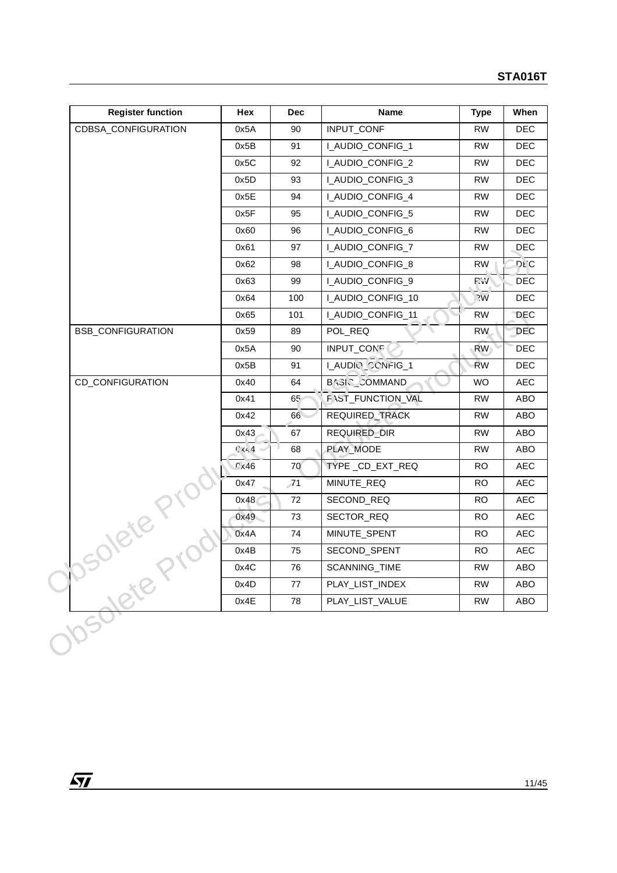| <b>Register function</b> | Hex            | <b>Dec</b> | <b>Name</b>             | <b>Type</b>     | When       |
|--------------------------|----------------|------------|-------------------------|-----------------|------------|
| CDBSA_CONFIGURATION      | 0x5A           | 90         | INPUT_CONF              | <b>RW</b>       | <b>DEC</b> |
|                          | 0x5B           | 91         | I_AUDIO_CONFIG_1        | <b>RW</b>       | <b>DEC</b> |
|                          | 0x5C           | 92         | I_AUDIO_CONFIG_2        | <b>RW</b>       | <b>DEC</b> |
|                          | 0x5D           | 93         | I_AUDIO_CONFIG_3        | <b>RW</b>       | <b>DEC</b> |
|                          | 0x5E           | 94         | I_AUDIO_CONFIG_4        | <b>RW</b>       | <b>DEC</b> |
|                          | 0x5F           | 95         | I_AUDIO_CONFIG_5        | <b>RW</b>       | <b>DEC</b> |
|                          | 0x60           | 96         | I_AUDIO_CONFIG_6        | <b>RW</b>       | DEC        |
|                          | 0x61           | 97         | <b>LAUDIO_CONFIG_7</b>  | <b>RW</b>       | <b>DEC</b> |
|                          | 0x62           | 98         | I_AUDIO_CONFIG_8        | RW              | <b>DEC</b> |
|                          | 0x63           | 99         | I_AUDIO_CONFIG_9        | P.V             | <b>DEC</b> |
|                          | 0x64           | 100        | I_AUDIO_CONFIG_10       | $\overline{2}W$ | <b>DEC</b> |
|                          | 0x65           | 101        | <b>LAUDIO_CONFIG_11</b> | <b>RW</b>       | <b>DEC</b> |
| <b>BSB_CONFIGURATION</b> | 0x59           | 89         | POL_REQ                 | <b>RW</b>       | <b>DEC</b> |
|                          | 0x5A           | 90         | INPUT_CONE              | <b>RW</b>       | <b>DEC</b> |
|                          | 0x5B           | 91         | LAUDIO CONFIG_1         | <b>RW</b>       | <b>DEC</b> |
| CD_CONFIGURATION         | 0x40           | 64         | BAGIC COMMAND           | WO              | <b>AEC</b> |
|                          | 0x41           | 65         | F \ST_FUNCTION_VAL      | <b>RW</b>       | ABO        |
|                          | 0x42           | 66         | REQUIRED_TRACK          | <b>RW</b>       | ABO        |
|                          | 0x43           | 67         | REQUIRED_DIR            | <b>RW</b>       | ABO        |
|                          | C <sub>4</sub> | 68         | PLAY_MODE               | <b>RW</b>       | ABO        |
|                          | 0x46           | 70         | TYPE_CD_EXT_REQ         | <b>RO</b>       | <b>AEC</b> |
|                          | 0x47           | 71         | MINUTE_REQ              | <b>RO</b>       | AEC        |
|                          | 0x48           | 72         | SECOND_REQ              | <b>RO</b>       | <b>AEC</b> |
| solete Prov              | 0x49           | 73         | SECTOR_REQ              | <b>RO</b>       | <b>AEC</b> |
|                          | 0x4A           | 74         | MINUTE_SPENT            | <b>RO</b>       | <b>AEC</b> |
|                          | 0x4B           | 75         | SECOND_SPENT            | <b>RO</b>       | <b>AEC</b> |
|                          | 0x4C           | 76         | SCANNING_TIME           | RW              | ABO        |
| Josolete                 | 0x4D           | $77\,$     | PLAY_LIST_INDEX         | <b>RW</b>       | ABO        |
|                          | 0x4E           | 78         | PLAY_LIST_VALUE         | <b>RW</b>       | ABO        |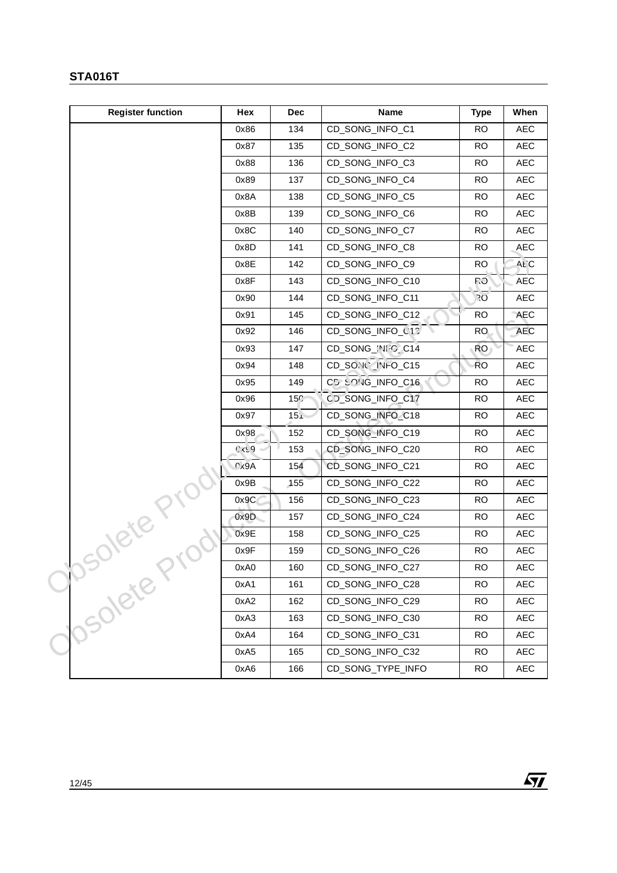| <b>Register function</b> | Hex  | <b>Dec</b>      | <b>Name</b>       | <b>Type</b> | When                             |
|--------------------------|------|-----------------|-------------------|-------------|----------------------------------|
|                          | 0x86 | 134             | CD_SONG_INFO_C1   | <b>RO</b>   | AEC                              |
|                          | 0x87 | 135             | CD_SONG_INFO_C2   | <b>RO</b>   | <b>AEC</b>                       |
|                          | 0x88 | 136             | CD_SONG_INFO_C3   | <b>RO</b>   | AEC                              |
|                          | 0x89 | 137             | CD_SONG_INFO_C4   | <b>RO</b>   | AEC                              |
|                          | 0x8A | 138             | CD_SONG_INFO_C5   | <b>RO</b>   | AEC                              |
|                          | 0x8B | 139             | CD_SONG_INFO_C6   | RO.         | AEC                              |
|                          | 0x8C | 140             | CD_SONG_INFO_C7   | <b>RO</b>   | AEC                              |
|                          | 0x8D | 141             | CD_SONG_INFO_C8   | <b>RO</b>   | <b>AEC</b>                       |
|                          | 0x8E | 142             | CD_SONG_INFO_C9   | <b>RO</b>   | ALC                              |
|                          | 0x8F | 143             | CD_SONG_INFO_C10  | <b>P.O</b>  | AEC                              |
|                          | 0x90 | 144             | CD_SONG_INFO_C11  | 20          | AEC                              |
|                          | 0x91 | 145             | CD_SONG_INFO_C12  | <b>RO</b>   | <b>AEC</b>                       |
|                          | 0x92 | 146             | CD_SONG_INFO_C15  | RO.         | <b>AEC</b>                       |
|                          | 0x93 | 147             | CD_SONG_INIC_C14  | <b>RO</b>   | $\mathsf{A}\mathsf{E}\mathsf{C}$ |
|                          | 0x94 | 148             | CD_SONO_INFO_C15  | <b>RO</b>   | AEC                              |
|                          | 0x95 | 149             | CD SONG_INFO_C16  | <b>RO</b>   | <b>AEC</b>                       |
|                          | 0x96 | 15 <sub>7</sub> | CD_SONG_INFO_C17  | <b>RO</b>   | AEC                              |
|                          | 0x97 | 15 <sub>1</sub> | CD_SONG_INFO_C18  | <b>RO</b>   | AEC                              |
|                          | 0x98 | 152             | CD_SONG_INFO_C19  | <b>RO</b>   | AEC                              |
|                          | 6320 | 153             | CD_SONG_INFO_C20  | <b>RO</b>   | <b>AEC</b>                       |
|                          | 0x9A | 154             | CD_SONG_INFO_C21  | <b>RO</b>   | AEC                              |
|                          | 0x9B | 155             | CD_SONG_INFO_C22  | <b>RO</b>   | AEC                              |
|                          | 0x9C | 156             | CD_SONG_INFO_C23  | <b>RO</b>   | AEC                              |
| 3018te Pru               | 0x9D | 157             | CD_SONG_INFO_C24  | <b>RO</b>   | <b>AEC</b>                       |
|                          | 0x9E | 158             | CD_SONG_INFO_C25  | <b>RO</b>   | AEC                              |
|                          | 0x9F | 159             | CD_SONG_INFO_C26  | <b>RO</b>   | AEC                              |
|                          | 0xA0 | 160             | CD_SONG_INFO_C27  | <b>RO</b>   | $\mathsf{A}\mathsf{E}\mathsf{C}$ |
|                          | 0xA1 | 161             | CD_SONG_INFO_C28  | <b>RO</b>   | AEC                              |
| Yosolete P               | 0xA2 | 162             | CD_SONG_INFO_C29  | <b>RO</b>   | AEC                              |
|                          | 0xA3 | 163             | CD_SONG_INFO_C30  | <b>RO</b>   | AEC                              |
|                          | 0xA4 | 164             | CD_SONG_INFO_C31  | <b>RO</b>   | AEC                              |
|                          | 0xA5 | 165             | CD_SONG_INFO_C32  | RO.         | AEC                              |
|                          | 0xA6 | 166             | CD_SONG_TYPE_INFO | <b>RO</b>   | AEC                              |

 $\sqrt{1}$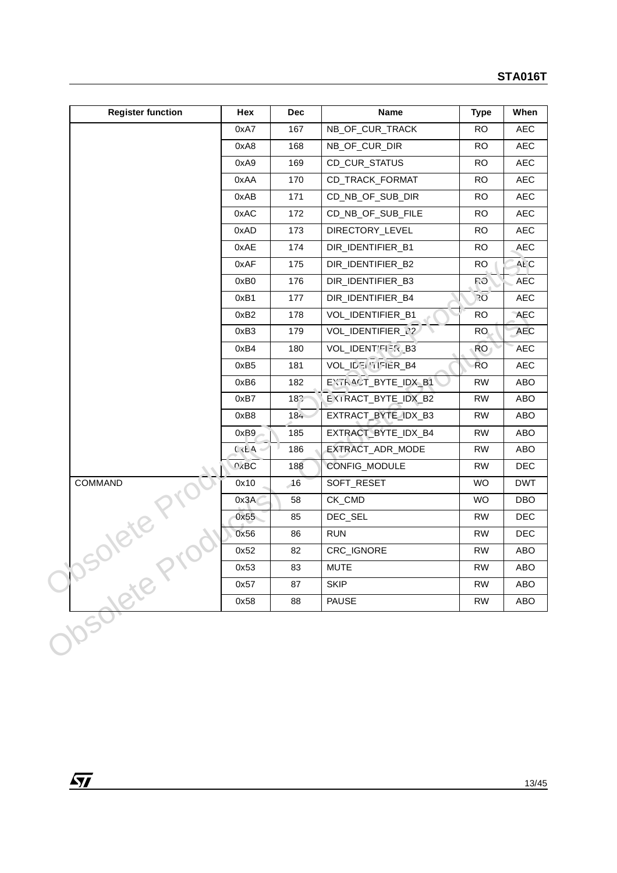| <b>Register function</b> | Hex               | Dec | Name                      | <b>Type</b>     | When       |
|--------------------------|-------------------|-----|---------------------------|-----------------|------------|
|                          | 0xA7              | 167 | NB_OF_CUR_TRACK           | <b>RO</b>       | AEC        |
|                          | 0xA8              | 168 | NB_OF_CUR_DIR             | <b>RO</b>       | AEC        |
|                          | 0xA9              | 169 | CD_CUR_STATUS             | RO.             | <b>AEC</b> |
|                          | 0xAA              | 170 | CD_TRACK_FORMAT           | <b>RO</b>       | AEC        |
|                          | 0xAB              | 171 | CD_NB_OF_SUB_DIR          | <b>RO</b>       | AEC        |
|                          | 0xAC              | 172 | CD_NB_OF_SUB_FILE         | <b>RO</b>       | <b>AEC</b> |
|                          | 0xAD              | 173 | DIRECTORY_LEVEL           | <b>RO</b>       | AEC        |
|                          | 0xAE              | 174 | DIR_IDENTIFIER_B1         | <b>RO</b>       | AEC        |
|                          | 0xAF              | 175 | DIR_IDENTIFIER_B2         | <b>RO</b>       | ALC        |
|                          | 0xB0              | 176 | DIR_IDENTIFIER_B3         | <b>P.O</b>      | AEC        |
|                          | 0xB1              | 177 | DIR_IDENTIFIER_B4         | $\overline{20}$ | AEC        |
|                          | 0xB2              | 178 | VOL_IDENTIFIER_B1         | <b>RO</b>       | AEC        |
|                          | 0xB3              | 179 | VOL_IDENTIFIER_N2         | RO.             | <b>AEC</b> |
|                          | 0xB4              | 180 | VOL_IDENT'FIER_B3         | RO <sub>1</sub> | AEC        |
|                          | 0xB5              | 181 | <b>VOL IDELITIFIER B4</b> | <b>RO</b>       | AEC        |
|                          | 0xB6              | 182 | EXTRACT_BYTE_IDX_B1       | <b>RW</b>       | ABO        |
|                          | 0xB7              | 187 | EXIRACT_BYTE_IDX_B2       | <b>RW</b>       | ABO        |
|                          | 0xB8              | 184 | EXTRACT_BYTE_IDX_B3       | <b>RW</b>       | ABO        |
|                          | 0xB9              | 185 | EXTRACT_BYTE_IDX_B4       | <b>RW</b>       | ABO        |
|                          | $C$ $E$ A         | 186 | EXTRACT_ADR_MODE          | <b>RW</b>       | ABO        |
|                          | 0 <sub>X</sub> BC | 188 | CONFIG_MODULE             | <b>RW</b>       | <b>DEC</b> |
| COMMAND                  | 0x10              | 16  | SOFT_RESET                | WO              | <b>DWT</b> |
|                          | 0x3A              | 58  | CK_CMD                    | WO              | DBO        |
|                          | 0x55              | 85  | DEC_SEL                   | <b>RW</b>       | <b>DEC</b> |
| Jolete Kill              | 0x56              | 86  | <b>RUN</b>                | <b>RW</b>       | <b>DEC</b> |
|                          | 0x52              | 82  | CRC_IGNORE                | <b>RW</b>       | ABO        |
|                          | 0x53              | 83  | <b>MUTE</b>               | <b>RW</b>       | ABO        |
|                          | 0x57              | 87  | <b>SKIP</b>               | <b>RW</b>       | ABO        |
|                          | 0x58              | 88  | <b>PAUSE</b>              | <b>RW</b>       | ABO        |

 $\overline{SI}$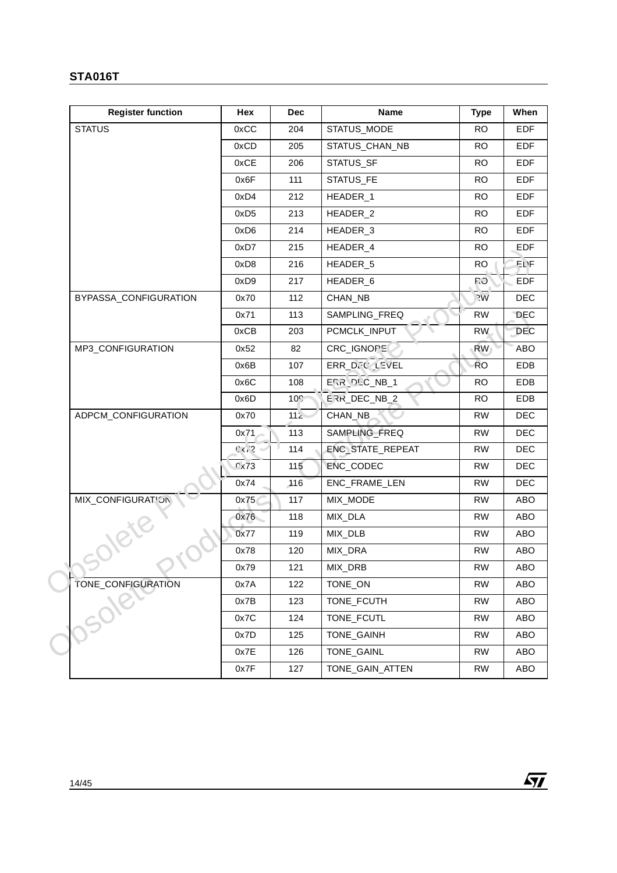| <b>Register function</b> | Hex              | <b>Dec</b>      | <b>Name</b>         | <b>Type</b>    | When       |
|--------------------------|------------------|-----------------|---------------------|----------------|------------|
| <b>STATUS</b>            | 0xCC             | 204             | STATUS_MODE         | <b>RO</b>      | EDF        |
|                          | 0xCD             | 205             | STATUS_CHAN_NB      | <b>RO</b>      | <b>EDF</b> |
|                          | 0xCE             | 206             | STATUS_SF           | <b>RO</b>      | <b>EDF</b> |
|                          | 0x6F             | 111             | STATUS_FE           | <b>RO</b>      | <b>EDF</b> |
|                          | 0xD4             | 212             | HEADER_1            | <b>RO</b>      | <b>EDF</b> |
|                          | 0xD <sub>5</sub> | 213             | HEADER_2            | <b>RO</b>      | <b>EDF</b> |
|                          | 0xD6             | 214             | HEADER <sub>3</sub> | <b>RO</b>      | <b>EDF</b> |
|                          | 0xD7             | 215             | HEADER_4            | <b>RO</b>      | <b>EDF</b> |
|                          | 0xD8             | 216             | HEADER_5            | <b>RO</b>      | EL)F       |
|                          | 0xD9             | 217             | HEADER_6            | <b>P.O</b>     | EDF        |
| BYPASSA_CONFIGURATION    | 0x70             | 112             | CHAN_NB             | $\overline{y}$ | <b>DEC</b> |
|                          | 0x71             | 113             | SAMPLING_FREQ       | <b>RW</b>      | <b>DEC</b> |
|                          | 0xCB             | 203             | PCMCLK_INPUT        | <b>RW</b>      | <b>DEC</b> |
| MP3_CONFIGURATION        | 0x52             | 82              | CRC_IGNOPE          | <b>RW</b>      | ABO        |
|                          | 0x6B             | 107             | ERR_D. (LEVEL       | <b>RO</b>      | EDB        |
|                          | 0x6C             | 108             | EF R DLC NB 1       | <b>RO</b>      | EDB        |
|                          | 0x6D             | 10 <sub>7</sub> | ERR_DEC_NB_2        | <b>RO</b>      | EDB        |
| ADPCM_CONFIGURATION      | 0x70             | $112 -$         | CHAN_NB             | <b>RW</b>      | <b>DEC</b> |
|                          | 0x71             | 113             | SAMPLING_FREQ       | <b>RW</b>      | <b>DEC</b> |
|                          | $C32 -$          | 114             | ENC_STATE_REPEAT    | <b>RW</b>      | <b>DEC</b> |
|                          | 0x73             | 115             | ENC_CODEC           | <b>RW</b>      | <b>DEC</b> |
| MIX_CONFIGURATION        | 0x74             | 116             | ENC_FRAME_LEN       | <b>RW</b>      | <b>DEC</b> |
|                          | 0x75             | 117             | MIX_MODE            | <b>RW</b>      | ABO        |
|                          | 0x76             | 118             | MIX_DLA             | <b>RW</b>      | ABO        |
|                          | 0x77             | 119             | MIX_DLB             | <b>RW</b>      | ABO        |
|                          | 0x78             | 120             | MIX_DRA             | <b>RW</b>      | ABO        |
|                          | 0x79             | 121             | MIX_DRB             | <b>RW</b>      | ABO        |
|                          | 0x7A             | 122             | TONE_ON             | <b>RW</b>      | ABO        |
| TONE_CONFIGURATION       | 0x7B             | 123             | TONE_FCUTH          | <b>RW</b>      | ABO        |
|                          | 0x7C             | 124             | TONE_FCUTL          | <b>RW</b>      | ABO        |
|                          | 0x7D             | 125             | TONE_GAINH          | <b>RW</b>      | ABO        |
|                          | 0x7E             | 126             | TONE_GAINL          | <b>RW</b>      | ABO        |
|                          | 0x7F             | 127             | TONE_GAIN_ATTEN     | <b>RW</b>      | ABO        |
|                          |                  |                 |                     |                |            |

 $\sqrt{1}$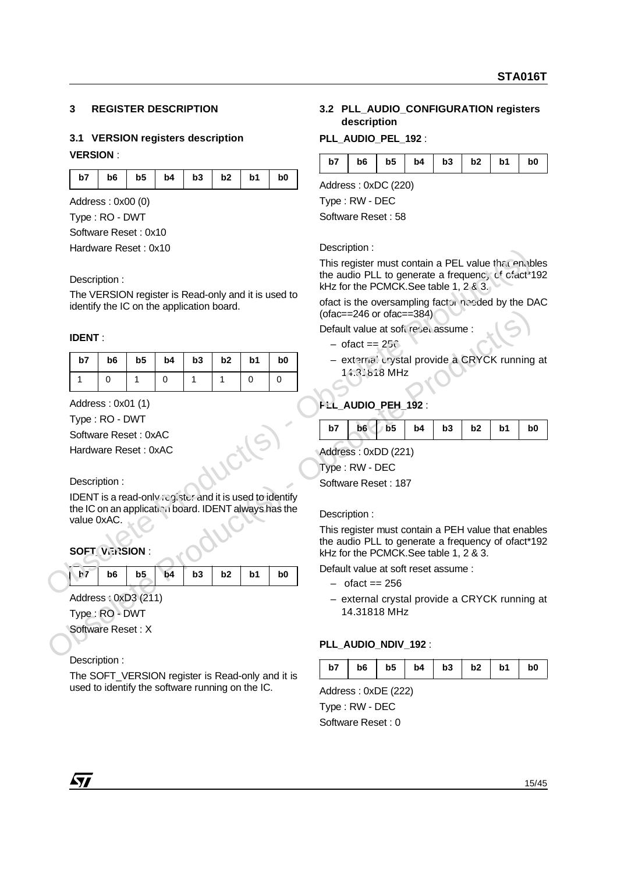## **3 REGISTER DESCRIPTION**

# **3.1 VERSION registers description VERSION** :

| $b7$   $b6$   $b5$   $b4$   $b3$   $b2$   $b1$   $b0$ |  |  |  |  |
|-------------------------------------------------------|--|--|--|--|
|                                                       |  |  |  |  |

Address : 0x00 (0) Type : RO - DWT

Software Reset : 0x10

Hardware Reset : 0x10

#### **IDENT** :

|               | Hardware Reset : UX10               |                |    |                                           |              |                |                                                                                                                  | Description.                                                                                                                                      |  |  |  |  |
|---------------|-------------------------------------|----------------|----|-------------------------------------------|--------------|----------------|------------------------------------------------------------------------------------------------------------------|---------------------------------------------------------------------------------------------------------------------------------------------------|--|--|--|--|
|               | Description:                        |                |    |                                           |              |                |                                                                                                                  | This register must contain a PEL value that enable<br>the audio PLL to generate a frequency of cfact 19<br>kHz for the PCMCK. See table 1, 2 & 3. |  |  |  |  |
|               |                                     |                |    | identify the IC on the application board. |              |                | The VERSION register is Read-only and it is used to                                                              | ofact is the oversampling factor needed by the DA<br>(ofac==246 or ofac==384)                                                                     |  |  |  |  |
| <b>IDENT:</b> |                                     |                |    |                                           |              |                |                                                                                                                  | Default value at soft reset assume :<br>$-$ ofact == $25\degree$                                                                                  |  |  |  |  |
| b7            | b6                                  | b <sub>5</sub> | b4 | b3                                        | b2           | b <sub>1</sub> | b0                                                                                                               | - external crystal provide a CRYCK running a                                                                                                      |  |  |  |  |
| $\mathbf{1}$  | $\mathbf 0$                         | 1              | 0  | $\mathbf{1}$                              | $\mathbf{1}$ | $\Omega$       | $\Omega$                                                                                                         | $14.3$ \ $618$ MHz                                                                                                                                |  |  |  |  |
|               | Address: 0x01 (1)<br>Type: RO - DWT |                |    |                                           |              |                |                                                                                                                  | FEL_AUDIO_PEH_192:                                                                                                                                |  |  |  |  |
|               | Software Reset: 0xAC                |                |    |                                           |              |                |                                                                                                                  | b7<br>b <sub>6</sub><br>b <sub>5</sub><br>b3<br>b <sub>2</sub><br>b1<br>b4<br>b0                                                                  |  |  |  |  |
|               | Hardware Reset: 0xAC                |                |    |                                           |              |                |                                                                                                                  | Address: 0xDD (221)                                                                                                                               |  |  |  |  |
|               |                                     |                |    |                                           |              |                |                                                                                                                  | Type: RW - DEC                                                                                                                                    |  |  |  |  |
|               | Description:                        |                |    |                                           |              |                |                                                                                                                  | Software Reset: 187                                                                                                                               |  |  |  |  |
| value 0xAC.   |                                     |                |    |                                           |              |                | IDENT is a read-only register and it is used to identify<br>the IC on an application board. IDENT always has the | Description:                                                                                                                                      |  |  |  |  |
|               | <b>SOFT VERSION:</b>                |                |    |                                           |              |                |                                                                                                                  | This register must contain a PEH value that enable<br>the audio PLL to generate a frequency of ofact*19<br>kHz for the PCMCK. See table 1, 2 & 3. |  |  |  |  |
| b7            | b <sub>6</sub>                      | b <sub>5</sub> | b4 | b3                                        | b2           | b1             | b <sub>0</sub>                                                                                                   | Default value at soft reset assume :<br>$-$ of act = $256$                                                                                        |  |  |  |  |
|               | Address: 0xD3 (211)                 |                |    |                                           |              |                |                                                                                                                  | - external crystal provide a CRYCK running a                                                                                                      |  |  |  |  |
|               | Type: RO - DWT                      |                |    |                                           |              |                |                                                                                                                  | 14.31818 MHz                                                                                                                                      |  |  |  |  |
|               | Software Reset: X                   |                |    |                                           |              |                |                                                                                                                  |                                                                                                                                                   |  |  |  |  |
|               |                                     |                |    |                                           |              |                |                                                                                                                  | PLL_AUDIO_NDIV_192 :                                                                                                                              |  |  |  |  |
|               |                                     |                |    |                                           |              |                |                                                                                                                  |                                                                                                                                                   |  |  |  |  |

## Description :

| $ b7 $ b6   b5   b4   b3   b2   b1 |  |  | b <sub>0</sub> |
|------------------------------------|--|--|----------------|
|                                    |  |  |                |
|                                    |  |  |                |
|                                    |  |  |                |

Description :

The SOFT VERSION register is Read-only and it is used to identify the software running on the IC.

# **3.2 PLL\_AUDIO\_CONFIGURATION registers description**

## **PLL\_AUDIO\_PEL\_192** :

|  |  |  | $b7$   $b6$   $b5$   $b4$   $b3$   $b2$   $b1$   $b0$ |  |
|--|--|--|-------------------------------------------------------|--|
|  |  |  |                                                       |  |

Address : 0xDC (220)

Type : RW - DEC

Software Reset : 58

Description :

- $-$  ofact == 25 $\degree$
- external crystal provide a CRYCK running at 14.31818 MHz

# **PLL\_AUDIO\_PEH\_192** :

| $ $ b7 $ $ b6 b5 b4 b3 b2 b1 b0 |  |  |  |  |
|---------------------------------|--|--|--|--|
|                                 |  |  |  |  |

- $-$  ofact  $== 256$
- external crystal provide a CRYCK running at 14.31818 MHz

## PLL\_AUDIO\_NDIV\_192 :

| $b6$   $b5$   $b4$   $b3$   $b2$   $b1$   $b0$<br>b7 |
|------------------------------------------------------|
|------------------------------------------------------|

Address : 0xDE (222) Type : RW - DEC

Software Reset : 0

*ky*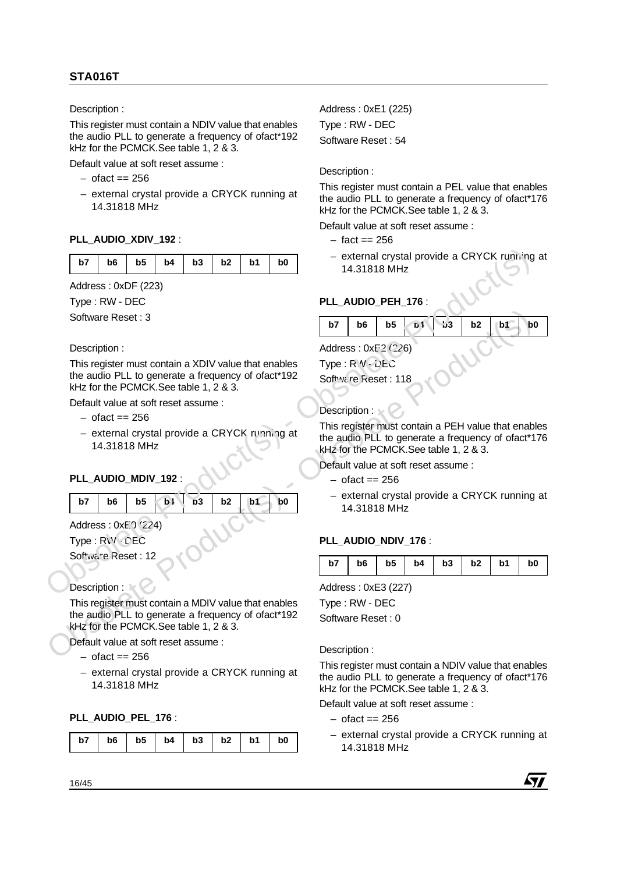This register must contain a NDIV value that enables the audio PLL to generate a frequency of ofact\*192 kHz for the PCMCK.See table 1, 2 & 3.

Default value at soft reset assume :

- $-$  ofact  $== 256$
- external crystal provide a CRYCK running at 14.31818 MHz

#### **PLL\_AUDIO\_XDIV\_192** :

|  |  | b7   b6   b5   b4   b3   b2   b1   b0 |  |  |
|--|--|---------------------------------------|--|--|
|  |  |                                       |  |  |

Address : 0xDF (223)

Type : RW - DEC

Software Reset : 3

#### Description :

This register must contain a XDIV value that enables the audio PLL to generate a frequency of ofact\*192 kHz for the PCMCK.See table 1, 2 & 3. **b7 b6 b5 b4 b3 b2 b1 b0 c** external drystal provide a CRYCK running<br>
Address:  $0 \times D^2$  (S23)<br>
Type: RW - DEC<br>
Software Reset: 3<br>
Description:<br>
This register must contain a XDIV value that enables<br>
This re

Default value at soft reset assume :

- $-$  ofact  $== 256$
- external crystal provide a CRYCK running at 14.31818 MHz

# **PLL\_AUDIO\_MDIV\_192** :

| $  b7   b6   b5   b1   b3   b2   b1   b0$ |  |  |  |  |
|-------------------------------------------|--|--|--|--|
|                                           |  |  |  |  |

Address: 0xE0 (224) Type : RW CEC

Software Reset : 12

## Description : 1

Software Reset : 3<br>
Description :<br>
This register must contain a XDIV value that enables<br>
Type :  $R/V \geq 250$ <br>
the audio PLL to general enforces are frequency of ofact 192<br>
Software Reset : 118<br>
- ofact = 256<br>
- ofact = 256 This register must contain a MDIV value that enables the audio PLL to generate a frequency of ofact\*192 kHz for the PCMCK.See table 1, 2 & 3.

Default value at soft reset assume :

- $-$  ofact  $== 256$
- external crystal provide a CRYCK running at 14.31818 MHz

#### **PLL\_AUDIO\_PEL\_176** :

|  |  |  | $b7$   $b6$   $b5$   $b4$   $b3$   $b2$   $b1$   $b0$ |  |  |  |  |
|--|--|--|-------------------------------------------------------|--|--|--|--|
|--|--|--|-------------------------------------------------------|--|--|--|--|

Address : 0xE1 (225) Type : RW - DEC Software Reset : 54

Description :

This register must contain a PEL value that enables the audio PLL to generate a frequency of ofact\*176 kHz for the PCMCK.See table 1, 2 & 3.

Default value at soft reset assume :

- $-$  fact  $== 256$
- external crystal provide a CRYCK running at 14.31818 MHz

## **PLL\_AUDIO\_PEH\_176** :

|  | $b7$   $b6$   $b5$   $b1$   $b3$   $b2$   $b1$   $b0$ |  |  |
|--|-------------------------------------------------------|--|--|
|  |                                                       |  |  |

Address : 0xE2 (226)  $Type: R.W-2EC$ Software Reset: 118

## Description :

This register must contain a PEH value that enables the audio PLL to generate a frequency of ofact\*176 kHz for the PCMCK.See table 1, 2 & 3.

Default value at soft reset assume :

- $-$  ofact  $== 256$
- external crystal provide a CRYCK running at 14.31818 MHz

#### PLL\_AUDIO\_NDIV\_176 :

| $b6$   $b5$   $b4$   $b3$   $b2$   $b1$ |
|-----------------------------------------|
|-----------------------------------------|

Address : 0xE3 (227)

Type : RW - DEC Software Reset : 0

Description :

This register must contain a NDIV value that enables the audio PLL to generate a frequency of ofact\*176 kHz for the PCMCK.See table 1, 2 & 3.

Default value at soft reset assume :

- $-$  ofact  $== 256$
- external crystal provide a CRYCK running at 14.31818 MHz

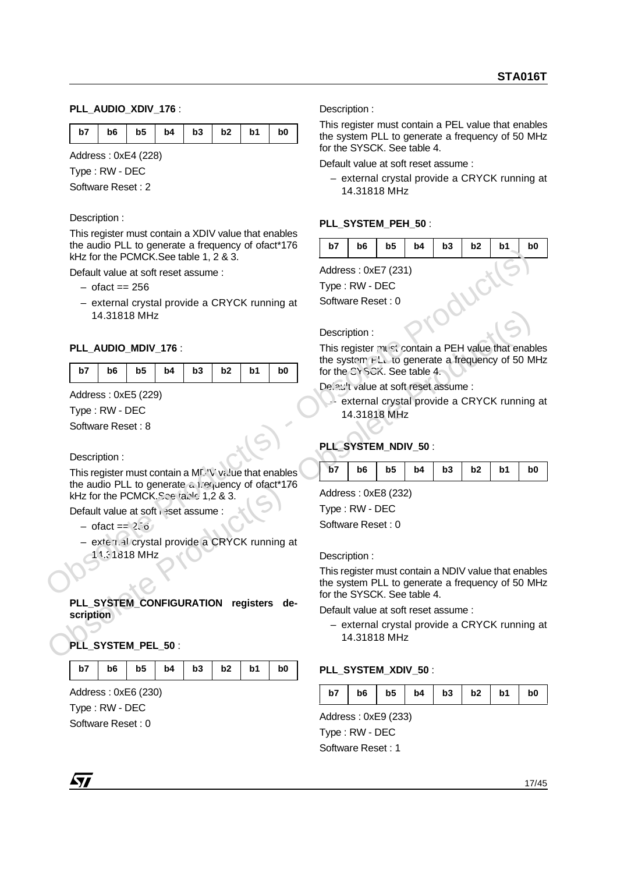## **PLL\_AUDIO\_XDIV\_176** :

|  | b7   b6   b5   b4   b3   b2   b1   b0 |  |  |
|--|---------------------------------------|--|--|

Address : 0xE4 (228)

Type : RW - DEC

Software Reset : 2

#### Description :

This register must contain a XDIV value that enables the audio PLL to generate a frequency of ofact\*176 kHz for the PCMCK.See table 1, 2 & 3.

Default value at soft reset assume :

- $-$  ofact  $== 256$
- external crystal provide a CRYCK running at 14.31818 MHz

## PLL\_AUDIO\_MDIV\_176 :

|  | b7   b6   b5   b4   b3   b2   b1   b0 |  |  |  |  |  |  |
|--|---------------------------------------|--|--|--|--|--|--|
|--|---------------------------------------|--|--|--|--|--|--|

Address : 0xE5 (229)

Type : RW - DEC

Software Reset : 8

Description :

14.31818 MHz<br> **PLL AUDIO MDIV 176**:<br> **DESCRIPTION 176**:<br> **DESCRIPTION 176**:<br> **DESCRIPTION 176**:<br> **DESCRIPTION 176**:<br> **Obsolet Product S) - Obsolet Product Algorithmental and PEH value that enables<br>
Obsolvet Reset : 8<br>
Obs** This register must contain a MDV value that enables the audio PLL to generate a trequency of ofact\*176 kHz for the PCMCK.See table 1,2 & 3. obsolete Product See the Product See the Product See the Product See the Product See the Product See the Product See the Product See the Product See the Product See the Product See the Product See the Product See the Produ

Default value at soft reset assume :

- $-$  ofact  $= 256$
- external crystal provide a CRYCK running at 14.31818 MHz

#### **PLL\_SYSTEM\_CONFIGURATION registers description**

## **PLL\_SYSTEM\_PEL\_50** :

|  |  |  | $b7$   $b6$   $b5$   $b4$   $b3$   $b2$   $b1$   $b0$ |  |  |  |  |
|--|--|--|-------------------------------------------------------|--|--|--|--|
|--|--|--|-------------------------------------------------------|--|--|--|--|

Address : 0xE6 (230) Type : RW - DEC Software Reset : 0

Description :

This register must contain a PEL value that enables the system PLL to generate a frequency of 50 MHz for the SYSCK. See table 4.

Default value at soft reset assume :

– external crystal provide a CRYCK running at 14.31818 MHz

## PLL\_SYSTEM\_PEH\_50 :

|  |  |  | $b7$   $b6$   $b5$   $b4$   $b3$   $b2$   $b1$   $b0$ |  |
|--|--|--|-------------------------------------------------------|--|
|  |  |  |                                                       |  |
|  |  |  |                                                       |  |

Address : 0xE7 (231)

Type : RW - DEC

Software Reset : 0

#### Description :

This register must contain a PEH value that enables the system PLL to generate a frequency of 50 MHz for the CYSCK. See table 4.

Default value at soft reset assume :

– external crystal provide a CRYCK running at 14.31818 MHz

## PLL\_SYSTEM\_NDIV\_50 :

| $b7$   $b6$   $b5$   $b4$   $b3$   $b2$   $b1$   $b0$ |
|-------------------------------------------------------|
|-------------------------------------------------------|

Address : 0xE8 (232)

Type : RW - DEC

Software Reset : 0

Description :

This register must contain a NDIV value that enables the system PLL to generate a frequency of 50 MHz for the SYSCK. See table 4.

Default value at soft reset assume :

– external crystal provide a CRYCK running at 14.31818 MHz

#### PLL\_SYSTEM\_XDIV\_50 :

| $b6$   $b5$   $b4$   $b3$   $b2$   $b1$   $b$<br>b7 |  |  |  |  | b <sub>0</sub> |
|-----------------------------------------------------|--|--|--|--|----------------|
|-----------------------------------------------------|--|--|--|--|----------------|

Address : 0xE9 (233)

Type : RW - DEC Software Reset : 1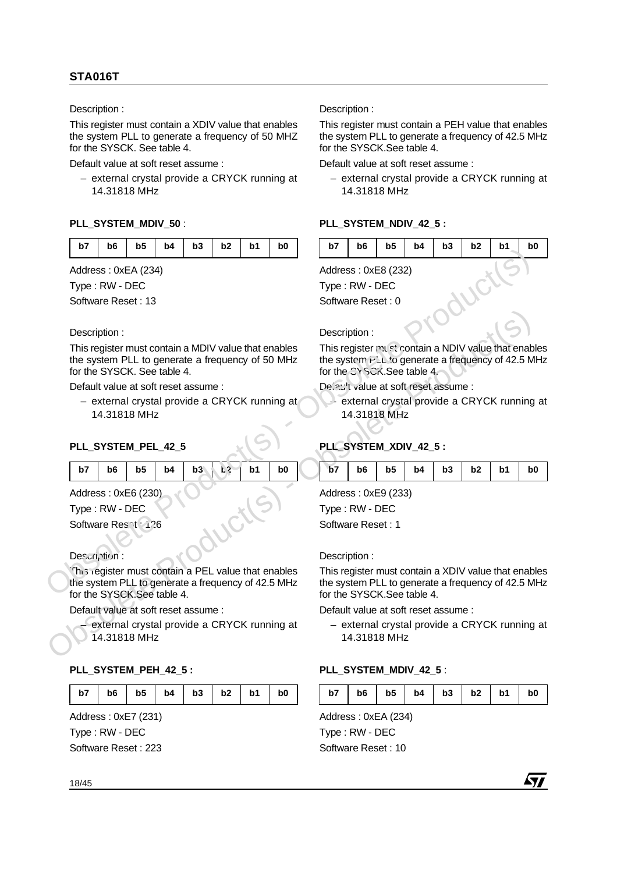This register must contain a XDIV value that enables the system PLL to generate a frequency of 50 MHZ for the SYSCK. See table 4.

Default value at soft reset assume :

– external crystal provide a CRYCK running at 14.31818 MHz

# PLL\_SYSTEM\_MDIV\_50 :

Address : 0xEA (234)

Type : RW - DEC

Software Reset : 13

#### Description :

Description :<br>
This register must contain a MDIV value that enables<br>
the system PLL to generate a frequency of 50 MHz<br>
for the SYSCK. See table 4.<br>
Default value at soft reset assume :<br>
- external crystal provide a CRYCK This register must contain a MDIV value that enables the system PLL to generate a frequency of 50 MHz for the SYSCK. See table 4. **Example 1 Control of the States:** Obsorber Contains a Description :<br>
Address: Oscillate States (SSC 2023)<br>
Type : RW - DEC Software Reset : 13<br>
Description :<br>
This register must contain a MDIV value that enables<br>
the s

Default value at soft reset assume :

– external crystal provide a CRYCK running at 14.31818 MHz

## **PLL\_SYSTEM\_PEL\_42\_5**

|  |  |  | b7   b6   b5   b4   b3   $k^2$   b1 | b0 |  |
|--|--|--|-------------------------------------|----|--|
|  |  |  |                                     |    |  |

Address : 0xE6 (230)

Type : RW - DEC

Software Reset : 126

## Description :

This register must contain a PEL value that enables the system PLL to generate a frequency of 42.5 MHz for the SYSCK.See table 4.

Default value at soft reset assume :

– external crystal provide a CRYCK running at 14.31818 MHz

## PLL\_SYSTEM\_PEH\_42\_5 :

|  | b7   b6   b5   b4   b3   b2   b1   b0 |  |  |  |  |  |  |
|--|---------------------------------------|--|--|--|--|--|--|
|--|---------------------------------------|--|--|--|--|--|--|

Address : 0xE7 (231) Type : RW - DEC Software Reset : 223 Description :

This register must contain a PEH value that enables the system PLL to generate a frequency of 42.5 MHz for the SYSCK.See table 4.

Default value at soft reset assume :

– external crystal provide a CRYCK running at 14.31818 MHz

## PLL\_SYSTEM\_NDIV\_42\_5 :

|  | $b7$   $b6$   $b5$   $b4$   $b3$   $b2$   $b1$   $b0$ |  |  |
|--|-------------------------------------------------------|--|--|
|  |                                                       |  |  |

Address : 0xE8 (232)

Type : RW - DEC

Software Reset : 0

## Description :

This register must contain a NDIV value that enables the system  $P^L$ <sub>1</sub> to generate a frequency of 42.5 MHz for the CYSCK.See table 4.

Default value at soft reset assume :

– external crystal provide a CRYCK running at 14.31818 MHz

# **PLL\_SYSTEM\_XDIV\_42\_5 :**

| $b7$   $b6$   $b5$   $b4$   $b3$   $b2$   $b1$ | b0 |
|------------------------------------------------|----|
|------------------------------------------------|----|

Address : 0xE9 (233)

Type : RW - DEC

Software Reset : 1

#### Description :

This register must contain a XDIV value that enables the system PLL to generate a frequency of 42.5 MHz for the SYSCK.See table 4.

Default value at soft reset assume :

– external crystal provide a CRYCK running at 14.31818 MHz

## PLL\_SYSTEM\_MDIV\_42\_5 :

| b7 |  |  |  |  |  | $b6$   $b5$   $b4$   $b3$   $b2$   $b1$   $b0$ |  |
|----|--|--|--|--|--|------------------------------------------------|--|
|----|--|--|--|--|--|------------------------------------------------|--|

Address : 0xEA (234) Type : RW - DEC Software Reset : 10

18/45

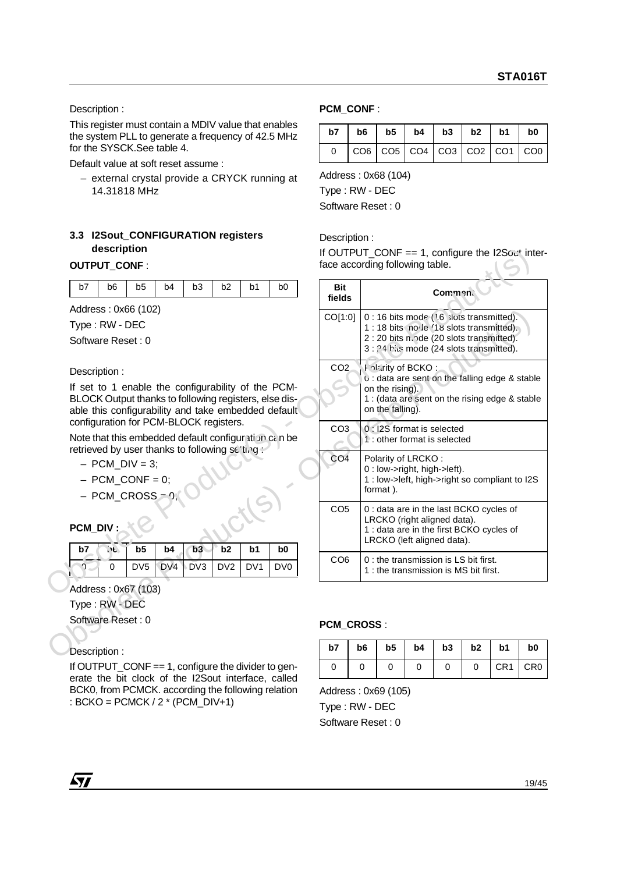This register must contain a MDIV value that enables the system PLL to generate a frequency of 42.5 MHz for the SYSCK.See table 4.

Default value at soft reset assume :

– external crystal provide a CRYCK running at 14.31818 MHz

# **3.3 I2Sout\_CONFIGURATION registers description**

#### **OUTPUT\_CONF** :

| b7   b6   b5   b4   b3   b2   b1   b0 |  |
|---------------------------------------|--|
|---------------------------------------|--|

#### Description :

- $-$  PCM\_DIV = 3;
- $-$  PCM CONF = 0;
- PCM\_CROSS = 0;

# **PCM\_DIV :**

|        |   | $b7$ $\sqrt{6}$ $b5$ $b4$ $b3$ $b2$ $b1$ |  | b0 |
|--------|---|------------------------------------------|--|----|
| $\sim$ | 0 | DV5 DV4 DV3 DV2 DV1 DV0                  |  |    |

#### Address : 0x67 (103)

## Description :

If OUTPUT  $COMF == 1$ , configure the divider to generate the bit clock of the I2Sout interface, called BCK0, from PCMCK. according the following relation : BCKO =  $PCMCK / 2$  \* (PCM\_DIV+1)

## **PCM\_CONF** :

| $b7$   $b6$   $b5$   $b4$   $b3$   $b2$   $b1$   $b0$                                |  |  |  |
|--------------------------------------------------------------------------------------|--|--|--|
| $\vert \cos \vert \cos \vert \cos \vert \cos \vert \cos \vert \cos \vert \cos \vert$ |  |  |  |

Address : 0x68 (104)

Type : RW - DEC

Software Reset : 0

#### Description :

| <b>OUTPUT_CONF:</b>                                                                                                                                                                                                                                                                                                                                                                                                                                       | aescription                 |                                                                                                  |                       |           |                       |                                   |                                   | If OUTPUT_CONF == 1, configure the I2Sout inter-<br>face according following table.                    |    |                                                 |                                                                                                                                                                                                                                                                                                                                                                                                                                                                                                                                                                                                                                                                                                                      |                |    |    |    |
|-----------------------------------------------------------------------------------------------------------------------------------------------------------------------------------------------------------------------------------------------------------------------------------------------------------------------------------------------------------------------------------------------------------------------------------------------------------|-----------------------------|--------------------------------------------------------------------------------------------------|-----------------------|-----------|-----------------------|-----------------------------------|-----------------------------------|--------------------------------------------------------------------------------------------------------|----|-------------------------------------------------|----------------------------------------------------------------------------------------------------------------------------------------------------------------------------------------------------------------------------------------------------------------------------------------------------------------------------------------------------------------------------------------------------------------------------------------------------------------------------------------------------------------------------------------------------------------------------------------------------------------------------------------------------------------------------------------------------------------------|----------------|----|----|----|
| b7                                                                                                                                                                                                                                                                                                                                                                                                                                                        | b <sub>6</sub>              | b <sub>5</sub>                                                                                   | b4                    | b3        | b2                    | b <sub>1</sub>                    | b <sub>0</sub>                    | <b>Bit</b><br>fields                                                                                   |    |                                                 |                                                                                                                                                                                                                                                                                                                                                                                                                                                                                                                                                                                                                                                                                                                      | <b>Commen.</b> |    |    |    |
| Address: 0x66 (102)<br>Type: RW - DEC<br>Software Reset: 0<br>Description:<br>If set to 1 enable the configurability of the PCM-<br>BLOCK Output thanks to following registers, else dis-<br>able this configurability and take embedded default<br>configuration for PCM-BLOCK registers.<br>Note that this embedded default configuration can be<br>retrieved by user thanks to following setting:<br><b>PCM_DIV:</b><br>b7<br>ി<br>Address: 0x67 (103) | $\mathbf{E}$<br>$\mathbf 0$ | $-$ PCM DIV = 3;<br>$-$ PCM_CONF = 0;<br>$-$ PCM_CROSS $-9$<br>b <sub>5</sub><br>DV <sub>5</sub> | b4<br>DV <sub>4</sub> | b3<br>DV3 | b2<br>DV <sub>2</sub> | b <sub>1</sub><br>DV <sub>1</sub> | b <sub>0</sub><br>DV <sub>0</sub> | CO[1:0]<br>CO <sub>2</sub><br>CO <sub>3</sub><br>CO <sub>4</sub><br>CO <sub>5</sub><br>CO <sub>6</sub> |    | on the rising).<br>on the falling).<br>format). | 0 : 16 bits mode (16 slots transmitted).<br>1 : 18 bits no le '18 slots transmitted).<br>2:20 bits n.ode (20 slots transmitted).<br>3 : ?4 ble mode (24 slots transmitted).<br><b>Folarity of BCKO:</b><br>U: data are sent on the falling edge & stable<br>1 : (data are sent on the rising edge & stable<br>0 : I2S format is selected<br>1 : other format is selected<br>Polarity of LRCKO:<br>0 : low->right, high->left).<br>1: low->left, high->right so compliant to I2S<br>0 : data are in the last BCKO cycles of<br>LRCKO (right aligned data).<br>1 : data are in the first BCKO cycles of<br>LRCKO (left aligned data).<br>0 : the transmission is LS bit first.<br>1: the transmission is MS bit first. |                |    |    |    |
| Type: RW - DEC<br>Software Reset: 0                                                                                                                                                                                                                                                                                                                                                                                                                       |                             |                                                                                                  |                       |           |                       |                                   |                                   |                                                                                                        |    |                                                 |                                                                                                                                                                                                                                                                                                                                                                                                                                                                                                                                                                                                                                                                                                                      |                |    |    |    |
|                                                                                                                                                                                                                                                                                                                                                                                                                                                           |                             |                                                                                                  |                       |           |                       |                                   |                                   | PCM_CROSS:                                                                                             |    |                                                 |                                                                                                                                                                                                                                                                                                                                                                                                                                                                                                                                                                                                                                                                                                                      |                |    |    |    |
| Description:                                                                                                                                                                                                                                                                                                                                                                                                                                              |                             |                                                                                                  |                       |           |                       |                                   |                                   | b7                                                                                                     | b6 | b <sub>5</sub>                                  | b4                                                                                                                                                                                                                                                                                                                                                                                                                                                                                                                                                                                                                                                                                                                   | b3             | b2 | b1 | b0 |

#### **PCM\_CROSS** :

| $b7$   $b6$   $b5$   $b4$   $b3$   $b2$   $b1$ |  |  |           | b <sub>0</sub> |
|------------------------------------------------|--|--|-----------|----------------|
|                                                |  |  | $CR1$ CR0 |                |

Address : 0x69 (105) Type : RW - DEC

Software Reset : 0

 $\sqrt{1}$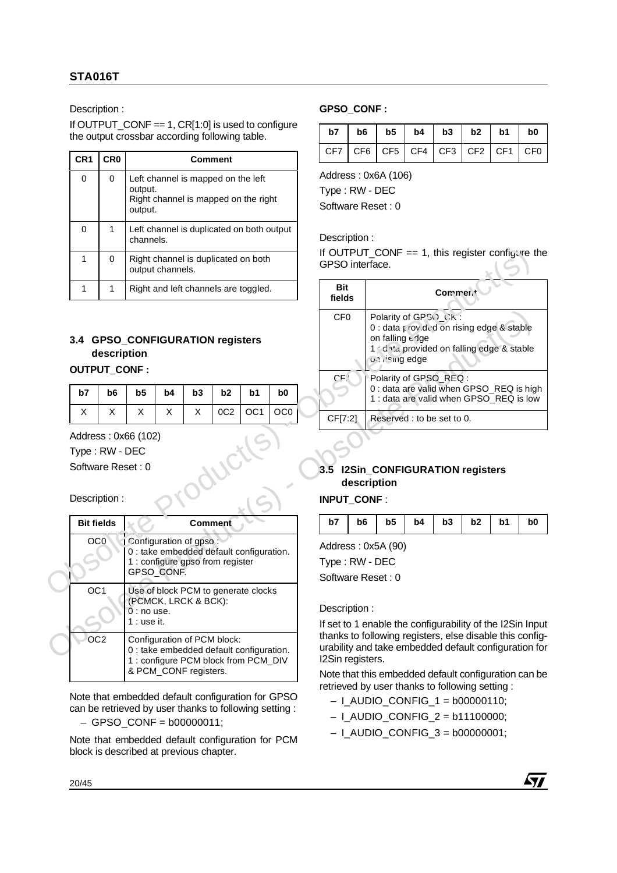If OUTPUT CONF  $== 1$ , CR[1:0] is used to configure the output crossbar according following table.

| CR <sub>1</sub> | CR <sub>0</sub> | <b>Comment</b>                                                                                   |
|-----------------|-----------------|--------------------------------------------------------------------------------------------------|
| 0               | 0               | Left channel is mapped on the left<br>output.<br>Right channel is mapped on the right<br>output. |
| 0               | 1               | Left channel is duplicated on both output<br>channels.                                           |
| 1               | 0               | Right channel is duplicated on both<br>output channels.                                          |
| 1               | 1               | Right and left channels are toggled.                                                             |

# **3.4 GPSO\_CONFIGURATION registers description**

## **OUTPUT\_CONF:**

|  |  | $b7$   $b6$   $b5$   $b4$   $b3$   $b2$   $b1$   $b0$ |  |                                |  |
|--|--|-------------------------------------------------------|--|--------------------------------|--|
|  |  |                                                       |  | $X \cup OC2 \cup OC1 \cup OC0$ |  |

| 3.4 GPSO_CONFIGURATION registers                           | description    |                              |                                                                                                                                          |         |                 |                 |                 | CF <sub>0</sub>                                           |                | on falling edge                                     |    | Polarity of GPSO CK:<br>0 : data i roy ded on rising edge & stable<br>1 dita provided on falling edge & stable  |    |    |                |
|------------------------------------------------------------|----------------|------------------------------|------------------------------------------------------------------------------------------------------------------------------------------|---------|-----------------|-----------------|-----------------|-----------------------------------------------------------|----------------|-----------------------------------------------------|----|-----------------------------------------------------------------------------------------------------------------|----|----|----------------|
| <b>OUTPUT_CONF:</b>                                        |                |                              |                                                                                                                                          |         |                 |                 |                 |                                                           |                | <b>ON ISHID edge</b>                                |    |                                                                                                                 |    |    |                |
| b7                                                         | b <sub>6</sub> | b <sub>5</sub>               | b4                                                                                                                                       | b3      | b2              | b <sub>1</sub>  | b <sub>0</sub>  | CF                                                        |                |                                                     |    | Polarity of GPSO_REQ:<br>0 : data are valid when GPSO_REQ is high<br>1 : data are valid when GPSO_REQ is low    |    |    |                |
| X                                                          | X              | X                            | X                                                                                                                                        | X       | 0C <sub>2</sub> | OC <sub>1</sub> | OC <sub>0</sub> | CF[7:2]                                                   |                |                                                     |    | Reserved : to be set to 0.                                                                                      |    |    |                |
| Address: 0x66 (102)<br>Type: RW - DEC<br>Software Reset: 0 |                |                              |                                                                                                                                          |         |                 |                 |                 | 3.5                                                       | description    |                                                     |    | <b>I2Sin_CONFIGURATION registers</b>                                                                            |    |    |                |
| Description:                                               |                |                              |                                                                                                                                          |         |                 |                 |                 | INPUT_CONF:                                               |                |                                                     |    |                                                                                                                 |    |    |                |
| <b>Bit fields</b>                                          |                |                              |                                                                                                                                          | Comment |                 |                 |                 | b7                                                        | b <sub>6</sub> | b <sub>5</sub>                                      | b4 | b3                                                                                                              | b2 | b1 | b <sub>0</sub> |
| OC <sub>0</sub>                                            |                | Configuration of gpso        | 0 : take embedded default configuration.<br>1 : configure gpso from register<br>GPSO_CONF.                                               |         |                 |                 |                 | Address: 0x5A (90)<br>Type: RW - DEC<br>Software Reset: 0 |                |                                                     |    |                                                                                                                 |    |    |                |
| OC <sub>1</sub>                                            |                | $0:$ no use.<br>$1:$ use it. | Use of block PCM to generate clocks<br>(PCMCK, LRCK & BCK):                                                                              |         |                 |                 |                 | Description:                                              |                |                                                     |    | If set to 1 enable the configurability of the I2Sin Inpr                                                        |    |    |                |
| OC <sub>2</sub>                                            |                |                              | Configuration of PCM block:<br>0 : take embedded default configuration.<br>1 : configure PCM block from PCM_DIV<br>& PCM_CONF registers. |         |                 |                 |                 | I2Sin registers.                                          |                | Note that this embedded default configuration can b |    | thanks to following registers, else disable this config<br>urability and take embedded default configuration fo |    |    |                |

Note that embedded default configuration for GPSO can be retrieved by user thanks to following setting :

 $-$  GPSO CONF = b00000011:

Note that embedded default configuration for PCM block is described at previous chapter.

#### **GPSO\_CONF :**

| $\lceil$ CF7 $\lceil$ CF6 $\lceil$ CF4 $\lceil$ CF3 $\lceil$ CF2 $\lceil$ CF1 $\lceil$ CF0 $\lceil$ |  |  |  |  |
|-----------------------------------------------------------------------------------------------------|--|--|--|--|

Address : 0x6A (106)

Type : RW - DEC

Software Reset : 0

#### Description :

| $\mathbf 1$ | 0                                                                          |                                       | output channels.                   |    | Right channel is duplicated on both                                                                                 |                 |                | If OUTPUT CONF $== 1$ , this register configure the<br>GPSO interface.    |                |                                                                                   |    |          |    |                                                                                        |                |  |
|-------------|----------------------------------------------------------------------------|---------------------------------------|------------------------------------|----|---------------------------------------------------------------------------------------------------------------------|-----------------|----------------|---------------------------------------------------------------------------|----------------|-----------------------------------------------------------------------------------|----|----------|----|----------------------------------------------------------------------------------------|----------------|--|
| 1           | 1                                                                          |                                       |                                    |    | Right and left channels are toggled.                                                                                |                 |                | <b>Bit</b><br>fields                                                      |                |                                                                                   |    | Commer.+ |    |                                                                                        |                |  |
|             | description<br><b>OUTPUT CONF:</b>                                         |                                       |                                    |    | 3.4 GPSO_CONFIGURATION registers                                                                                    |                 |                | CF <sub>0</sub><br>CF                                                     |                | Polarity of GPSO_CK:<br>on falling edge<br>on ising edge<br>Polarity of GPSO_REQ: |    |          |    | 0 : data i rovided on rising edge & stable<br>1 dita provided on falling edge & stable |                |  |
| b7          | b <sub>6</sub>                                                             | b <sub>5</sub>                        | b4                                 | b3 | b2                                                                                                                  | b1              | b <sub>0</sub> |                                                                           |                |                                                                                   |    |          |    | 0 : data are valid when GPSO_REQ is high<br>1 : data are valid when GPSO_REQ is low    |                |  |
| X           | X                                                                          | X                                     | X                                  | X  | OC <sub>2</sub>                                                                                                     | OC <sub>1</sub> | OC0            | CF[7:2]                                                                   |                | Reserved : to be set to 0.                                                        |    |          |    |                                                                                        |                |  |
|             | Address: 0x66 (102)<br>Type: RW - DEC<br>Software Reset: 0<br>Description: |                                       |                                    |    |                                                                                                                     |                 |                | 3.5<br><b>INPUT CONF:</b>                                                 |                | I2Sin_CONFIGURATION registers<br>description                                      |    |          |    |                                                                                        |                |  |
|             | <b>Bit fields</b>                                                          |                                       |                                    |    | Comment                                                                                                             |                 |                | b7                                                                        | b <sub>6</sub> | b <sub>5</sub>                                                                    | b4 | b3       | b2 | b1                                                                                     | b <sub>0</sub> |  |
|             | OC <sub>0</sub><br>OC <sub>1</sub>                                         | Configuration of gpso<br>$0:$ no use. | GPSO_CONF.<br>(PCMCK, LRCK & BCK): |    | 0 : take embedded default configuration.<br>1 : configure gpso from register<br>Use of block PCM to generate clocks |                 |                | Address: 0x5A (90)<br>Type: RW - DEC<br>Software Reset: 0<br>Description: |                |                                                                                   |    |          |    |                                                                                        |                |  |
|             |                                                                            | $1:$ use it.                          |                                    |    |                                                                                                                     |                 |                | If set to 1 enable the configurability of the I2Sin Input                 |                |                                                                                   |    |          |    |                                                                                        |                |  |

## **3.5 I2Sin\_CONFIGURATION registers description**

## **INPUT\_CONF** :

| $b7$   $b6$   $b5$   $b4$   $b3$   $b2$   $b1$   $b0$ |
|-------------------------------------------------------|
|-------------------------------------------------------|

#### Description :

Note that this embedded default configuration can be retrieved by user thanks to following setting :

- $-$  I\_AUDIO\_CONFIG\_1 = b00000110;
- I\_AUDIO\_CONFIG\_2 = b11100000;
- $-$  I\_AUDIO\_CONFIG\_3 = b00000001;

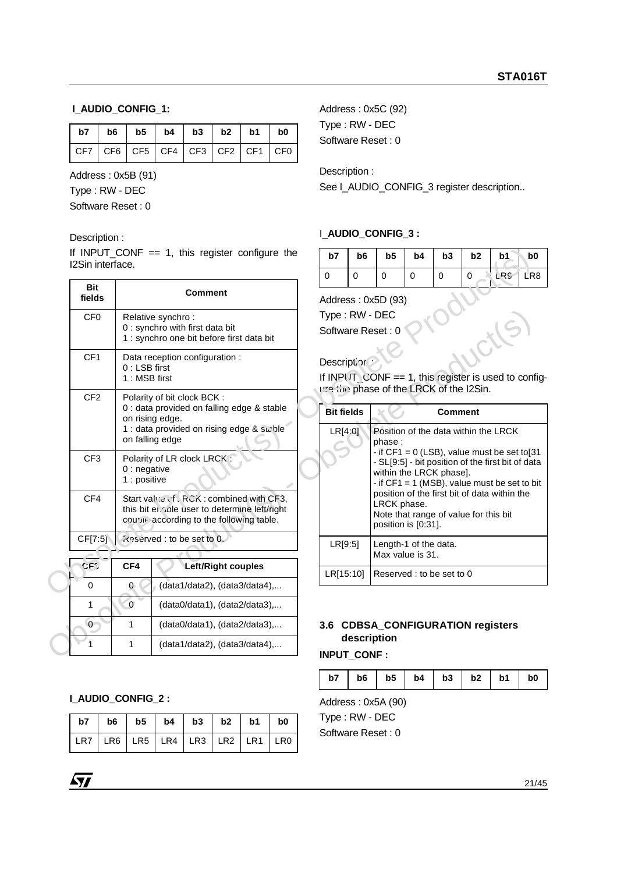## **I\_AUDIO\_CONFIG\_1:**

| $\vert$ CF7 $\vert$ CF6 $\vert$ CF5 $\vert$ CF4 $\vert$ CF3 $\vert$ CF2 $\vert$ CF1 $\vert$ CF0 $\vert$ |  |  |  |  |
|---------------------------------------------------------------------------------------------------------|--|--|--|--|

Address : 0x5B (91)

Type : RW - DEC

Software Reset : 0

#### Description :

| I2Sin interface.                                 | If INPUT_CONF $== 1$ , this register configure the                                                                                                         | b7                           | b <sub>6</sub> | b <sub>5</sub>                                                              | b4          | b3             | b <sub>2</sub> | b1                                                                                                                                                   | b0              |
|--------------------------------------------------|------------------------------------------------------------------------------------------------------------------------------------------------------------|------------------------------|----------------|-----------------------------------------------------------------------------|-------------|----------------|----------------|------------------------------------------------------------------------------------------------------------------------------------------------------|-----------------|
|                                                  |                                                                                                                                                            | $\mathbf 0$                  | $\mathbf 0$    | $\mathbf 0$                                                                 | $\mathbf 0$ | $\mathbf 0$    | $\Omega$       | LRS                                                                                                                                                  | LR <sub>8</sub> |
| <b>Bit</b><br>fields                             | <b>Comment</b>                                                                                                                                             |                              |                | Address: 0x5D (93)                                                          |             |                |                |                                                                                                                                                      |                 |
| CF <sub>0</sub>                                  | Relative synchro:<br>0 : synchro with first data bit<br>1 : synchro one bit before first data bit                                                          | Type: RW - DEC               |                | Software Reset: 0                                                           |             |                |                |                                                                                                                                                      |                 |
| CF <sub>1</sub><br>$0:$ LSB first                | Data reception configuration :<br>1: MSB first                                                                                                             | Description                  |                | ure (iii) phase of the LRCK of the I2Sin.                                   |             |                |                | If INPUT CONF == 1, this register is used to configure                                                                                               |                 |
| CF <sub>2</sub>                                  | Polarity of bit clock BCK:<br>0 : data provided on falling edge & stable<br>on rising edge.<br>1 : data provided on rising edge & suble<br>on falling edge | <b>Bit fields</b><br>LR[4:0] |                | phase:                                                                      |             | <b>Comment</b> |                | Position of the data within the LRCK                                                                                                                 |                 |
| CF <sub>3</sub><br>$0:$ negative<br>1 : positive | Polarity of LR clock LRCK:                                                                                                                                 |                              |                | within the LRCK phase].                                                     |             |                |                | - if $CF1 = 0$ (LSB), value must be set to[31<br>- SL[9:5] - bit position of the first bit of data<br>- if $CF1 = 1$ (MSB), value must be set to bit |                 |
| CF4                                              | Start value of eRCK: combined with CF3,<br>this bit en nole user to determine left/right<br>courvie according to the following table.                      |                              |                | LRCK phase.<br>Note that range of value for this bit<br>position is [0:31]. |             |                |                | position of the first bit of data within the                                                                                                         |                 |
| CF[7:5]                                          | knserved : to be set to 0.                                                                                                                                 | LR[9:5]                      |                | Length-1 of the data.<br>Max value is 31.                                   |             |                |                |                                                                                                                                                      |                 |
| GF2<br>CF4                                       | Left/Right couples                                                                                                                                         | LR[15:10]                    |                | Reserved: to be set to 0                                                    |             |                |                |                                                                                                                                                      |                 |
| $\mathbf 0$<br>$\mathbf{0}$                      | (data1/data2), (data3/data4),                                                                                                                              |                              |                |                                                                             |             |                |                |                                                                                                                                                      |                 |
| $\mathbf{0}$<br>$\mathbf{1}$                     | (data0/data1), (data2/data3),                                                                                                                              |                              |                |                                                                             |             |                |                |                                                                                                                                                      |                 |
| 0<br>1                                           | (data0/data1), (data2/data3),                                                                                                                              |                              |                | 3.6 CDBSA_CONFIGURATION registers                                           |             |                |                |                                                                                                                                                      |                 |
| $\mathbf{1}$<br>1                                | (data1/data2), (data3/data4),                                                                                                                              | <b>INPUT CONF:</b>           | description    |                                                                             |             |                |                |                                                                                                                                                      |                 |

|  | (data0/data1), (data2/data3),       |
|--|-------------------------------------|
|  | $(data0/data1)$ , $(data2/data3)$ , |
|  | $(data1/data2)$ , $(data3/data4)$ , |

## **I\_AUDIO\_CONFIG\_2 :**

| b7   b6   b5   b4   b3   b2   b1   b0         |  |  |  |  |
|-----------------------------------------------|--|--|--|--|
| LR7   LR6   LR5   LR4   LR3   LR2   LR1   LR0 |  |  |  |  |

Address : 0x5C (92) Type : RW - DEC Software Reset : 0

Description :

See I\_AUDIO\_CONFIG\_3 register description..

## I\_**AUDIO\_CONFIG\_3 :**

| b7 | b <sub>6</sub> | b <sub>5</sub> | b4 | b <sub>3</sub> | b <sub>2</sub> | b1        | b0 |
|----|----------------|----------------|----|----------------|----------------|-----------|----|
|    |                | 0              |    |                | U              | LRS   LR8 |    |

## Description

| <b>Bit fields</b> | Comment                                                                                                                                                                                                                                                                                                                                                            |
|-------------------|--------------------------------------------------------------------------------------------------------------------------------------------------------------------------------------------------------------------------------------------------------------------------------------------------------------------------------------------------------------------|
| LR[4:0]           | Position of the data within the LRCK<br>phase :<br>$-$ if CF1 = 0 (LSB), value must be set to [31<br>- SL[9:5] - bit position of the first bit of data<br>within the LRCK phase].<br>- if $CF1 = 1$ (MSB), value must be set to bit<br>position of the first bit of data within the<br>LRCK phase.<br>Note that range of value for this bit<br>position is [0:31]. |
| LR[9:5]           | Length-1 of the data.<br>Max value is 31.                                                                                                                                                                                                                                                                                                                          |
| LRI15:101         | Reserved: to be set to 0                                                                                                                                                                                                                                                                                                                                           |

## **3.6 CDBSA\_CONFIGURATION registers description**

**INPUT\_CONF :**

|  |  |  | $b7$   $b6$   $b5$   $b4$   $b3$   $b2$   $b1$   $b0$ |  |
|--|--|--|-------------------------------------------------------|--|
|  |  |  |                                                       |  |

Address : 0x5A (90)

Type : RW - DEC

Software Reset : 0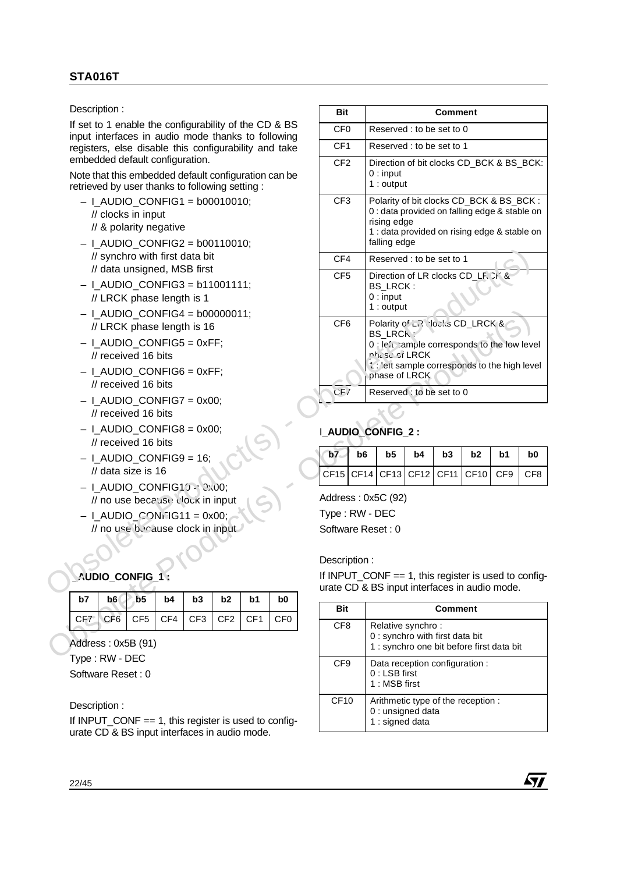- $-$  I\_AUDIO\_CONFIG1 = b00010010; // clocks in input // & polarity negative
- $-$  I\_AUDIO\_CONFIG2 = b00110010; // synchro with first data bit // data unsigned, MSB first
- $-$  I\_AUDIO\_CONFIG3 = b11001111; // LRCK phase length is 1
- $-$  I\_AUDIO\_CONFIG4 = b00000011; // LRCK phase length is 16
- $-$  I\_AUDIO\_CONFIG5 = 0xFF; // received 16 bits
- $-$  I\_AUDIO\_CONFIG6 = 0xFF; // received 16 bits
- $-$  I\_AUDIO\_CONFIG7 = 0x00; // received 16 bits
- $-$  I\_AUDIO\_CONFIG8 = 0x00; // received 16 bits
- $-$  I\_AUDIO\_CONFIG9 = 16; // data size is 16
- I\_AUDIO\_CONFIG10 = 0x00; // no use because clock in input
- $-$  I\_AUDIO\_CONFIG11 = 0x00; // no use because clock in input

# **\_AUDIO\_CONFIG\_1 :**

|  | $b7$ $b6$ $b5$ $b4$ $b3$ $b2$ $b1$ $b0$ |  |  |
|--|-----------------------------------------|--|--|
|  | CF7 CF6 CF5 CF4 CF3 CF2 CF1 CF0         |  |  |

Type : RW - DEC Software Reset : 0

## Description :

If INPUT CONF  $== 1$ , this register is used to configurate CD & BS input interfaces in audio mode.

|                 | Description:             |                                                                                                                                  |     |                 |                 |                 |                 | <b>Bit</b>      |                |                                                                                                                                                                          |    | <b>Comment</b> |             |     |                 |
|-----------------|--------------------------|----------------------------------------------------------------------------------------------------------------------------------|-----|-----------------|-----------------|-----------------|-----------------|-----------------|----------------|--------------------------------------------------------------------------------------------------------------------------------------------------------------------------|----|----------------|-------------|-----|-----------------|
|                 |                          | If set to 1 enable the configurability of the CD & BS                                                                            |     |                 |                 |                 |                 | CF <sub>0</sub> |                | Reserved : to be set to 0                                                                                                                                                |    |                |             |     |                 |
|                 |                          | input interfaces in audio mode thanks to following                                                                               |     |                 |                 |                 |                 | CF <sub>1</sub> |                | Reserved: to be set to 1                                                                                                                                                 |    |                |             |     |                 |
|                 |                          | registers, else disable this configurability and take<br>embedded default configuration.                                         |     |                 |                 |                 |                 |                 |                |                                                                                                                                                                          |    |                |             |     |                 |
|                 |                          | Note that this embedded default configuration can be<br>retrieved by user thanks to following setting:                           |     |                 |                 |                 |                 | CF <sub>2</sub> |                | Direction of bit clocks CD_BCK & BS_BCK:<br>$0:$ input<br>$1:$ output                                                                                                    |    |                |             |     |                 |
|                 |                          | $-$ I_AUDIO_CONFIG1 = b00010010;<br>// clocks in input<br>// & polarity negative<br>$-$   AUDIO CONFIG2 = b00110010;             |     |                 |                 |                 |                 | CF <sub>3</sub> |                | Polarity of bit clocks CD_BCK & BS_BCK :<br>0 : data provided on falling edge & stable on<br>rising edge<br>1 : data provided on rising edge & stable on<br>falling edge |    |                |             |     |                 |
|                 |                          | // synchro with first data bit                                                                                                   |     |                 |                 |                 |                 | CF4             |                | Reserved: to be set to 1                                                                                                                                                 |    |                |             |     |                 |
|                 |                          | // data unsigned, MSB first<br>$-$ I_AUDIO_CONFIG3 = b11001111;<br>// LRCK phase length is 1<br>$-$ I_AUDIO_CONFIG4 = b00000011; |     |                 |                 |                 |                 | CF <sub>5</sub> |                | Direction of LR clocks CD_LR CK &<br>BS_LRCK:<br>$0:$ input<br>$1:$ output                                                                                               |    |                |             |     |                 |
|                 |                          | // LRCK phase length is 16                                                                                                       |     |                 |                 |                 |                 | CF <sub>6</sub> |                | Polarity of ER vlocks CD_LRCK &<br><b>BS LRCK</b>                                                                                                                        |    |                |             |     |                 |
|                 |                          | $-$ I_AUDIO_CONFIG5 = 0xFF;<br>// received 16 bits                                                                               |     |                 |                 |                 |                 |                 |                | 0 : le'ceample corresponds to the low level<br>nhia se ci LRCK                                                                                                           |    |                |             |     |                 |
|                 |                          | $-$ I_AUDIO_CONFIG6 = 0xFF;                                                                                                      |     |                 |                 |                 |                 |                 |                | 1: lert sample corresponds to the high level                                                                                                                             |    |                |             |     |                 |
|                 |                          | // received 16 bits                                                                                                              |     |                 |                 |                 |                 |                 |                | phase of LRCK                                                                                                                                                            |    |                |             |     |                 |
|                 |                          | $-$ I_AUDIO_CONFIG7 = 0x00;                                                                                                      |     |                 |                 |                 |                 | CF/             |                | Reserved: to be set to 0                                                                                                                                                 |    |                |             |     |                 |
|                 |                          | // received 16 bits                                                                                                              |     |                 |                 |                 |                 |                 |                |                                                                                                                                                                          |    |                |             |     |                 |
|                 |                          | $-$ I_AUDIO_CONFIG8 = 0x00;<br>// received 16 bits                                                                               |     |                 |                 |                 |                 |                 |                | <b>LAUDIO_CONFIG_2:</b>                                                                                                                                                  |    |                |             |     |                 |
|                 |                          | $-$ I_AUDIO_CONFIG9 = 16;                                                                                                        |     |                 |                 |                 |                 | b7              | b <sub>6</sub> | b <sub>5</sub>                                                                                                                                                           | b4 | b3             | b2          | b1  | b <sub>0</sub>  |
|                 |                          | // data size is 16                                                                                                               |     |                 |                 |                 |                 |                 |                | CF15   CF14   CF13   CF12   CF11                                                                                                                                         |    |                | <b>CF10</b> | CF9 | CF <sub>8</sub> |
|                 |                          | $-$ I_AUDIO_CONFIG16 : 0.00;<br>// no use because clock in input                                                                 |     |                 |                 |                 |                 |                 |                | Address: 0x5C (92)                                                                                                                                                       |    |                |             |     |                 |
|                 |                          | $-$ I_AUDIO_CONNJG11 = 0x00;                                                                                                     |     |                 |                 |                 |                 | Type: RW - DEC  |                |                                                                                                                                                                          |    |                |             |     |                 |
|                 |                          | // no use because clock in input                                                                                                 |     |                 |                 |                 |                 |                 |                | Software Reset: 0                                                                                                                                                        |    |                |             |     |                 |
|                 |                          |                                                                                                                                  |     |                 |                 |                 |                 |                 |                |                                                                                                                                                                          |    |                |             |     |                 |
|                 |                          |                                                                                                                                  |     |                 |                 |                 |                 | Description:    |                |                                                                                                                                                                          |    |                |             |     |                 |
|                 |                          | AUDIO CONFIG 1:                                                                                                                  |     |                 |                 |                 |                 |                 |                | If INPUT_CONF == 1, this register is used to config-<br>urate CD & BS input interfaces in audio mode.                                                                    |    |                |             |     |                 |
| b7              | b <sub>6</sub>           | b <sub>5</sub>                                                                                                                   | b4  | b3              | b <sub>2</sub>  | b1              | b0              | Bit             |                |                                                                                                                                                                          |    | <b>Comment</b> |             |     |                 |
| CF <sub>7</sub> | CF <sub>6</sub>          | CF <sub>5</sub>                                                                                                                  | CF4 | CF <sub>3</sub> | CF <sub>2</sub> | CF <sub>1</sub> | CF <sub>0</sub> | CF <sub>8</sub> |                | Relative synchro:                                                                                                                                                        |    |                |             |     |                 |
|                 |                          | Address: 0x5B (91)                                                                                                               |     |                 |                 |                 |                 |                 |                | 0 : synchro with first data bit<br>1 : synchro one bit before first data bit                                                                                             |    |                |             |     |                 |
|                 | $TVna \cdot R$ $M = DFC$ |                                                                                                                                  |     |                 |                 |                 |                 |                 |                |                                                                                                                                                                          |    |                |             |     |                 |

# I**\_AUDIO\_CONFIG\_2 :**

|  | $b7$ b6 b5 b4 b3 b2 b1                |  |  | b <sub>0</sub> |
|--|---------------------------------------|--|--|----------------|
|  | CF15 CF14 CF13 CF12 CF11 CF10 CF9 CF8 |  |  |                |

| Bit              | <b>Comment</b>                                                                                    |
|------------------|---------------------------------------------------------------------------------------------------|
| CF <sub>8</sub>  | Relative synchro:<br>0 : synchro with first data bit<br>1 : synchro one bit before first data bit |
| CF <sub>9</sub>  | Data reception configuration:<br>$0:$ LSB first<br>1 : MSB first                                  |
| CF <sub>10</sub> | Arithmetic type of the reception:<br>0 : unsigned data<br>1 : signed data                         |

**AVI**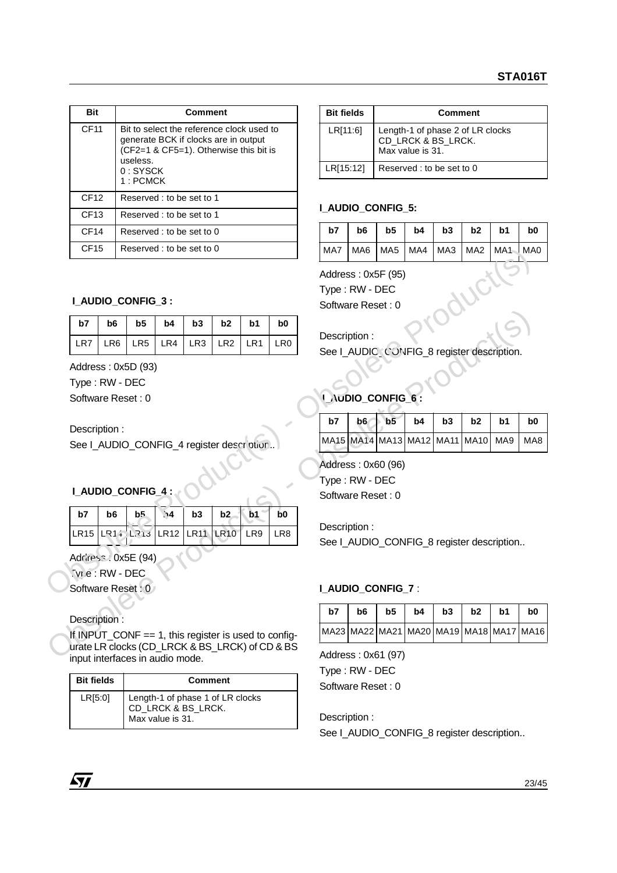| <b>Bit</b>       | Comment                                                                                                                                                           |
|------------------|-------------------------------------------------------------------------------------------------------------------------------------------------------------------|
| <b>CF11</b>      | Bit to select the reference clock used to<br>generate BCK if clocks are in output<br>(CF2=1 & CF5=1). Otherwise this bit is<br>useless.<br>$0:$ SYSCK<br>1: PCMCK |
| CF12             | Reserved: to be set to 1                                                                                                                                          |
| CF13             | Reserved: to be set to 1                                                                                                                                          |
| CF <sub>14</sub> | Reserved : to be set to 0                                                                                                                                         |
| CF15             | Reserved : to be set to 0                                                                                                                                         |

## **I\_AUDIO\_CONFIG\_3 :**

| CF15                                                                                                                                      |                                      |                 | Reserved : to be set to 0 |                 |                 |                    |                          | MA7                                                       | MA6                    | MA <sub>5</sub> | MA4 | MA3 | I MA2                                  | MA1   MA0      |                 |
|-------------------------------------------------------------------------------------------------------------------------------------------|--------------------------------------|-----------------|---------------------------|-----------------|-----------------|--------------------|--------------------------|-----------------------------------------------------------|------------------------|-----------------|-----|-----|----------------------------------------|----------------|-----------------|
|                                                                                                                                           | <b>L_AUDIO_CONFIG_3:</b>             |                 |                           |                 |                 |                    |                          | Address: 0x5F (95)<br>Type: RW - DEC<br>Software Reset: 0 |                        |                 |     |     |                                        |                |                 |
| b7                                                                                                                                        | b <sub>6</sub>                       | b <sub>5</sub>  | b4                        | b3              | b2              | b <sub>1</sub>     | b <sub>0</sub>           |                                                           |                        |                 |     |     |                                        |                |                 |
| LR7                                                                                                                                       | LR <sub>6</sub>                      | LR <sub>5</sub> | LR4                       | LR <sub>3</sub> | LR <sub>2</sub> | LR <sub>1</sub>    | LR <sub>0</sub>          | Description:                                              |                        |                 |     |     |                                        |                |                 |
|                                                                                                                                           |                                      |                 |                           |                 |                 |                    |                          | See I_AUDIC_CONFIG_8 register description.                |                        |                 |     |     |                                        |                |                 |
|                                                                                                                                           | Address: 0x5D (93)                   |                 |                           |                 |                 |                    |                          |                                                           |                        |                 |     |     |                                        |                |                 |
|                                                                                                                                           | Type: RW - DEC<br>Software Reset: 0  |                 |                           |                 |                 |                    |                          |                                                           | <b>UNUDIO_CONFIG_6</b> |                 |     |     |                                        |                |                 |
|                                                                                                                                           |                                      |                 |                           |                 |                 |                    |                          | b7                                                        | b6                     | b <sub>5</sub>  | b4  | b3  | b2                                     | b1             | b <sub>0</sub>  |
| Description:<br>See I_AUDIO_CONFIG_4 register description                                                                                 |                                      |                 |                           |                 |                 |                    |                          |                                                           |                        |                 |     |     | MA15 MA14 MA13 MA12 MA11 MA10          | MA9            | MA <sub>8</sub> |
|                                                                                                                                           | I_AUDIO_CONFIG_4:                    |                 |                           |                 |                 |                    |                          | Address: 0x60 (96)<br>Type: RW - DEC<br>Software Reset: 0 |                        |                 |     |     |                                        |                |                 |
| b7                                                                                                                                        | b <sub>6</sub>                       | b5              | $\mathbf{M}$              | b3              | b2              | b1                 | b <sub>0</sub>           |                                                           |                        |                 |     |     |                                        |                |                 |
|                                                                                                                                           | LR15 LR14 LR13 LR12                  |                 |                           | LR11            | <b>LR10</b>     | LR9                | LR8                      | Description:<br>See I_AUDIO_CONFIG_8 register description |                        |                 |     |     |                                        |                |                 |
|                                                                                                                                           | Address: 0x5E (94)<br>Tyre: RW - DEC |                 |                           |                 |                 |                    |                          |                                                           |                        |                 |     |     |                                        |                |                 |
| Software Reset: 0                                                                                                                         |                                      |                 |                           |                 |                 |                    | <b>I_AUDIO_CONFIG_7:</b> |                                                           |                        |                 |     |     |                                        |                |                 |
|                                                                                                                                           |                                      |                 |                           |                 |                 |                    |                          | b7                                                        | b <sub>6</sub>         | b <sub>5</sub>  | b4  | b3  | b2                                     | b <sub>1</sub> | b <sub>0</sub>  |
| Description:                                                                                                                              |                                      |                 |                           |                 |                 |                    |                          |                                                           |                        |                 |     |     | MA23 MA22 MA21 MA20 MA19 MA18 MA17 MA1 |                |                 |
| If INPUT_CONF == 1, this register is used to config-<br>urate LR clocks (CD_LRCK & BS_LRCK) of CD & BS<br>innut interfaces in quolio mode |                                      |                 |                           |                 |                 | Address: 0x61 (97) |                          |                                                           |                        |                 |     |     |                                        |                |                 |

# **I\_AUDIO\_CONFIG\_4 :**

| b7                                    |  | $b6$   $b5$   $\sqrt{4}$   $b3$   $b2$   $b1$   $b0$ |  |  |
|---------------------------------------|--|------------------------------------------------------|--|--|
| LR15 LR14 LR13 LR12 LR11 LR10 LR9 LR8 |  |                                                      |  |  |

## Description :

If INPUT\_CONF == 1, this register is used to configurate LR clocks (CD\_LRCK & BS\_LRCK) of CD & BS input interfaces in audio mode.

| <b>Bit fields</b> | <b>Comment</b>                                                             |
|-------------------|----------------------------------------------------------------------------|
| LR[5:0]           | Length-1 of phase 1 of LR clocks<br>CD_LRCK & BS_LRCK.<br>Max value is 31. |

| <b>Bit fields</b> | Comment                                                                    |
|-------------------|----------------------------------------------------------------------------|
| LR[11:6]          | Length-1 of phase 2 of LR clocks<br>CD_LRCK & BS_LRCK.<br>Max value is 31. |
| LR[15:12]         | Reserved : to be set to 0                                                  |

# **I\_AUDIO\_CONFIG\_5:**

| b7 | b6   b5   b4   b3   b2   b1   b0       |  |  |  |
|----|----------------------------------------|--|--|--|
|    | MA7  MA6  MA5  MA4  MA3  MA2  MA1  MA0 |  |  |  |

# **I\_AUDIO\_CONFIG\_6**

| b7                                    | $b6$ $b5$ | $b4$   $b3$ | $b2$ | b1 | b0 |
|---------------------------------------|-----------|-------------|------|----|----|
| MA15 MA14 MA13 MA12 MA11 MA10 MA9 MA8 |           |             |      |    |    |

# **I\_AUDIO\_CONFIG\_7** :

| b7                                             | b6 | b5 | $b4$   $b3$ | $b2$ | - b1 | b <sub>0</sub> |
|------------------------------------------------|----|----|-------------|------|------|----------------|
| MA23  MA22  MA21  MA20  MA19  MA18  MA17  MA16 |    |    |             |      |      |                |

Address : 0x61 (97) Type : RW - DEC Software Reset : 0

Description : See I\_AUDIO\_CONFIG\_8 register description..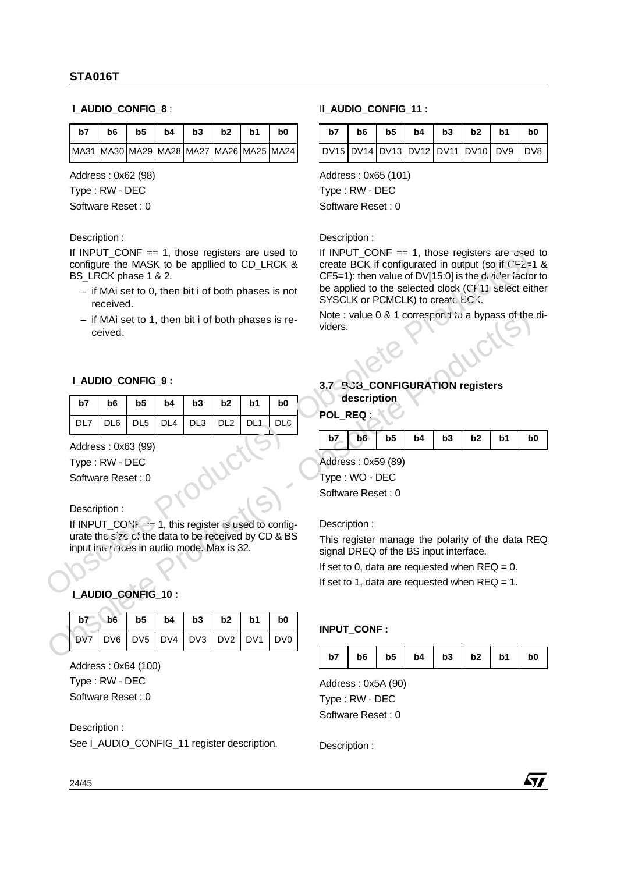#### **I\_AUDIO\_CONFIG\_8** :

| b7                                                    | b6 | b <sub>5</sub> | $b4 \mid b3 \mid$ | b2 | b1 | b0 |
|-------------------------------------------------------|----|----------------|-------------------|----|----|----|
| MA31   MA30   MA29   MA28   MA27   MA26   MA25   MA24 |    |                |                   |    |    |    |

Address : 0x62 (98)

Type : RW - DEC

Software Reset : 0

#### Description :

If INPUT\_CONF  $== 1$ , those registers are used to configure the MASK to be appllied to CD\_LRCK & BS\_LRCK phase 1 & 2.

- if MAi set to 0, then bit i of both phases is not received.
- if MAi set to 1, then bit i of both phases is received.

#### **I\_AUDIO\_CONFIG\_9 :**

|  | DL7   DL6   DL5   DL4   DL3   DL2   DL1   DLC |  |  |
|--|-----------------------------------------------|--|--|

#### Description :

## **I\_AUDIO\_CONFIG\_10 :**

|     | ceived.                                             |                 |                 |                 |                 |                 | - if MAi set to 1, then bit i of both phases is re-                                                              | Note: value 0 & 1 correspon t to a bypass of the c<br>viders.                                              |             |                |    |    |                |    |                |
|-----|-----------------------------------------------------|-----------------|-----------------|-----------------|-----------------|-----------------|------------------------------------------------------------------------------------------------------------------|------------------------------------------------------------------------------------------------------------|-------------|----------------|----|----|----------------|----|----------------|
|     | I_AUDIO_CONFIG_9:                                   |                 |                 |                 |                 |                 |                                                                                                                  | 3.7 P.C.3_CONFIGURATION registers                                                                          |             |                |    |    |                |    |                |
| b7  | b <sub>6</sub>                                      | b5              | b4              | b3              | b2              | b <sub>1</sub>  | b0                                                                                                               |                                                                                                            | description |                |    |    |                |    |                |
| DL7 | DL <sub>6</sub>                                     | DL <sub>5</sub> | DL <sub>4</sub> | DL <sub>3</sub> | DL <sub>2</sub> | DL <sub>1</sub> | <b>DLC</b>                                                                                                       | POL_REQ :                                                                                                  |             |                |    |    |                |    |                |
|     | Address: 0x63 (99)                                  |                 |                 |                 |                 |                 |                                                                                                                  | b7                                                                                                         | b6          | b <sub>5</sub> | b4 | b3 | b2             | b1 | b <sub>0</sub> |
|     | Type: RW - DEC<br>Software Reset: 0<br>Description: |                 |                 |                 |                 |                 |                                                                                                                  | Address: 0x59 (89)<br>Type: WO - DEC<br>Software Reset: 0                                                  |             |                |    |    |                |    |                |
|     | input inteniaces in audio mode. Max is 32.          |                 |                 |                 |                 |                 | If INPUT_CON: $\leq$ 1, this register is used to config-<br>urate the size of the data to be received by CD & BS | Description:<br>This register manage the polarity of the data RE<br>signal DREQ of the BS input interface. |             |                |    |    |                |    |                |
|     |                                                     |                 |                 |                 |                 |                 |                                                                                                                  | If set to 0, data are requested when $REQ = 0$ .<br>If set to 1, data are requested when $REQ = 1$ .       |             |                |    |    |                |    |                |
|     | I_AUDIO_CONFIG_10:                                  |                 |                 |                 |                 |                 |                                                                                                                  |                                                                                                            |             |                |    |    |                |    |                |
| b7  | b <sub>6</sub>                                      | b <sub>5</sub>  | b4              | b <sub>3</sub>  | b2              | b <sub>1</sub>  | b0                                                                                                               |                                                                                                            |             |                |    |    |                |    |                |
| DV7 | DV <sub>6</sub>                                     | DV <sub>5</sub> | DV <sub>4</sub> | DV <sub>3</sub> | DV <sub>2</sub> | DV <sub>1</sub> | DV <sub>0</sub>                                                                                                  | INPUT_CONF:                                                                                                |             |                |    |    |                |    |                |
|     |                                                     |                 |                 |                 |                 |                 |                                                                                                                  | h7                                                                                                         | h6.         | h <sub>5</sub> | h4 | h3 | h <sub>2</sub> | h1 | h0.            |

Address : 0x64 (100) Type : RW - DEC Software Reset : 0

Description :

See I\_AUDIO\_CONFIG\_11 register description.

#### I**I\_AUDIO\_CONFIG\_11 :**

| b7 | b6 | b5 |  | $\vert$ b4 $\vert$ b3 $\vert$ b2 $\vert$ b1         | b <sub>0</sub> |
|----|----|----|--|-----------------------------------------------------|----------------|
|    |    |    |  | DV15   DV14   DV13   DV12   DV11   DV10   DV9   DV8 |                |

Address : 0x65 (101)

Type : RW - DEC

Software Reset : 0

#### Description :

If INPUT CONF  $== 1$ , those registers are used to create BCK if configurated in output (so if  $CF2=1$  & CF5=1): then value of DV[15:0] is the divider factor to be applied to the selected clock (CF11 select either SYSCLK or PCMCLK) to create BCK. If INPUT\_CONF = 1, this register is used to configure The MASK to be applied to CD\_LRCK & create BCK if configurated in output (so if the set also LRCK).<br>
Obsolete BS\_LRCK & create BCK if configurated in output (so if the

## **3.7 BSB CONFIGURATION registers description**

| b7 | b6 |  | $b5$   $b4$   $b3$   $b2$ | b1 | b <sub>0</sub> |
|----|----|--|---------------------------|----|----------------|
|    |    |  |                           |    |                |

## **INPUT\_CONF :**

|  |  |  | $b7$   $b6$   $b5$   $b4$   $b3$   $b2$   $b1$   $b0$ |  |
|--|--|--|-------------------------------------------------------|--|
|  |  |  |                                                       |  |

Address : 0x5A (90) Type : RW - DEC Software Reset : 0

Description :

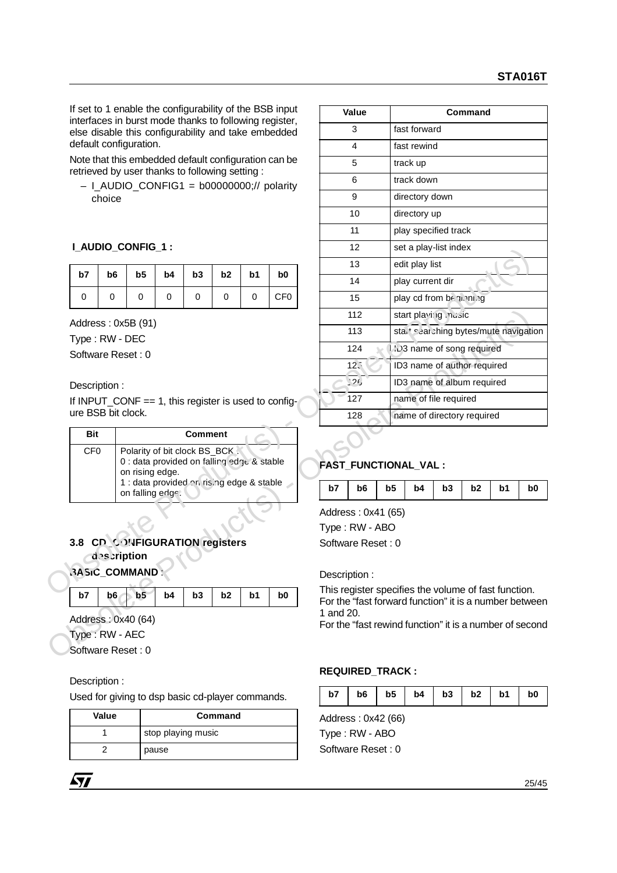## **I\_AUDIO\_CONFIG\_1 :**

|    | $b7$   $b6$   $b5$   $b4$   $b3$   $b2$   $b1$ |    |   |   | b <sub>0</sub>  |
|----|------------------------------------------------|----|---|---|-----------------|
| -0 |                                                | -0 | 0 | 0 | CF <sub>0</sub> |

| Rit             | <b>Comment</b>                                                                                                                                                  |
|-----------------|-----------------------------------------------------------------------------------------------------------------------------------------------------------------|
| CF <sub>0</sub> | Polarity of bit clock BS_BCK:<br>0 : data provided on falling edge & stable<br>on rising edge.<br>1 : data provided on rising edge & stable<br>on falling edge. |

## **3.8 CD\_CONFIGURATION registers description**

| $b7$   $b6$   $b5$   $b4$   $b3$   $b2$   $b1$   $b0$ |  |  |  |
|-------------------------------------------------------|--|--|--|

Description :

Used for giving to dsp basic cd-player commands.

| Value | Command            |
|-------|--------------------|
|       | stop playing music |
|       | pause              |

|                                                        |                    |                                                               |    |                |                |                | If set to 1 enable the configurability of the BSB input |           | Value                                                   |    |                                                   |    | Command |    |    |
|--------------------------------------------------------|--------------------|---------------------------------------------------------------|----|----------------|----------------|----------------|---------------------------------------------------------|-----------|---------------------------------------------------------|----|---------------------------------------------------|----|---------|----|----|
| interfaces in burst mode thanks to following register, |                    |                                                               |    |                |                |                | else disable this configurability and take embedded     |           | 3                                                       |    | fast forward                                      |    |         |    |    |
| default configuration.                                 |                    |                                                               |    |                |                |                |                                                         |           | $\overline{4}$                                          |    | fast rewind                                       |    |         |    |    |
| retrieved by user thanks to following setting:         |                    |                                                               |    |                |                |                | Note that this embedded default configuration can be    |           | 5                                                       |    | track up                                          |    |         |    |    |
|                                                        |                    |                                                               |    |                |                |                | $-$ I_AUDIO_CONFIG1 = b00000000;// polarity             |           | 6                                                       |    | track down                                        |    |         |    |    |
|                                                        | choice             |                                                               |    |                |                |                |                                                         |           | 9                                                       |    | directory down                                    |    |         |    |    |
|                                                        |                    |                                                               |    |                |                |                |                                                         |           | 10                                                      |    | directory up                                      |    |         |    |    |
|                                                        |                    |                                                               |    |                |                |                |                                                         |           | 11                                                      |    | play specified track                              |    |         |    |    |
|                                                        |                    | I_AUDIO_CONFIG_1:                                             |    |                |                |                |                                                         |           | 12                                                      |    | set a play-list index                             |    |         |    |    |
|                                                        |                    |                                                               |    |                |                |                |                                                         |           | 13                                                      |    | edit play list                                    |    |         |    |    |
| b7                                                     | b6                 | b5                                                            | b4 | b3             | b <sub>2</sub> | b <sub>1</sub> | b0                                                      |           | 14                                                      |    | play current dir                                  |    |         |    |    |
| 0                                                      | 0                  | 0                                                             | 0  | 0              | 0              | 0              | CF <sub>0</sub>                                         |           | 15                                                      |    | play cd from be noning                            |    |         |    |    |
|                                                        | Address: 0x5B (91) |                                                               |    |                |                |                |                                                         |           | 112                                                     |    | start playing nusic                               |    |         |    |    |
| Type: RW - DEC                                         |                    |                                                               |    |                |                |                |                                                         |           | 113                                                     |    | stal <sup>+</sup> searching bytes/mute navigation |    |         |    |    |
| Software Reset: 0                                      |                    |                                                               |    |                |                |                |                                                         |           | 124                                                     |    | <b>223 name of song required</b>                  |    |         |    |    |
|                                                        |                    |                                                               |    |                |                |                |                                                         |           | 125                                                     |    | ID3 name of author required                       |    |         |    |    |
| Description:                                           |                    |                                                               |    |                |                |                |                                                         |           | 126                                                     |    | ID3 name of album required                        |    |         |    |    |
|                                                        |                    | If INPUT_CONF == 1, this register is used to config-          |    |                |                |                |                                                         |           | 127                                                     |    | name of file required                             |    |         |    |    |
| ure BSB bit clock.                                     |                    |                                                               |    |                |                |                |                                                         |           | 128                                                     |    | name of directory required                        |    |         |    |    |
| <b>Bit</b>                                             |                    |                                                               |    | <b>Comment</b> |                |                |                                                         |           |                                                         |    |                                                   |    |         |    |    |
| CF <sub>0</sub>                                        |                    | Polarity of bit clock BS_BCK:                                 |    |                |                |                |                                                         |           |                                                         |    |                                                   |    |         |    |    |
|                                                        |                    | 0 : data provided on falling edge & stable<br>on rising edge. |    |                |                |                |                                                         |           | <b>FAST_FUNCTIONAL_VAL:</b>                             |    |                                                   |    |         |    |    |
|                                                        |                    | 1 : data provided on ris ng edge & stable<br>on falling edge. |    |                |                |                |                                                         | b7        | b6                                                      | b5 | b4                                                | b3 | b2      | b1 | b0 |
|                                                        |                    |                                                               |    |                |                |                |                                                         |           | Address: 0x41 (65)                                      |    |                                                   |    |         |    |    |
|                                                        |                    |                                                               |    |                |                |                |                                                         |           | Type: RW - ABO                                          |    |                                                   |    |         |    |    |
|                                                        |                    |                                                               |    |                |                |                |                                                         |           | Software Reset: 0                                       |    |                                                   |    |         |    |    |
| 3.8 CD CONFIGURATION registers                         |                    |                                                               |    |                |                |                |                                                         |           |                                                         |    |                                                   |    |         |    |    |
|                                                        | description        |                                                               |    |                |                |                |                                                         |           |                                                         |    |                                                   |    |         |    |    |
|                                                        |                    |                                                               |    |                |                |                |                                                         |           | Description:                                            |    |                                                   |    |         |    |    |
| b7                                                     | b6                 | b <sub>5</sub>                                                | b4 | b3             | b <sub>2</sub> | b <sub>1</sub> | b0                                                      |           | This register specifies the volume of fast function.    |    |                                                   |    |         |    |    |
| 3ASiC_COMMAND:                                         |                    |                                                               |    |                |                |                |                                                         | 1 and 20. | For the "fast forward function" it is a number between  |    |                                                   |    |         |    |    |
| Address: 0x40 (64)<br>Type: RW - AEC                   |                    |                                                               |    |                |                |                |                                                         |           | For the "fast rewind function" it is a number of second |    |                                                   |    |         |    |    |

# **FAST\_FUNCTIONAL\_VAL :**

| $b6$   $b5$   $b4$   $b3$   $b2$   $b1$  <br>b7<br>b0 |
|-------------------------------------------------------|
|-------------------------------------------------------|

## **REQUIRED\_TRACK :**

| $b6$   $b5$   $b4$   $b3$   $b2$   $b1$  <br>b7 |  |  |  |  | b <sub>0</sub> |
|-------------------------------------------------|--|--|--|--|----------------|
|-------------------------------------------------|--|--|--|--|----------------|

Address : 0x42 (66)

Type : RW - ABO Software Reset : 0

25/45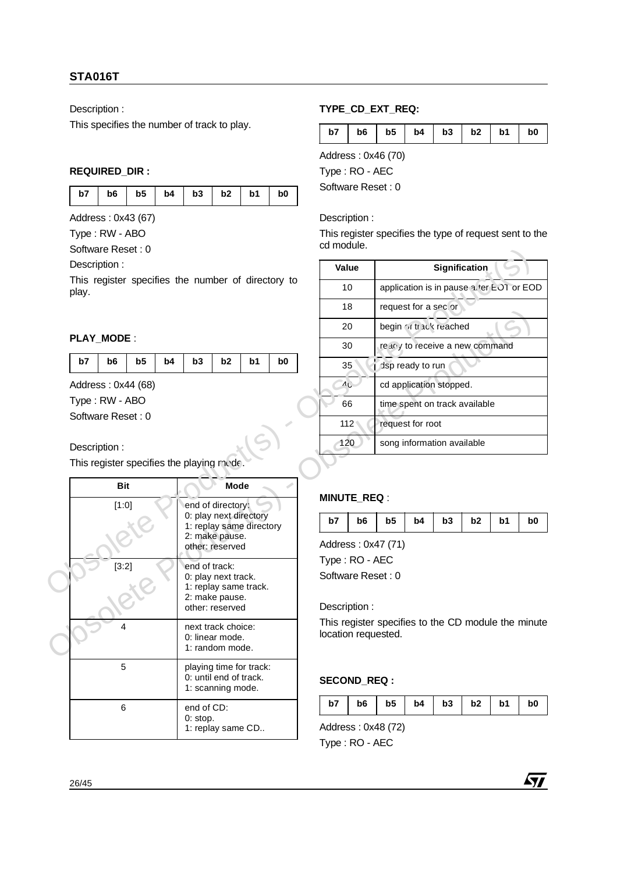Description :

This specifies the number of track to play.

## **REQUIRED\_DIR :**

| b7   b6   b5   b4   b3   b2   b1   b0 |
|---------------------------------------|
|---------------------------------------|

Address : 0x43 (67)

Type : RW - ABO

Software Reset : 0

## **PLAY\_MODE** :

| b5<br>b6<br>$ $ b7 | $b4$   $b3$   $b2$ |  | b1 | b <sub>0</sub> |  |
|--------------------|--------------------|--|----|----------------|--|
|--------------------|--------------------|--|----|----------------|--|

## Description :

|    |                   |                                           |    |               |                                                    |    |                |    | טו                  |                |                                 |    |    |                                                    |                |
|----|-------------------|-------------------------------------------|----|---------------|----------------------------------------------------|----|----------------|----|---------------------|----------------|---------------------------------|----|----|----------------------------------------------------|----------------|
|    |                   |                                           |    |               |                                                    |    |                |    | 20                  |                | begin of track reached          |    |    |                                                    |                |
|    | <b>PLAY MODE:</b> |                                           |    |               |                                                    |    |                |    | 30                  |                | re any to receive a new command |    |    |                                                    |                |
| b7 | b <sub>6</sub>    | b <sub>5</sub>                            | b4 | b3            | b2                                                 | b1 | b <sub>0</sub> |    | 35                  |                | dsp ready to run                |    |    |                                                    |                |
|    |                   | Address: 0x44 (68)                        |    |               |                                                    |    |                |    | AC                  |                | cd application stopped.         |    |    |                                                    |                |
|    | Type: RW - ABO    |                                           |    |               |                                                    |    |                |    | 66                  |                | time spent on track available   |    |    |                                                    |                |
|    | Software Reset: 0 |                                           |    |               |                                                    |    |                |    | 112                 |                | request for root                |    |    |                                                    |                |
|    | Description:      |                                           |    |               |                                                    |    |                |    | 120                 |                | song information available      |    |    |                                                    |                |
|    |                   | This register specifies the playing mode. |    |               |                                                    |    |                |    |                     |                |                                 |    |    |                                                    |                |
|    | <b>Bit</b>        |                                           |    |               | <b>Mode</b>                                        |    |                |    |                     |                |                                 |    |    |                                                    |                |
|    | [1:0]             |                                           |    |               | end of directory:                                  |    |                |    | <b>MINUTE_REQ:</b>  |                |                                 |    |    |                                                    |                |
|    |                   |                                           |    |               | 0: play next directory<br>1: replay same directory |    |                | b7 | b <sub>6</sub>      | b <sub>5</sub> | b4                              | b3 | b2 | b1                                                 | b <sub>0</sub> |
|    |                   |                                           |    |               | 2: make pause.<br>other: reserved                  |    |                |    | Address: 0x47 (71)  |                |                                 |    |    |                                                    |                |
|    | [3:2]             |                                           |    | end of track: |                                                    |    |                |    | Type: RO - AEC      |                |                                 |    |    |                                                    |                |
|    |                   |                                           |    |               | 0: play next track.                                |    |                |    | Software Reset: 0   |                |                                 |    |    |                                                    |                |
|    |                   |                                           |    |               | 1: replay same track.<br>2: make pause.            |    |                |    |                     |                |                                 |    |    |                                                    |                |
|    |                   |                                           |    |               | other: reserved                                    |    |                |    | Description:        |                |                                 |    |    |                                                    |                |
|    | 4                 |                                           |    |               | next track choice:<br>0: linear mode.              |    |                |    | location requested. |                |                                 |    |    | This register specifies to the CD module the minut |                |
|    |                   |                                           |    |               | 1: random mode.                                    |    |                |    |                     |                |                                 |    |    |                                                    |                |
|    | 5                 |                                           |    |               | playing time for track:                            |    |                |    |                     |                |                                 |    |    |                                                    |                |
|    |                   |                                           |    |               | 0: until end of track.<br>1: scanning mode.        |    |                |    | <b>SECOND_REQ:</b>  |                |                                 |    |    |                                                    |                |
|    | 6                 |                                           |    | end of CD:    |                                                    |    |                | b7 | b <sub>6</sub>      | b <sub>5</sub> | b4                              | b3 | b2 | b1                                                 | b <sub>0</sub> |
|    |                   |                                           |    | 0: stop.      | 1: replay same CD                                  |    |                |    | Address: 0x48 (72)  |                |                                 |    |    |                                                    |                |
|    |                   |                                           |    |               |                                                    |    |                |    |                     |                |                                 |    |    |                                                    |                |

## **TYPE\_CD\_EXT\_REQ:**

| b6 l<br>b7 | $b5$   $b4$   $b3$   $b2$   $b1$ |  |  |  | b0 |
|------------|----------------------------------|--|--|--|----|
|------------|----------------------------------|--|--|--|----|

Address : 0x46 (70)

Type : RO - AEC Software Reset : 0

## Description :

This register specifies the type of request sent to the cd module.

| Software Reset : 0                                          |                                                               |                |                |                                     |                |                                                     |                                 |                      |    |                                          |                |
|-------------------------------------------------------------|---------------------------------------------------------------|----------------|----------------|-------------------------------------|----------------|-----------------------------------------------------|---------------------------------|----------------------|----|------------------------------------------|----------------|
| Description:                                                |                                                               |                |                | Value                               |                |                                                     |                                 | <b>Signification</b> |    |                                          |                |
| This register specifies the number of directory to<br>play. |                                                               |                |                | 10                                  |                |                                                     |                                 |                      |    | application is in pause at er EOT or EOD |                |
|                                                             |                                                               |                |                | 18                                  |                |                                                     | request for a sector            |                      |    |                                          |                |
|                                                             |                                                               |                |                | 20                                  |                |                                                     | begin of track reached          |                      |    |                                          |                |
| PLAY_MODE:                                                  |                                                               |                |                | 30                                  |                |                                                     | re any to receive a new command |                      |    |                                          |                |
| b7<br>b6<br>b <sub>5</sub><br>b4                            | b3<br>b2                                                      | b <sub>1</sub> | b <sub>0</sub> | 35                                  |                |                                                     | dsp ready to run                |                      |    |                                          |                |
| Address: 0x44 (68)                                          |                                                               |                |                | AC                                  |                |                                                     | cd application stopped.         |                      |    |                                          |                |
| Type: RW - ABO                                              |                                                               |                |                | 66                                  |                |                                                     | time spent on track available   |                      |    |                                          |                |
| Software Reset: 0                                           |                                                               |                |                | 112                                 |                |                                                     | request for root                |                      |    |                                          |                |
| Description:                                                |                                                               |                |                | 120                                 |                |                                                     | song information available      |                      |    |                                          |                |
| This register specifies the playing mode.                   |                                                               |                |                |                                     |                |                                                     |                                 |                      |    |                                          |                |
| <b>Bit</b>                                                  | <b>Mode</b>                                                   |                |                |                                     |                |                                                     |                                 |                      |    |                                          |                |
| [1:0]                                                       | end of directory:                                             |                |                | <b>MINUTE REQ:</b>                  |                |                                                     |                                 |                      |    |                                          |                |
|                                                             | 0: play next directory<br>1: replay same directory            |                |                | b7                                  | b <sub>6</sub> | b5                                                  | b4                              | b3                   | b2 | b1                                       | b <sub>0</sub> |
|                                                             | 2: make pause.<br>other: reserved                             |                |                |                                     |                | Address: 0x47 (71)                                  |                                 |                      |    |                                          |                |
| [3:2]                                                       | end of track:<br>0: play next track.<br>1: replay same track. |                |                | Type: RO - AEC<br>Software Reset: 0 |                |                                                     |                                 |                      |    |                                          |                |
|                                                             | 2: make pause.<br>other: reserved                             |                |                | Description:                        |                |                                                     |                                 |                      |    |                                          |                |
|                                                             | novt trook ohoioo:                                            |                |                |                                     |                | This register specifies to the CD module the minute |                                 |                      |    |                                          |                |

## **MINUTE\_REQ** :

| b7   b6   b5   b4   b3   b2   b1   b0 |  |
|---------------------------------------|--|
|---------------------------------------|--|

## **SECOND\_REQ :**

|  |  |  |  |  |  | $b7$   $b6$   $b5$   $b4$   $b3$   $b2$   $b1$   $b0$ |  |
|--|--|--|--|--|--|-------------------------------------------------------|--|
|--|--|--|--|--|--|-------------------------------------------------------|--|

Address : 0x48 (72) Type : RO - AEC



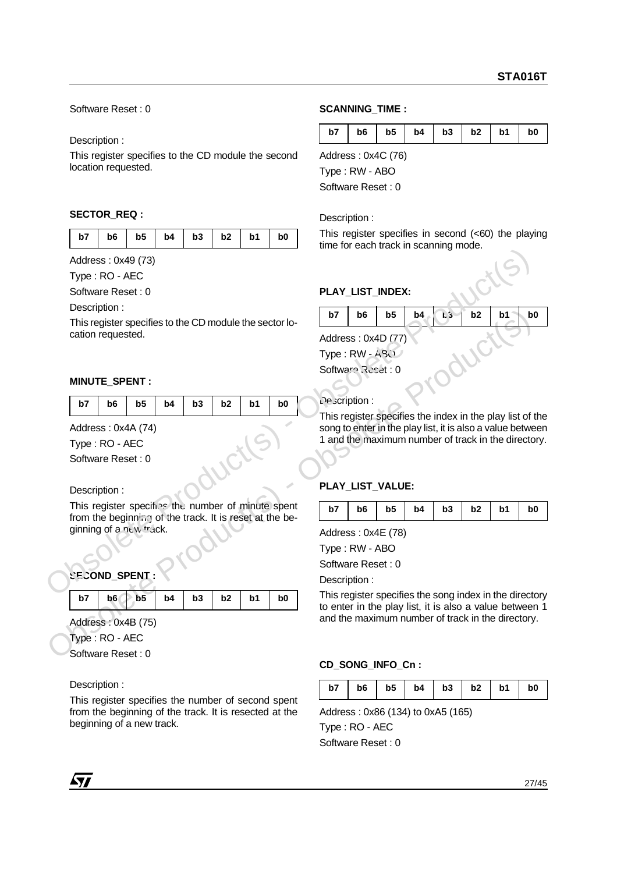Software Reset : 0

Description :

This register specifies to the CD module the second location requested.

## **SECTOR\_REQ :**

|  |  | b7   b6   b5   b4   b3   b2   b1 |  | b <sub>0</sub> |
|--|--|----------------------------------|--|----------------|

## **MINUTE\_SPENT :**

| b7   b6   b5   b4   b3   b2   b1   b0 |  |  |
|---------------------------------------|--|--|
|---------------------------------------|--|--|

|                                                                                    |                |    |                |                |    |                |    | unio for caon traoit in Joanning mode. |                                                                                                                 |    |    |                |    |                |
|------------------------------------------------------------------------------------|----------------|----|----------------|----------------|----|----------------|----|----------------------------------------|-----------------------------------------------------------------------------------------------------------------|----|----|----------------|----|----------------|
| Address: 0x49 (73)                                                                 |                |    |                |                |    |                |    |                                        |                                                                                                                 |    |    |                |    |                |
| Type: RO - AEC                                                                     |                |    |                |                |    |                |    |                                        |                                                                                                                 |    |    |                |    |                |
| Software Reset: 0                                                                  |                |    |                |                |    |                |    |                                        | PLAY_LIST_INDEX:                                                                                                |    |    |                |    |                |
| Description:                                                                       |                |    |                |                |    |                | b7 | b <sub>6</sub>                         | b <sub>5</sub>                                                                                                  | b4 | b3 | b2             | b1 | b <sub>0</sub> |
| This register specifies to the CD module the sector lo-                            |                |    |                |                |    |                |    |                                        |                                                                                                                 |    |    |                |    |                |
| cation requested.                                                                  |                |    |                |                |    |                |    |                                        | Address: 0x4D (77)                                                                                              |    |    |                |    |                |
|                                                                                    |                |    |                |                |    |                |    | Type: RW - A30                         |                                                                                                                 |    |    |                |    |                |
|                                                                                    |                |    |                |                |    |                |    | Software Reset: 0                      |                                                                                                                 |    |    |                |    |                |
| MINUTE_SPENT:                                                                      |                |    |                |                |    |                |    |                                        |                                                                                                                 |    |    |                |    |                |
| b7<br>b <sub>6</sub>                                                               | b <sub>5</sub> | b4 | b <sub>3</sub> | b <sub>2</sub> | b1 | b <sub>0</sub> |    | Le scription :                         |                                                                                                                 |    |    |                |    |                |
|                                                                                    |                |    |                |                |    |                |    |                                        | This register specifies the index in the play list of the                                                       |    |    |                |    |                |
| Address: 0x4A (74)                                                                 |                |    |                |                |    |                |    |                                        | song to enter in the play list, it is also a value betwee                                                       |    |    |                |    |                |
| Type: RO - AEC                                                                     |                |    |                |                |    |                |    |                                        | 1 and the maximum number of track in the director                                                               |    |    |                |    |                |
| Software Reset: 0                                                                  |                |    |                |                |    |                |    |                                        |                                                                                                                 |    |    |                |    |                |
|                                                                                    |                |    |                |                |    |                |    |                                        |                                                                                                                 |    |    |                |    |                |
| Description:                                                                       |                |    |                |                |    |                |    |                                        | PLAY_LIST_VALUE:                                                                                                |    |    |                |    |                |
| This register specifies the number of minute spent                                 |                |    |                |                |    |                | b7 | b6                                     | b5                                                                                                              | b4 | b3 | b <sub>2</sub> | b1 | b0             |
| from the beginning of the track. It is reset at the be-<br>ginning of a new track. |                |    |                |                |    |                |    |                                        |                                                                                                                 |    |    |                |    |                |
|                                                                                    |                |    |                |                |    |                |    |                                        | Address: 0x4E (78)                                                                                              |    |    |                |    |                |
|                                                                                    |                |    |                |                |    |                |    | Type: RW - ABO                         |                                                                                                                 |    |    |                |    |                |
|                                                                                    |                |    |                |                |    |                |    | Software Reset: 0                      |                                                                                                                 |    |    |                |    |                |
| <b>SECOND_SPENT:</b>                                                               |                |    |                |                |    |                |    | Description:                           |                                                                                                                 |    |    |                |    |                |
| b7<br>b <sub>6</sub>                                                               | b <sub>5</sub> | b4 | b <sub>3</sub> | b2             | b1 | b <sub>0</sub> |    |                                        | This register specifies the song index in the director<br>to enter in the play list, it is also a value between |    |    |                |    |                |
| Address: 0x4B (75)                                                                 |                |    |                |                |    |                |    |                                        | and the maximum number of track in the directory.                                                               |    |    |                |    |                |
| Type: RO - AEC                                                                     |                |    |                |                |    |                |    |                                        |                                                                                                                 |    |    |                |    |                |
|                                                                                    |                |    |                |                |    |                |    |                                        |                                                                                                                 |    |    |                |    |                |

Description :

This register specifies the number of second spent from the beginning of the track. It is resected at the beginning of a new track.

## **SCANNING\_TIME :**

|  |  |  | b7   b6   b5   b4   b3   b2   b1   b0 |  |
|--|--|--|---------------------------------------|--|
|  |  |  |                                       |  |

Address : 0x4C (76) Type : RW - ABO

Software Reset : 0

#### Description :

This register specifies in second (<60) the playing time for each track in scanning mode.

## PLAY\_LIST\_INDEX:

|    | PLAY LIST INDEX:   |    |    |    |                |    |    |
|----|--------------------|----|----|----|----------------|----|----|
| b7 | b6                 | b5 | b4 | b3 | b <sub>2</sub> | b1 | b0 |
|    | Address: 0x4D (77) |    |    |    |                |    |    |
|    | Type: RW - ABO     |    |    |    |                |    |    |
|    | Software Reset: 0  |    |    |    |                |    |    |
|    |                    |    |    |    |                |    |    |

## **PLAY\_LIST\_VALUE:**

|  |  |  | $b7$   $b6$   $b5$   $b4$   $b3$   $b2$   $b1$   $b0$ |  |
|--|--|--|-------------------------------------------------------|--|

## **CD\_SONG\_INFO\_Cn :**

|--|

Address : 0x86 (134) to 0xA5 (165)

Type : RO - AEC Software Reset : 0

*ky*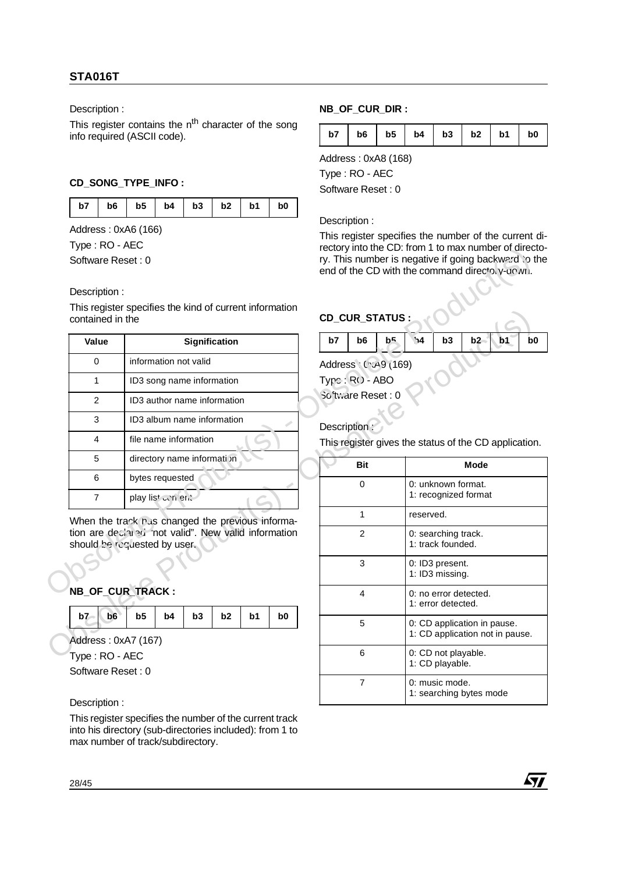Description :

This register contains the n<sup>th</sup> character of the song info required (ASCII code).

## **CD\_SONG\_TYPE\_INFO :**

| b7   b6   b5   b4   b3   b2   b1   b0 |
|---------------------------------------|
|---------------------------------------|

Address : 0xA6 (166)

Type : RO - AEC

#### Description :

| י ישר ייטקי                                                                         |                |                                                  |    |               |                |                |  |                    |                |                |              |                                          | rectory into the CD. from T to max number of director                                              |    |   |
|-------------------------------------------------------------------------------------|----------------|--------------------------------------------------|----|---------------|----------------|----------------|--|--------------------|----------------|----------------|--------------|------------------------------------------|----------------------------------------------------------------------------------------------------|----|---|
| Software Reset: 0                                                                   |                |                                                  |    |               |                |                |  |                    |                |                |              |                                          | ry. This number is negative if going backward to<br>end of the CD with the command directory-down. |    |   |
| Description:                                                                        |                |                                                  |    |               |                |                |  |                    |                |                |              |                                          |                                                                                                    |    |   |
| This register specifies the kind of current information<br>contained in the         |                |                                                  |    |               |                |                |  | CD_CUR_STATUS:     |                |                |              |                                          |                                                                                                    |    |   |
| Value                                                                               |                |                                                  |    | Signification |                |                |  | b7                 | b <sub>6</sub> | b <sup>5</sup> | $\mathbf{A}$ | b3                                       | b2                                                                                                 | b1 | b |
| $\Omega$                                                                            |                | information not valid                            |    |               |                |                |  | Address (YA9 (169) |                |                |              |                                          |                                                                                                    |    |   |
| 1                                                                                   |                | ID3 song name information                        |    |               |                |                |  | Type: RO-ABO       |                |                |              |                                          |                                                                                                    |    |   |
| 2                                                                                   |                | ID3 author name information                      |    |               |                |                |  | So tware Reset: 0  |                |                |              |                                          |                                                                                                    |    |   |
| 3                                                                                   |                | ID3 album name information                       |    |               |                |                |  | Description:       |                |                |              |                                          |                                                                                                    |    |   |
| $\overline{4}$                                                                      |                | file name information                            |    |               |                |                |  |                    |                |                |              |                                          | This register gives the status of the CD applicatio                                                |    |   |
| 5                                                                                   |                | directory name informati in                      |    |               |                |                |  |                    | <b>Bit</b>     |                |              |                                          | Mode                                                                                               |    |   |
| 6                                                                                   |                | bytes requested                                  |    |               |                |                |  |                    | 0              |                |              | 0: unknown format.                       |                                                                                                    |    |   |
| $\overline{7}$                                                                      |                | play list of nient                               |    |               |                |                |  |                    |                |                |              |                                          | 1: recognized format                                                                               |    |   |
|                                                                                     |                | When the track rus cnanged the previous informa- |    |               |                |                |  | 1<br>reserved.     |                |                |              |                                          |                                                                                                    |    |   |
| tion are declared mot valid". New valid information<br>should be requested by user. |                |                                                  |    |               |                |                |  |                    | $\overline{2}$ |                |              | 0: searching track.<br>1: track founded. |                                                                                                    |    |   |
|                                                                                     |                |                                                  |    |               |                |                |  |                    | 3              |                |              | 0: ID3 present.<br>1: ID3 missing.       |                                                                                                    |    |   |
| NB_OF_CUR_TRACK:                                                                    |                |                                                  |    |               |                |                |  |                    | 4              |                |              | 1: error detected.                       | 0: no error detected.                                                                              |    |   |
| b7<br>b6                                                                            | b <sub>5</sub> | b4                                               | b3 | b2            | b <sub>1</sub> | b <sub>0</sub> |  |                    | 5              |                |              |                                          | 0: CD application in pause.                                                                        |    |   |

|  | NB OF CUR TRACK: |  |
|--|------------------|--|
|  |                  |  |

|  | $b7$ $b6$ $b5$ $b4$ $b3$ $b2$ $b1$ $b0$ |  |  |
|--|-----------------------------------------|--|--|
|  |                                         |  |  |

Description :

This register specifies the number of the current track into his directory (sub-directories included): from 1 to max number of track/subdirectory.

## **NB\_OF\_CUR\_DIR :**

| b7   b6   b5   b4   b3   b2   b1   b0 |
|---------------------------------------|
|---------------------------------------|

Address : 0xA8 (168)

Type : RO - AEC

Software Reset : 0

#### Description :

This register specifies the number of the current directory into the CD: from 1 to max number of directory. This number is negative if going backward to the end of the CD with the command directory-down.

## **CD\_CUR\_STATUS :**

|  | $ $ b7 $ $ b6 $ $ b <sup>5</sup> $ $ b4 $ $ b3 $ $ b2 b1 b0 |  |  |  |
|--|-------------------------------------------------------------|--|--|--|
|  |                                                             |  |  |  |

| This register specifies the Kind of current information<br>contained in the          |    |                    |                             |                      |    |                |                 |                | <b>CD_CUR_STATUS:</b>                                 |                                            |                                          |                                                                |    |                |
|--------------------------------------------------------------------------------------|----|--------------------|-----------------------------|----------------------|----|----------------|-----------------|----------------|-------------------------------------------------------|--------------------------------------------|------------------------------------------|----------------------------------------------------------------|----|----------------|
| Value                                                                                |    |                    |                             | <b>Signification</b> |    |                | b7              | b <sub>6</sub> | b <sup>5</sup>                                        | $\mathbf{A}$                               | b3                                       | b2                                                             | b1 | b <sub>0</sub> |
| $\Omega$                                                                             |    |                    | information not valid       |                      |    |                |                 |                | Address (YA9 (169)                                    |                                            |                                          |                                                                |    |                |
| 1                                                                                    |    |                    | ID3 song name information   |                      |    |                | Typc: R() - ABO |                |                                                       |                                            |                                          |                                                                |    |                |
| 2                                                                                    |    |                    | ID3 author name information |                      |    |                |                 |                | So tware Reset: 0                                     |                                            |                                          |                                                                |    |                |
| 3                                                                                    |    |                    | ID3 album name information  |                      |    |                | Description:    |                |                                                       |                                            |                                          |                                                                |    |                |
| 4                                                                                    |    |                    | file name information       |                      |    |                |                 |                | This register gives the status of the CD application. |                                            |                                          |                                                                |    |                |
| 5                                                                                    |    |                    | directory name informati in |                      |    |                |                 | <b>Bit</b>     |                                                       |                                            |                                          | <b>Mode</b>                                                    |    |                |
| 6                                                                                    |    | bytes requested    |                             |                      |    |                |                 | $\Omega$       |                                                       | 0: unknown format.<br>1: recognized format |                                          |                                                                |    |                |
| $\overline{7}$                                                                       |    | play list of nient |                             |                      |    |                |                 |                |                                                       |                                            |                                          |                                                                |    |                |
| When the track rus cnanged the previous informa-                                     |    |                    |                             |                      |    |                |                 | 1              |                                                       | reserved.                                  |                                          |                                                                |    |                |
| tion are declared inot valid". New valid information<br>should be requested by user. |    |                    |                             |                      |    |                |                 | 2              |                                                       |                                            | 0: searching track.<br>1: track founded. |                                                                |    |                |
|                                                                                      |    |                    |                             |                      |    |                |                 | 3              |                                                       |                                            | 0: ID3 present.<br>1: ID3 missing.       |                                                                |    |                |
| <b>NB_OF_CUR_TRACK:</b>                                                              |    |                    |                             |                      |    |                |                 | 4              |                                                       |                                            | 1: error detected.                       | 0: no error detected.                                          |    |                |
| b7<br>b6                                                                             | b5 | b <sub>4</sub>     | b3                          | b2                   | b1 | b <sub>0</sub> |                 | 5              |                                                       |                                            |                                          | 0: CD application in pause.<br>1: CD application not in pause. |    |                |
| Address: 0xA7 (167)<br>Type: RO - AEC                                                |    |                    |                             |                      |    |                |                 | $6\phantom{1}$ |                                                       |                                            | 0: CD not playable.                      |                                                                |    |                |
| Software Reset: 0                                                                    |    |                    |                             |                      |    |                |                 |                |                                                       |                                            | 1: CD playable.                          |                                                                |    |                |
|                                                                                      |    |                    |                             |                      |    |                |                 | $\overline{7}$ |                                                       |                                            | 0: music mode.                           | 1: searching bytes mode                                        |    |                |
| Description:                                                                         |    |                    |                             |                      |    |                |                 |                |                                                       |                                            |                                          |                                                                |    |                |

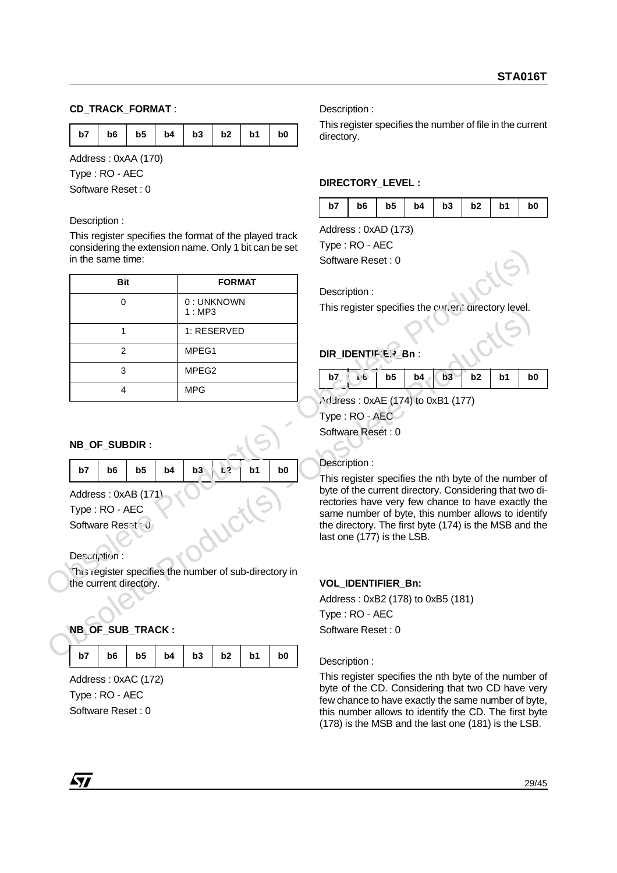## **CD\_TRACK\_FORMAT** :

|  |  |  | b7   b6   b5   b4   b3   b2   b1   b0 |  |  |  |  |
|--|--|--|---------------------------------------|--|--|--|--|
|--|--|--|---------------------------------------|--|--|--|--|

Address : 0xAA (170)

Type : RO - AEC

Software Reset : 0

#### Description :

This register specifies the format of the played track considering the extension name. Only 1 bit can be set in the same time:

| <b>Bit</b>                                             | <b>FORMAT</b>           |                      | Description:                                                                                            |
|--------------------------------------------------------|-------------------------|----------------------|---------------------------------------------------------------------------------------------------------|
| $\mathbf 0$                                            | 0: UNKNOWN<br>1:MP3     |                      | This register specifies the curvent airectory level.                                                    |
| $\mathbf{1}$                                           | 1: RESERVED             |                      |                                                                                                         |
| $\overline{2}$                                         | MPEG1                   |                      | DIR IDENTIF.E.? Bn :                                                                                    |
| 3                                                      | MPEG <sub>2</sub>       |                      | b3<br>b5<br>b2<br>b <sub>1</sub><br>b <sub>0</sub><br>b7<br>b4<br>1.6                                   |
| $\overline{4}$                                         | <b>MPG</b>              |                      |                                                                                                         |
|                                                        |                         |                      | Address: 0xAE (174) to 0xB1 (177)<br>Type: RO - AEC                                                     |
|                                                        |                         |                      | Software Reset: 0                                                                                       |
| NB_OF_SUBDIR:                                          |                         |                      |                                                                                                         |
|                                                        |                         |                      |                                                                                                         |
|                                                        |                         |                      | Description:                                                                                            |
| b <sub>6</sub><br>b <sub>5</sub><br>b4<br>b7           | b3<br>$F_{\mathcal{S}}$ | b1<br>b <sub>0</sub> | This register specifies the nth byte of the number                                                      |
| Address: 0xAB (171)                                    |                         |                      | byte of the current directory. Considering that two c                                                   |
| Type: RO - AEC                                         |                         |                      | rectories have very few chance to have exactly th<br>same number of byte, this number allows to identit |
| Software Reset O                                       |                         |                      | the directory. The first byte (174) is the MSB and th<br>last one (177) is the LSB.                     |
| Description:                                           |                         |                      |                                                                                                         |
| This register specifies the number of sub-directory in |                         |                      |                                                                                                         |
| the current directory.                                 |                         |                      | VOL_IDENTIFIER_Bn:                                                                                      |
|                                                        |                         |                      | Address: 0xB2 (178) to 0xB5 (181)                                                                       |
|                                                        |                         |                      | Type: RO - AEC                                                                                          |
| NB OF SUB TRACK:                                       |                         |                      | Software Reset: 0                                                                                       |
| b5<br>b7<br>b <sub>6</sub><br>b4                       | b3<br>b <sub>2</sub>    | b <sub>0</sub><br>b1 |                                                                                                         |

## **NB\_OF\_SUBDIR :**

| b7   b6   b5   b4   b3   $k^2$   b1   b0 |  |  |  |  |
|------------------------------------------|--|--|--|--|
|                                          |  |  |  |  |

## **NB\_OF\_SUB\_TRACK :**

| b <sub>0</sub> |
|----------------|
|----------------|

Address : 0xAC (172) Type : RO - AEC Software Reset : 0

Description :

This register specifies the number of file in the current directory.

#### **DIRECTORY\_LEVEL :**

|  |  |  | $b7$   $b6$   $b5$   $b4$   $b3$   $b2$   $b1$   $b0$ |  |
|--|--|--|-------------------------------------------------------|--|
|  |  |  |                                                       |  |

Address : 0xAD (173)

Type : RO - AEC

## **DIR\_IDENTIF.ER\_Bn:**

| b7 |  |  |  |  |
|----|--|--|--|--|

## Description :

## **VOL\_IDENTIFIER\_Bn:**

Description :

This register specifies the nth byte of the number of byte of the CD. Considering that two CD have very few chance to have exactly the same number of byte, this number allows to identify the CD. The first byte (178) is the MSB and the last one (181) is the LSB.

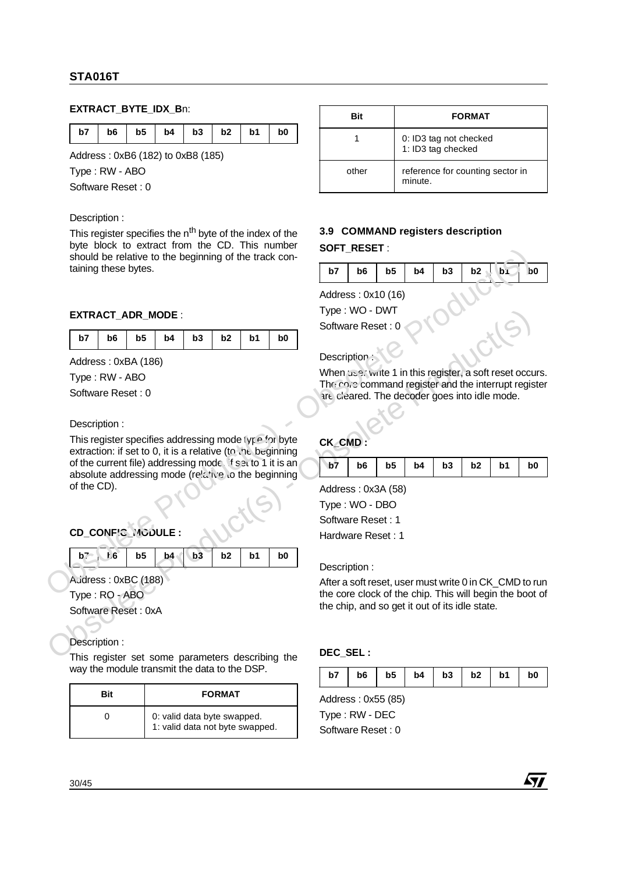## **EXTRACT\_BYTE\_IDX\_B**n:

|  |  | b7   b6   b5   b4   b3   b2   b1   b0 |  |  |
|--|--|---------------------------------------|--|--|

Address : 0xB6 (182) to 0xB8 (185)

Type : RW - ABO

Software Reset : 0

#### Description :

This register specifies the n<sup>th</sup> byte of the index of the byte block to extract from the CD. This number should be relative to the beginning of the track containing these bytes.

#### **EXTRACT\_ADR\_MODE** :

| b7   b6   b5   b4   b3   b2   b1   b0 |  |  |  |  |  |  |  |
|---------------------------------------|--|--|--|--|--|--|--|
|---------------------------------------|--|--|--|--|--|--|--|

Address : 0xBA (186)

Type : RW - ABO

Software Reset : 0

Description :

EXTRACT\_ADR\_MODE:<br>  $\frac{b\overline{y}}{x} + \frac{b\overline{6}}{6}$  bs  $\overline{b}$  bs  $\overline{b}$  bs  $\overline{c}$  control control control control control control control control control control control control control control control control control This register specifies addressing mode type for byte extraction: if set to 0, it is a relative (to the beginning of the current file) addressing mode, if set to 1 it is an absolute addressing mode (relative to the beginning of the CD). Should be relative to the beginning of the track contribution of the track contract a DR. Models: CMS (16)<br>
EXTRACT ADR. MODE:<br>  $\frac{57}{17}$  b6  $\frac{1}{15}$  b6  $\frac{1}{15}$  b6  $\frac{1}{15}$  b7  $\frac{1}{15}$  b6  $\frac{1}{15}$  controls: C

## **CD\_CONFIG\_MODULE :**

| 16<br>$b^7$ | $b5$ $b4$ $b3$ $b2$ $b1$ |  | b <sub>0</sub> |
|-------------|--------------------------|--|----------------|

Address : 0xBC (188)

Type : RO - ABO

Software Reset : 0xA

Description :

This register set some parameters describing the way the module transmit the data to the DSP.

| Bit | <b>FORMAT</b>                                                  |
|-----|----------------------------------------------------------------|
|     | 0: valid data byte swapped.<br>1: valid data not byte swapped. |

| Bit   | <b>FORMAT</b>                                |
|-------|----------------------------------------------|
|       | 0: ID3 tag not checked<br>1: ID3 tag checked |
| other | reference for counting sector in<br>minute.  |

# **3.9 COMMAND registers description SOFT\_RESET** :

|   |  |  | $b7$   $b6$   $b5$   $b4$   $b3$   $b2$   $b1$   $b0$ |  |
|---|--|--|-------------------------------------------------------|--|
|   |  |  |                                                       |  |
| . |  |  |                                                       |  |

Address : 0x10 (16) Type : WO - DWT

Software Reset : 0

## Description :

When use: write 1 in this register, a soft reset occurs. The contenant register and the interrupt register are cleared. The decoder goes into idle mode.

| CK CMD: |  |
|---------|--|
|         |  |

|  |  |  |  |  |  |  |  | b0 |
|--|--|--|--|--|--|--|--|----|
|--|--|--|--|--|--|--|--|----|

Address : 0x3A (58) Type : WO - DBO Software Reset : 1

Hardware Reset : 1

Description :

After a soft reset, user must write 0 in CK\_CMD to run the core clock of the chip. This will begin the boot of the chip, and so get it out of its idle state.

## **DEC\_SEL :**

| $b7$   $b6$   $b5$   $b4$   $b3$   $b2$   $b1$   $b0$ |  |  |  |  |  |  |
|-------------------------------------------------------|--|--|--|--|--|--|
|-------------------------------------------------------|--|--|--|--|--|--|

Address : 0x55 (85) Type : RW - DEC

Software Reset : 0



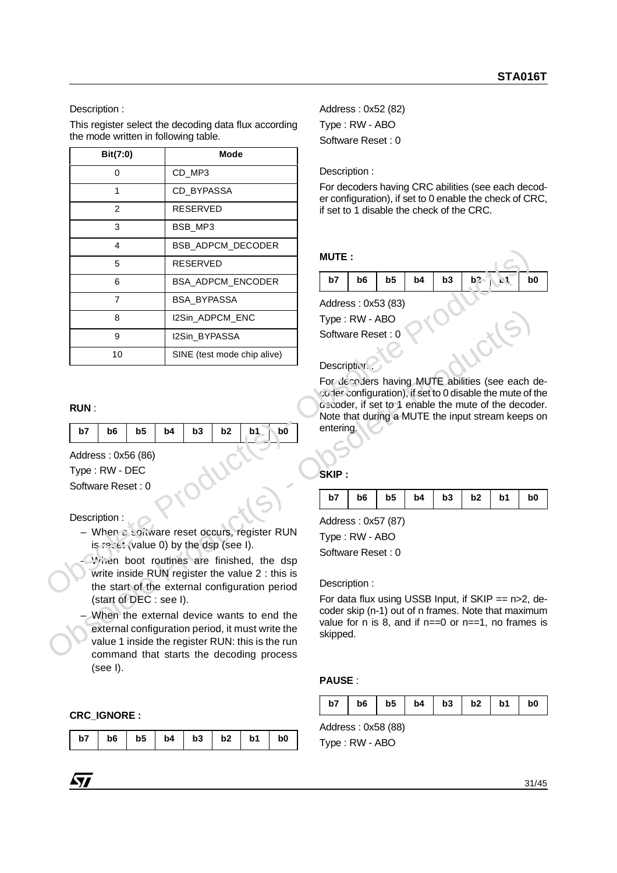This register select the decoding data flux according the mode written in following table.

|                                   | Bit(7:0)<br><b>Mode</b>  |    |    |                                        |                |                                                                                                                                                                                                 |                                                                                                                                                                      |    |                |                |    |    |                |   |
|-----------------------------------|--------------------------|----|----|----------------------------------------|----------------|-------------------------------------------------------------------------------------------------------------------------------------------------------------------------------------------------|----------------------------------------------------------------------------------------------------------------------------------------------------------------------|----|----------------|----------------|----|----|----------------|---|
|                                   | 0                        |    |    | CD_MP3                                 |                |                                                                                                                                                                                                 | Description:                                                                                                                                                         |    |                |                |    |    |                |   |
|                                   | $\mathbf{1}$             |    |    | CD_BYPASSA                             |                |                                                                                                                                                                                                 | For decoders having CRC abilities (see each dec<br>er configuration), if set to 0 enable the check of CI                                                             |    |                |                |    |    |                |   |
|                                   | $\overline{2}$           |    |    | <b>RESERVED</b>                        |                |                                                                                                                                                                                                 | if set to 1 disable the check of the CRC.                                                                                                                            |    |                |                |    |    |                |   |
|                                   | $\mathfrak{3}$           |    |    | BSB_MP3                                |                |                                                                                                                                                                                                 |                                                                                                                                                                      |    |                |                |    |    |                |   |
|                                   | $\overline{4}$           |    |    |                                        |                | BSB_ADPCM_DECODER                                                                                                                                                                               |                                                                                                                                                                      |    |                |                |    |    |                |   |
|                                   | 5                        |    |    | <b>RESERVED</b>                        |                |                                                                                                                                                                                                 | <b>MUTE:</b>                                                                                                                                                         |    |                |                |    |    |                |   |
|                                   | 6                        |    |    |                                        |                | BSA_ADPCM_ENCODER                                                                                                                                                                               | b7                                                                                                                                                                   | b6 | b <sub>5</sub> | b <sub>4</sub> | b3 | b2 | L <sub>1</sub> | b |
|                                   | $\overline{7}$           |    |    | BSA_BYPASSA                            |                |                                                                                                                                                                                                 | Address: 0x53 (83)                                                                                                                                                   |    |                |                |    |    |                |   |
|                                   | 8                        |    |    | I2Sin_ADPCM_ENC                        |                |                                                                                                                                                                                                 | Type: RW - ABO                                                                                                                                                       |    |                |                |    |    |                |   |
|                                   | $\boldsymbol{9}$         |    |    | I2Sin_BYPASSA                          |                |                                                                                                                                                                                                 | Software Reset: 0                                                                                                                                                    |    |                |                |    |    |                |   |
| 10<br>SINE (test mode chip alive) |                          |    |    | Description.                           |                |                                                                                                                                                                                                 |                                                                                                                                                                      |    |                |                |    |    |                |   |
| <b>RUN:</b><br>b7                 | b6<br>Address: 0x56 (86) | b5 | b4 | b <sub>3</sub>                         | b <sub>2</sub> | b1<br>b <sub>0</sub>                                                                                                                                                                            | o scoder, if set to 1 enable the mute of the decor<br>Note that during a MUTE the input stream keeps<br>entering.                                                    |    |                |                |    |    |                |   |
|                                   | Type: RW - DEC           |    |    |                                        |                |                                                                                                                                                                                                 | SKIP:                                                                                                                                                                |    |                |                |    |    |                |   |
|                                   | Software Reset: 0        |    |    |                                        |                |                                                                                                                                                                                                 | b7                                                                                                                                                                   | b6 | b <sub>5</sub> | b4             | b3 | b2 | b <sub>1</sub> | b |
|                                   | Description:             |    |    | is recet (value 0) by the dsp (see I). |                | - When a soltware reset occurs, register RUN<br>Writen boot routines are finished, the dsp<br>write inside RUN register the value 2 : this is<br>the start of the external configuration period | Address: 0x57 (87)<br>Type: RW - ABO<br>Software Reset: 0<br>Description:                                                                                            |    |                |                |    |    |                |   |
|                                   | (start of DEC : see I).  |    |    |                                        |                | When the external device wants to end the<br>the contract of the contract of the contract of the contract of the contract of the contract of the contract of                                    | For data flux using USSB Input, if SKIP == $n>2$ ,<br>coder skip (n-1) out of n frames. Note that maxim<br>value for n is 8, and if $n == 0$ or $n == 1$ , no frames |    |                |                |    |    |                |   |

## **RUN** :

| b7 |  |  | $b6$   $b5$   $b4$   $b3$   $b2$   $b1$ | b <sub>0</sub> |
|----|--|--|-----------------------------------------|----------------|
|    |  |  |                                         |                |

- When a software reset occurs, register RUN is reset (value 0) by the dsp (see I).
- **When boot routines are finished, the dsp** write inside RUN register the value 2 : this is the start of the external configuration period (start of DEC : see I).
- When the external device wants to end the external configuration period, it must write the value 1 inside the register RUN: this is the run command that starts the decoding process (see I).

## **CRC\_IGNORE :**

|  | b7   b6   b5   b4   b3   b2   b1   b0 |  |  |
|--|---------------------------------------|--|--|

Address : 0x52 (82) Type : RW - ABO Software Reset : 0

#### Description :

For decoders having CRC abilities (see each decoder configuration), if set to 0 enable the check of CRC, if set to 1 disable the check of the CRC.

#### **MUTE :**

| b7                 | b6 | b5 | b <sub>4</sub> | b3 | b2 | b0 |
|--------------------|----|----|----------------|----|----|----|
| Address: 0x53 (83) |    |    |                |    |    |    |
| Type: RW - ABO     |    |    |                |    |    |    |

# Description :

**B**<br> **EXERCIST PROPASSA**<br> **EXERCIST PROPASSA**<br> **EXERCIST PROPASSA**<br> **EXERCIST PROPASSA**<br> **EXERCIST PROPASSA**<br> **EXERCIST PROPASSA**<br> **EXERCIST PROPASSA**<br> **EXERCIST PROPASSA**<br> **EXERCIST PROPASSA**<br> **EXERCISE PROPASSA**<br> **EXERC** For decoders having MUTE abilities (see each decoder configuration), if set to 0 disable the mute of the decoder, if set to 1 enable the mute of the decoder. Note that during a MUTE the input stream keeps on entering.

## **SKIP :**

|  |  |  | $b7$   $b6$   $b5$   $b4$   $b3$   $b2$   $b1$   $b0$ |  |
|--|--|--|-------------------------------------------------------|--|
|  |  |  |                                                       |  |

## Description :

For data flux using USSB Input, if  $SKIP == n > 2$ , decoder skip (n-1) out of n frames. Note that maximum value for n is 8, and if  $n == 0$  or  $n == 1$ , no frames is skipped.

## **PAUSE** :

|  |  |  |  |  |  | $b7$   $b6$   $b5$   $b4$   $b3$   $b2$   $b1$   $b0$ |  |
|--|--|--|--|--|--|-------------------------------------------------------|--|
|--|--|--|--|--|--|-------------------------------------------------------|--|

Address : 0x58 (88) Type : RW - ABO

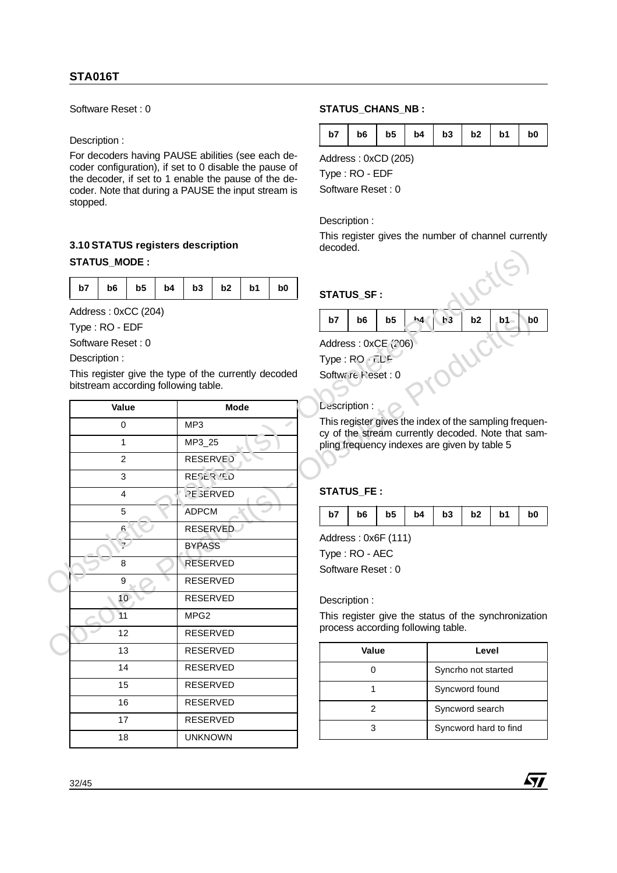Software Reset : 0

#### Description :

For decoders having PAUSE abilities (see each decoder configuration), if set to 0 disable the pause of the decoder, if set to 1 enable the pause of the decoder. Note that during a PAUSE the input stream is stopped.

# **3.10 STATUS registers description STATUS\_MODE :**

| b7   b6   b5   b4   b3   b2   b1 | b0 |
|----------------------------------|----|
|----------------------------------|----|

|              | <b>STATUS_MODE:</b> | 0.1001A100169131613 063611pH011      |    |                                      |             |                |                                                      | uecoueu. |                                                          |                |    |    |                     |                                                       |                |
|--------------|---------------------|--------------------------------------|----|--------------------------------------|-------------|----------------|------------------------------------------------------|----------|----------------------------------------------------------|----------------|----|----|---------------------|-------------------------------------------------------|----------------|
| b7           | b6                  | b <sub>5</sub>                       | b4 | b <sub>3</sub>                       | b2          | b <sub>1</sub> | b <sub>0</sub>                                       |          | STATUS_SF:                                               |                |    |    |                     |                                                       |                |
|              | Type: RO - EDF      | Address: 0xCC (204)                  |    |                                      |             |                |                                                      | b7       | b6                                                       | b <sub>5</sub> | h4 | b3 | b2                  | b1                                                    | b <sub>0</sub> |
| Description: | Software Reset: 0   | bitstream according following table. |    |                                      |             |                | This register give the type of the currently decoded |          | Address: 0xCE (206)<br>Type: RO FLF<br>Software Neset: 0 |                |    |    |                     |                                                       |                |
|              | Value               |                                      |    |                                      | <b>Mode</b> |                |                                                      |          | Lescription:                                             |                |    |    |                     |                                                       |                |
|              | 0                   |                                      |    | MP3                                  |             |                |                                                      |          |                                                          |                |    |    |                     | This register gives the index of the sampling frequer |                |
|              | $\mathbf{1}$        |                                      |    | MP3_25                               |             |                |                                                      |          | pling frequency indexes are given by table 5             |                |    |    |                     | cy of the stream currently decoded. Note that san     |                |
|              | $\overline{c}$      |                                      |    | <b>RESERVE</b>                       |             |                |                                                      |          |                                                          |                |    |    |                     |                                                       |                |
|              | 3                   |                                      |    | RESERVED                             |             |                |                                                      |          |                                                          |                |    |    |                     |                                                       |                |
|              | 4                   |                                      |    | <b>STATUS_FE:</b><br><b>PESERVED</b> |             |                |                                                      |          |                                                          |                |    |    |                     |                                                       |                |
|              | 5                   |                                      |    | ADPCM                                |             |                |                                                      | b7       | b6                                                       | b5             | b4 | b3 | b2                  | b <sub>1</sub>                                        | b <sub>0</sub> |
|              | 6                   |                                      |    | <b>RESERVED</b>                      |             |                |                                                      |          |                                                          |                |    |    |                     |                                                       |                |
|              |                     | سيب                                  |    | <b>BYPASS</b>                        |             |                |                                                      |          | Address: 0x6F (111)<br>Type: RO - AEC                    |                |    |    |                     |                                                       |                |
|              | 8                   |                                      |    | <b>RESERVED</b>                      |             |                |                                                      |          | Software Reset: 0                                        |                |    |    |                     |                                                       |                |
|              | 9                   |                                      |    | RESERVED                             |             |                |                                                      |          |                                                          |                |    |    |                     |                                                       |                |
|              | 10 <sub>2</sub>     |                                      |    | <b>RESERVED</b>                      |             |                |                                                      |          | Description:                                             |                |    |    |                     |                                                       |                |
|              | 11                  |                                      |    | MPG <sub>2</sub>                     |             |                |                                                      |          |                                                          |                |    |    |                     | This register give the status of the synchronization  |                |
|              | 12                  |                                      |    | <b>RESERVED</b>                      |             |                |                                                      |          | process according following table.                       |                |    |    |                     |                                                       |                |
|              | 13                  |                                      |    | <b>RESERVED</b>                      |             |                |                                                      |          | Value                                                    |                |    |    | Level               |                                                       |                |
|              | 14                  |                                      |    | RESERVED                             |             |                |                                                      |          | $\pmb{0}$                                                |                |    |    | Syncrho not started |                                                       |                |
|              | 15                  |                                      |    | RESERVED                             |             |                |                                                      |          | $\mathbf{1}$                                             |                |    |    | Syncword found      |                                                       |                |
|              | 16                  |                                      |    | <b>RESERVED</b>                      |             |                |                                                      |          | $\overline{2}$                                           |                |    |    | Syncword search     |                                                       |                |
|              | 17                  |                                      |    | <b>RESERVED</b>                      |             |                |                                                      |          |                                                          |                |    |    |                     | Syncword hard to find                                 |                |
|              | 18                  |                                      |    | <b>UNKNOWN</b>                       |             |                |                                                      |          | 3                                                        |                |    |    |                     |                                                       |                |
|              |                     |                                      |    |                                      |             |                |                                                      |          |                                                          |                |    |    |                     |                                                       |                |

## STATUS CHANS NB :

Address : 0xCD (205)

Type : RO - EDF

Software Reset : 0

#### Description :

This register gives the number of channel currently decoded.

# **STATUS\_SF :**

| decoded.    |                                                          |                |          |                |                      |  |  |  |  |  |
|-------------|----------------------------------------------------------|----------------|----------|----------------|----------------------|--|--|--|--|--|
| STATUS_SF : |                                                          |                |          |                |                      |  |  |  |  |  |
| b7          | b <sub>6</sub>                                           | b <sub>5</sub> | b3<br>ь4 | b <sub>2</sub> | b <sub>0</sub><br>b1 |  |  |  |  |  |
|             | Address: 0xCE (206)<br>Type: RO FLF<br>Software Neset: 0 |                |          |                |                      |  |  |  |  |  |
|             |                                                          |                |          |                |                      |  |  |  |  |  |

## Description :

## **STATUS\_FE :**

|  |  |  |  |  |  | $b7$   $b6$   $b5$   $b4$   $b3$   $b2$   $b1$   $b0$ |  |
|--|--|--|--|--|--|-------------------------------------------------------|--|
|--|--|--|--|--|--|-------------------------------------------------------|--|

| Value | Level                 |
|-------|-----------------------|
|       | Syncrho not started   |
|       | Syncword found        |
|       | Syncword search       |
|       | Syncword hard to find |

57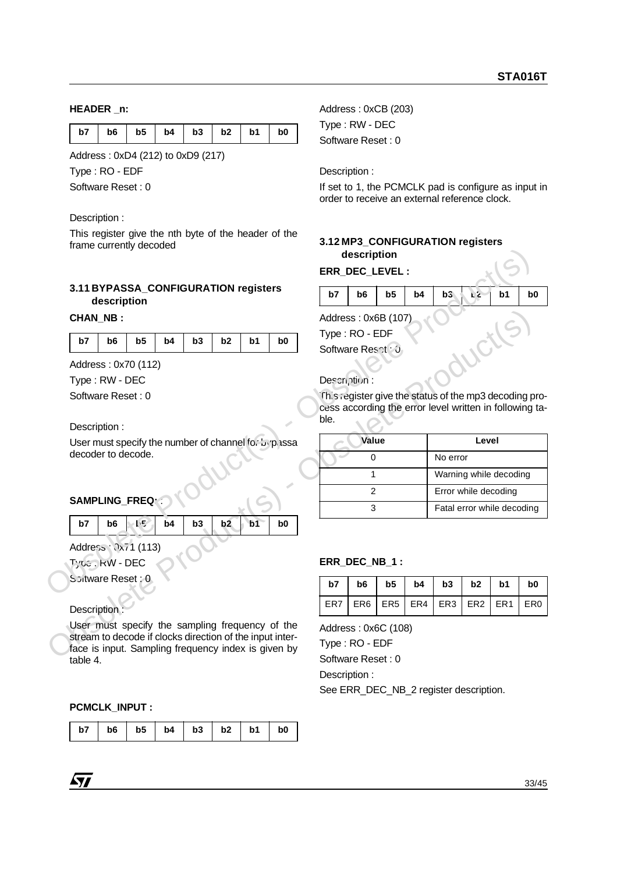#### **HEADER \_n:**

|  |  |  |  |  | b7   b6   b5   b4   b3   b2   b1 |  |  |  | b <sub>0</sub> |
|--|--|--|--|--|----------------------------------|--|--|--|----------------|
|--|--|--|--|--|----------------------------------|--|--|--|----------------|

Address : 0xD4 (212) to 0xD9 (217)

Type : RO - EDF

Software Reset : 0

#### Description :

This register give the nth byte of the header of the frame currently decoded

#### **3.11 BYPASSA\_CONFIGURATION registers description**

#### **CHAN\_NB :**

| b7   b6   b5   b4   b3   b2   b1   b0 |
|---------------------------------------|
|---------------------------------------|

## **SAMPLING\_FREQ:** :

|  | $b7$ $b6$ $t^5$ $b4$ $b3$ $b2$ $b1$ |  |  | b <sub>0</sub> |
|--|-------------------------------------|--|--|----------------|
|  |                                     |  |  |                |

## Description :

User must specify the sampling frequency of the stream to decode if clocks direction of the input interface is input. Sampling frequency index is given by table 4.

#### **PCMCLK\_INPUT :**

| b7 | b6 | b5 |  | $b4$   $b3$   $b2$ |  | b <sub>1</sub> | b <sub>0</sub> |
|----|----|----|--|--------------------|--|----------------|----------------|
|----|----|----|--|--------------------|--|----------------|----------------|

Address : 0xCB (203) Type : RW - DEC Software Reset : 0

Description :

If set to 1, the PCMCLK pad is configure as input in order to receive an external reference clock.

# **3.12 MP3\_CONFIGURATION registers description**

|  |  | $b7$   $b6$   $b5$   $b4$   $b3$   $k2$   $b1$ | b0 |
|--|--|------------------------------------------------|----|
|  |  |                                                |    |

| manno carromay accousa                                                                       |      | description                                      |                 |     |                 |                 |                                                         |                 |
|----------------------------------------------------------------------------------------------|------|--------------------------------------------------|-----------------|-----|-----------------|-----------------|---------------------------------------------------------|-----------------|
|                                                                                              |      | ERR DEC LEVEL :                                  |                 |     |                 |                 |                                                         |                 |
| 3.11 BYPASSA_CONFIGURATION registers<br>description                                          | b7   | b <sub>6</sub>                                   | b <sub>5</sub>  | b4  | b3              | L2              | b <sub>1</sub>                                          | b <sub>0</sub>  |
| <b>CHAN NB:</b>                                                                              |      | Address: 0x6B (107)                              |                 |     |                 |                 |                                                         |                 |
| b3<br>b2<br>b <sub>1</sub><br>b7<br>b <sub>6</sub><br>b <sub>5</sub><br>b4<br>b <sub>0</sub> |      | Type: RO - EDF                                   |                 |     |                 |                 |                                                         |                 |
|                                                                                              |      | Software Reset . J                               |                 |     |                 |                 |                                                         |                 |
| Address: 0x70 (112)                                                                          |      |                                                  |                 |     |                 |                 |                                                         |                 |
| Type: RW - DEC                                                                               |      | Description:                                     |                 |     |                 |                 |                                                         |                 |
| Software Reset: 0                                                                            |      |                                                  |                 |     |                 |                 | This register give the status of the mp3 decoding pro-  |                 |
|                                                                                              | ble. |                                                  |                 |     |                 |                 | cess according the error level written in following ta- |                 |
| Description:                                                                                 |      |                                                  |                 |     |                 |                 |                                                         |                 |
| User must specify the number of channel for $L_1$ passa<br>decoder to decode.                |      | Value                                            |                 |     |                 | Level           |                                                         |                 |
|                                                                                              |      | 0                                                |                 |     | No error        |                 |                                                         |                 |
|                                                                                              |      | 1                                                |                 |     |                 |                 | Warning while decoding                                  |                 |
| SAMPLING_FREQ::                                                                              |      | $\overline{2}$                                   |                 |     |                 |                 | Error while decoding                                    |                 |
|                                                                                              |      | 3                                                |                 |     |                 |                 | Fatal error while decoding                              |                 |
| 上与<br>b4<br>b3<br>b7<br>b <sub>6</sub><br>b2<br>b <sub>1</sub><br>b <sub>0</sub>             |      |                                                  |                 |     |                 |                 |                                                         |                 |
| Address: 0x71 (113)                                                                          |      |                                                  |                 |     |                 |                 |                                                         |                 |
| <b>Tyte: KW - DEC</b>                                                                        |      | ERR_DEC_NB_1:                                    |                 |     |                 |                 |                                                         |                 |
| Scitware Reset: 0                                                                            |      |                                                  |                 |     |                 |                 |                                                         |                 |
|                                                                                              | b7   | b <sub>6</sub>                                   | b <sub>5</sub>  | b4  | b3              | b2              | b1                                                      |                 |
| <b>Description</b>                                                                           | ER7  | ER <sub>6</sub>                                  | ER <sub>5</sub> | ER4 | ER <sub>3</sub> | ER <sub>2</sub> | ER <sub>1</sub>                                         | ER <sub>0</sub> |
| User must specify the sampling frequency of the                                              |      | Address: 0x6C (108)                              |                 |     |                 |                 |                                                         |                 |
| stream to decode if clocks direction of the input inter-                                     |      | Type: RO - EDF                                   |                 |     |                 |                 |                                                         |                 |
| face is input. Sampling frequency index is given by                                          |      | $\mathsf{C}_{\mathsf{O}}\mathsf{f}_{\mathsf{H}}$ |                 |     |                 |                 |                                                         |                 |

## **ERR\_DEC\_NB\_1 :**

| $b7$   $b6$   $b5$   $b4$   $b3$   $b2$   $b1$   $b0$ |  |  |  |
|-------------------------------------------------------|--|--|--|
| ER7   ER6   ER5   ER4   ER3   ER2   ER1   ER0         |  |  |  |

Software Reset : 0 Description :

See ERR\_DEC\_NB\_2 register description.

*ky*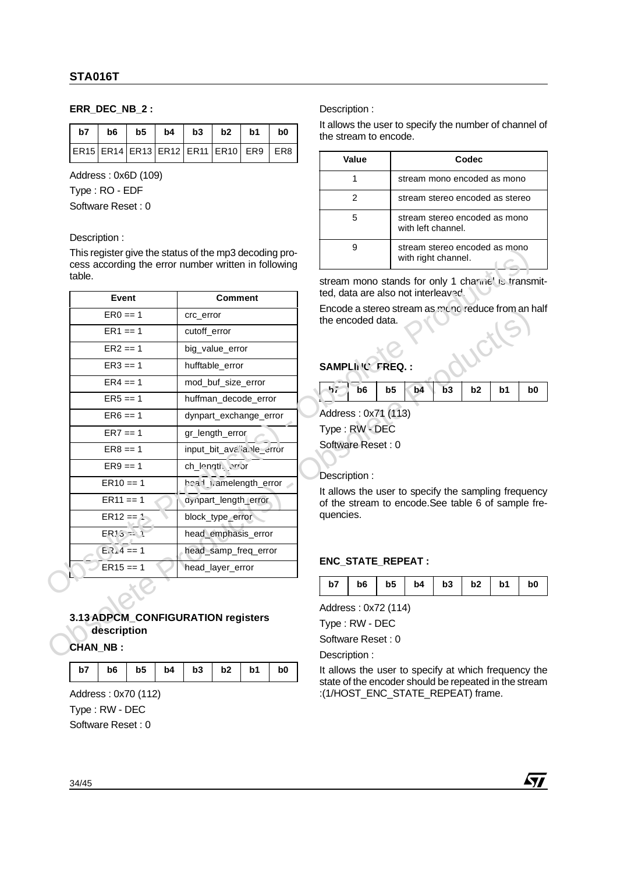## **ERR\_DEC\_NB\_2 :**

|  |  | $b7$   $b6$   $b5$   $b4$   $b3$   $b2$   $b1$ |  | b <sub>0</sub> |
|--|--|------------------------------------------------|--|----------------|
|  |  | ER15 ER14 ER13 ER12 ER11 ER10 ER9 ER8          |  |                |

Address : 0x6D (109)

Type : RO - EDF

Software Reset : 0

#### Description :

|                                    | This register give the status of the mp3 decoding pro-<br>cess according the error number written in following |           |                                    |                | with right channel. |    |                | stream stereo encoded as mono                                                                             |                |
|------------------------------------|----------------------------------------------------------------------------------------------------------------|-----------|------------------------------------|----------------|---------------------|----|----------------|-----------------------------------------------------------------------------------------------------------|----------------|
| table.                             |                                                                                                                |           |                                    |                |                     |    |                | stream mono stands for only 1 charme. is transmi                                                          |                |
| Event                              | <b>Comment</b>                                                                                                 |           | ted, data are also not interleaved |                |                     |    |                |                                                                                                           |                |
| $ER0 == 1$                         | crc_error                                                                                                      |           | the encoded data.                  |                |                     |    |                | Encode a stereo stream as mono reduce from an ha                                                          |                |
| $ER1 == 1$                         | cutoff_error                                                                                                   |           |                                    |                |                     |    |                |                                                                                                           |                |
| $ER2 == 1$                         | big value error                                                                                                |           |                                    |                |                     |    |                |                                                                                                           |                |
| $ER3 == 1$                         | hufftable_error                                                                                                |           | SAMPLING FREQ.:                    |                |                     |    |                |                                                                                                           |                |
| $ER4 == 1$                         | mod_buf_size_error                                                                                             | $-hr$     | b <sub>6</sub>                     | b <sub>5</sub> | b4                  | b3 | b <sub>2</sub> | b1                                                                                                        | b0             |
| $ER5 == 1$                         | huffman decode error                                                                                           |           |                                    |                |                     |    |                |                                                                                                           |                |
| $ER6 == 1$                         | dynpart_exchange_error                                                                                         |           | Address: 0x71 (113)                |                |                     |    |                |                                                                                                           |                |
| $ER7 == 1$                         | gr_length_error                                                                                                |           | Type: RW - DEC                     |                |                     |    |                |                                                                                                           |                |
| $ER8 == 1$                         | input_bit_ava"a.Ne_error                                                                                       |           | Software Reset: 0                  |                |                     |    |                |                                                                                                           |                |
| $ER9 == 1$                         | ch_length, error                                                                                               |           |                                    |                |                     |    |                |                                                                                                           |                |
| $ER10 == 1$                        | heal_t/amelength_error                                                                                         |           | Description:                       |                |                     |    |                |                                                                                                           |                |
| $ER11 == 1$                        | ayipart_length_error                                                                                           |           |                                    |                |                     |    |                | It allows the user to specify the sampling frequend<br>of the stream to encode. See table 6 of sample fre |                |
| $ER12 == 1$                        | block_type_error                                                                                               | quencies. |                                    |                |                     |    |                |                                                                                                           |                |
| $ER15 = 1$                         | head_emphasis_error                                                                                            |           |                                    |                |                     |    |                |                                                                                                           |                |
| $E_1$ , 4 == 1                     | head_samp_freq_error                                                                                           |           |                                    |                |                     |    |                |                                                                                                           |                |
| $ER15 == 1$                        | head_layer_error                                                                                               |           | ENC_STATE_REPEAT :                 |                |                     |    |                |                                                                                                           |                |
|                                    |                                                                                                                | b7        | b <sub>6</sub>                     | b5             | b4                  | b3 | b <sub>2</sub> | b1                                                                                                        | b <sub>0</sub> |
|                                    |                                                                                                                |           | Address: 0x72 (114)                |                |                     |    |                |                                                                                                           |                |
| 3.13 ADPCM_CONFIGURATION registers |                                                                                                                |           | Type: RW - DEC                     |                |                     |    |                |                                                                                                           |                |
| description                        |                                                                                                                |           | Software Reset: 0                  |                |                     |    |                |                                                                                                           |                |
| <b>CHAN_NB:</b>                    |                                                                                                                |           | Description:                       |                |                     |    |                |                                                                                                           |                |

# **3.13 ADPCM\_CONFIGURATION registers description CHAN\_NB :**

|  | $b7$   $b6$   $b5$   $b4$   $b3$   $b2$   $b1$   $b0$ |  |  |
|--|-------------------------------------------------------|--|--|
|  |                                                       |  |  |

Address : 0x70 (112) Type : RW - DEC Software Reset : 0

Description :

It allows the user to specify the number of channel of the stream to encode.

| Value | Codec                                                |
|-------|------------------------------------------------------|
|       | stream mono encoded as mono                          |
|       | stream stereo encoded as stereo                      |
| 5     | stream stereo encoded as mono<br>with left channel.  |
|       | stream stereo encoded as mono<br>with right channel. |

# SAMPLING TREQ. :

| $\frac{1}{1}$ b6   b5   b4   b3   b2   b1   b0 |  |  |  |
|------------------------------------------------|--|--|--|
|                                                |  |  |  |

#### Description :

## **ENC\_STATE\_REPEAT :**

| b7   b6   b5   b4   b3   b2   b1  <br>b <sub>0</sub> |
|------------------------------------------------------|
|------------------------------------------------------|

Description :

It allows the user to specify at which frequency the state of the encoder should be repeated in the stream :(1/HOST\_ENC\_STATE\_REPEAT) frame.

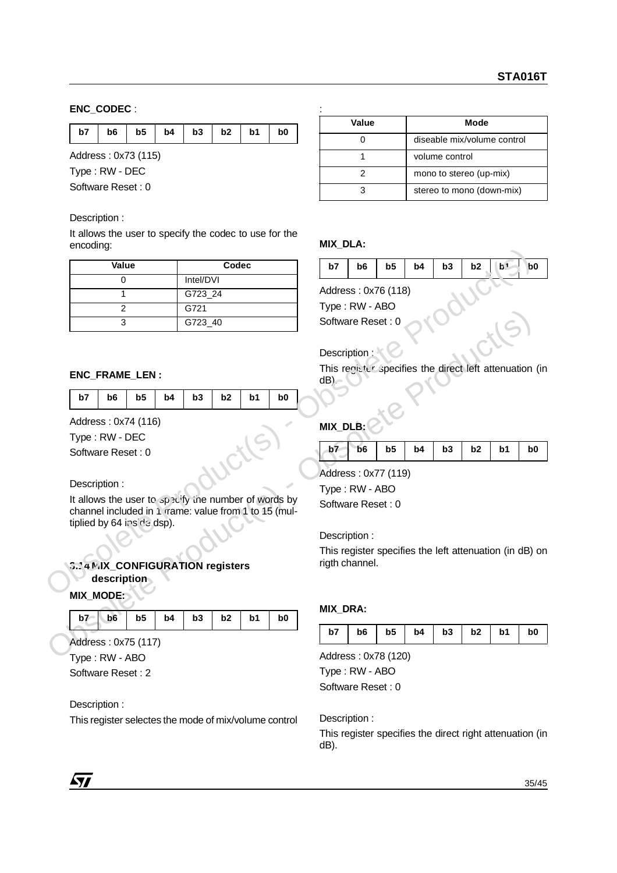## **ENC\_CODEC** :

| b7   b6   b5   b4   b3   b2   b1   b0 |  |
|---------------------------------------|--|
|---------------------------------------|--|

Address : 0x73 (115) Type : RW - DEC Software Reset : 0

#### Description :

It allows the user to specify the codec to use for the encoding:

| unuumny.                                                                                                                                   |                |                |                |                |                 |                           |                |                                                      |    |                |                |                |
|--------------------------------------------------------------------------------------------------------------------------------------------|----------------|----------------|----------------|----------------|-----------------|---------------------------|----------------|------------------------------------------------------|----|----------------|----------------|----------------|
| Value                                                                                                                                      |                | Codec          |                |                | b7              | b <sub>6</sub>            | b <sub>5</sub> | b4                                                   | b3 | b2             | b <sub>1</sub> | b <sub>0</sub> |
| 0                                                                                                                                          | Intel/DVI      |                |                |                |                 |                           |                |                                                      |    |                |                |                |
| 1                                                                                                                                          | G723_24        |                |                |                |                 | Address: 0x76 (118)       |                |                                                      |    |                |                |                |
| $\overline{2}$                                                                                                                             | G721           |                |                |                |                 | Type: RW - ABO            |                |                                                      |    |                |                |                |
| 3                                                                                                                                          | G723_40        |                |                |                |                 | Software Reset: 0         |                |                                                      |    |                |                |                |
| ENC_FRAME_LEN:                                                                                                                             |                |                |                |                | $dB$ )          | Description:              |                | This register specifies the direct left attenuation  |    |                |                |                |
| b <sub>5</sub><br>b7<br>b <sub>6</sub><br>b4                                                                                               | b3             | b2             | b <sub>1</sub> | b <sub>0</sub> |                 |                           |                |                                                      |    |                |                |                |
| Address: 0x74 (116)<br>Type: RW - DEC<br>Software Reset: 0                                                                                 |                |                |                |                | MIX_DLB:<br>b7  | b6<br>Address: 0x77 (119) | b <sub>5</sub> | b4                                                   | b3 | b <sub>2</sub> | b1             | b <sub>0</sub> |
| Description:                                                                                                                               |                |                |                |                |                 | Type: RW - ABO            |                |                                                      |    |                |                |                |
| It allows the user to specify the number of words by<br>channel included in 1 rame: value from 1 to 15 (mul-<br>tiplied by 64 inside dsp). |                |                |                |                |                 | Software Reset: 0         |                |                                                      |    |                |                |                |
|                                                                                                                                            |                |                |                |                | Description:    |                           |                |                                                      |    |                |                |                |
| 2.14 MIX_CONFIGURATION registers<br>description                                                                                            |                |                |                |                |                 | rigth channel.            |                | This register specifies the left attenuation (in dB) |    |                |                |                |
| <b>MIX_MODE:</b><br>b6<br>b <sub>5</sub><br>b4<br>b7                                                                                       | b <sub>3</sub> | b <sub>2</sub> |                |                | <b>MIX_DRA:</b> |                           |                |                                                      |    |                |                |                |
|                                                                                                                                            |                |                | b <sub>1</sub> | b <sub>0</sub> |                 |                           |                |                                                      |    |                |                |                |

#### **ENC\_FRAME\_LEN :**

|  |  | b7   b6   b5   b4   b3   b2   b1   b0 |  |  |  |
|--|--|---------------------------------------|--|--|--|

## Description :

**ENC\_FRAME\_LEN**:<br>  $\frac{1}{3}$  - Of 223.40<br> **Obsorbing Reset :** 0<br>
Description :<br>
Description :<br>  $\frac{1}{10}$ <br>  $\frac{1}{10}$ <br>  $\frac{1}{10}$ <br>
Address : 0x74 (116)<br>  $\frac{1}{10}$ <br>
Obsorbing Reset : 0<br>
Obsorbin:<br>
Type : RW - DEC<br>
Software It allows the user to specify the number of words by channel included in 1 rrame: value from 1 to 15 (multiplied by 64 inside dsp).

## **3.14 MIX\_CONFIGURATION registers description**

#### **MIX\_MODE:**

|  |  |  |  | $b7 - b6$ b5 b4 b3 b2 b1 b0 |  |  |  |  |
|--|--|--|--|-----------------------------|--|--|--|--|
|--|--|--|--|-----------------------------|--|--|--|--|

Address : 0x75 (117) Type : RW - ABO

Software Reset : 2

#### Description :

This register selectes the mode of mix/volume control

| Value | Mode                        |
|-------|-----------------------------|
|       | diseable mix/volume control |
|       | volume control              |
| 2     | mono to stereo (up-mix)     |
|       | stereo to mono (down-mix)   |

#### **MIX\_DLA:**

| b7 | b6 | $\vert$ b5 | $\vert$ b4 | $\vert$ b3 $\vert$ b2 $\vert$ b <sup>1</sup> |  |  | b <sub>0</sub> |
|----|----|------------|------------|----------------------------------------------|--|--|----------------|
|----|----|------------|------------|----------------------------------------------|--|--|----------------|

## Description :  $\mathbb{R}$

# **MIX\_DLB:**

|  | $b7$ b6 b5 b4 b3 b2 b1 |  |  | b <sub>0</sub> |
|--|------------------------|--|--|----------------|
|  |                        |  |  |                |

#### **MIX\_DRA:**

| b7 |  |  |  |  |  | $\frac{1}{10}$   $\frac{1}{10}$   $\frac{1}{10}$   $\frac{1}{10}$   $\frac{1}{10}$   $\frac{1}{10}$   $\frac{1}{10}$   $\frac{1}{10}$   $\frac{1}{10}$   $\frac{1}{10}$   $\frac{1}{10}$   $\frac{1}{10}$   $\frac{1}{10}$   $\frac{1}{10}$   $\frac{1}{10}$   $\frac{1}{10}$   $\frac{1}{10}$ |  |
|----|--|--|--|--|--|------------------------------------------------------------------------------------------------------------------------------------------------------------------------------------------------------------------------------------------------------------------------------------------------|--|
|----|--|--|--|--|--|------------------------------------------------------------------------------------------------------------------------------------------------------------------------------------------------------------------------------------------------------------------------------------------------|--|

Address : 0x78 (120) Type : RW - ABO Software Reset : 0

Description :

This register specifies the direct right attenuation (in dB).

 $\sqrt{1}$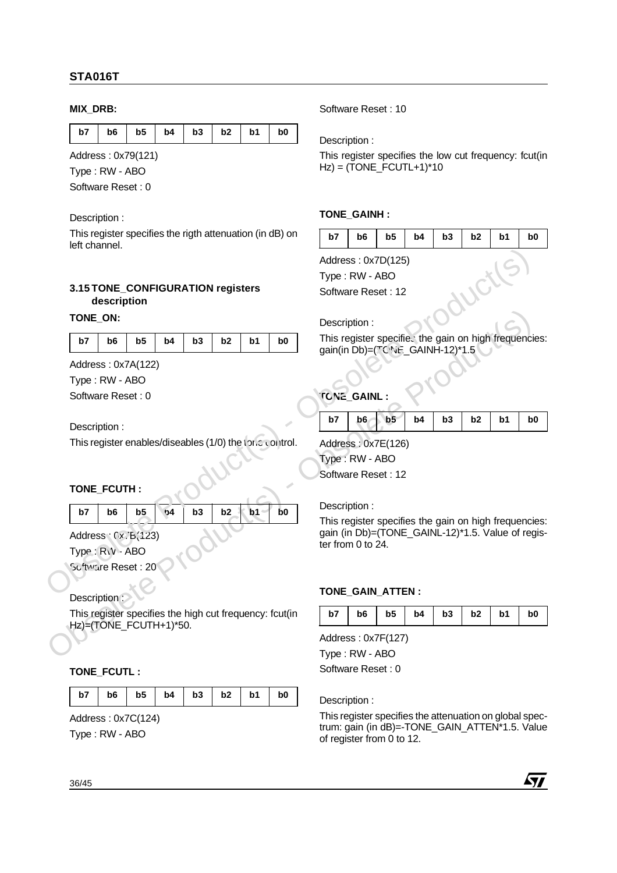## **MIX\_DRB:**

|  |  | b7   b6   b5   b4   b3   b2   b1 |  | b0 |
|--|--|----------------------------------|--|----|

Address : 0x79(121)

Type : RW - ABO

Software Reset : 0

Description :

This register specifies the rigth attenuation (in dB) on left channel.

#### **3.15 TONE\_CONFIGURATION registers description**

#### **TONE\_ON:**

|  |  |  | b7   b6   b5   b4   b3   b2   b1   b0 |  |  |  |  |
|--|--|--|---------------------------------------|--|--|--|--|
|--|--|--|---------------------------------------|--|--|--|--|

Address : 0x7A(122) Type : RW - ABO Software Reset : 0

Description :

This register enables/diseables (1/0) the tonc control.

## **TONE\_FCUTH :**

| b7 | b6 | b5 | 54 | $b3$ $b2$ $b1$ | b0 |
|----|----|----|----|----------------|----|
|    |    |    |    |                |    |

Address :  $(x)$ B(123) Type : RW - ABO

Software Reset : 20

Description :

This register specifies the high cut frequency: fcut(in Hz)=(TONE\_FCUTH+1)\*50.

## **TONE\_FCUTL :**

|  |  |  | $b7$   $b6$   $b5$   $b4$   $b3$   $b2$   $b1$   $b0$ |  |  |  |  |
|--|--|--|-------------------------------------------------------|--|--|--|--|
|--|--|--|-------------------------------------------------------|--|--|--|--|

Address : 0x7C(124)

Type : RW - ABO

Software Reset : 10

Description :

This register specifies the low cut frequency: fcut(in  $Hz$ ) = (TONE\_FCUTL+1)\*10

#### **TONE\_GAINH :**

| b7 |  |  |  |  |  | $b6$   $b5$   $b4$   $b3$   $b2$   $b1$   $b0$ |  |
|----|--|--|--|--|--|------------------------------------------------|--|
|----|--|--|--|--|--|------------------------------------------------|--|

Address : 0x7D(125)

Type : RW - ABO Software Reset : 12

#### Description :

This register specifies the gain on high frequencies: gain(in  $Db$ )=( $TC$ <sup>N<sub>it</sub></sub> GAINH-12)\*1.5</sup>

# **TONE\_GAINL :**

| b6<br>$b5$   b4   b3   b2<br>b7<br>b <sub>0</sub><br>b1 |
|---------------------------------------------------------|
|---------------------------------------------------------|

Address : 0x7E(126) Type : RW - ABO Software Reset : 12

#### Description :

TONE\_ON:<br>  $\frac{b\overline{z}}{10}$ <br>  $\frac{b\overline{z}}{10}$ <br>
Address : 0x7A(122)<br>
Type : RW - ABO<br>
Software Reset : 0<br>
Obsorbina:<br>
Description :<br>
This register enables/diseables (1/0) the type of the CoMEL.<br>
This register enables/diseab This register specifies the gain on high frequencies: gain (in Db)=(TONE\_GAINL-12)\*1.5. Value of register from 0 to 24. 3.15 TONE CONFIGURATION registers<br>  $\overline{OP}$  - Obsortigation<br>
TONE ON TONE US - Obsolet Reset : 12<br>
Obsolete Products<br>
Obsolete Products<br>
Obsolver Products<br>
Obsolver Products<br>
Obsolver Products<br>
Obsolver Products<br>
Obsolver

#### **TONE\_GAIN\_ATTEN :**

| b7   b6   b5   b4   b3   b2   b1   b0 |  |
|---------------------------------------|--|
|---------------------------------------|--|

Address : 0x7F(127)

Type : RW - ABO Software Reset : 0

Description :

This register specifies the attenuation on global spectrum: gain (in dB)=-TONE\_GAIN\_ATTEN\*1.5. Value of register from 0 to 12.

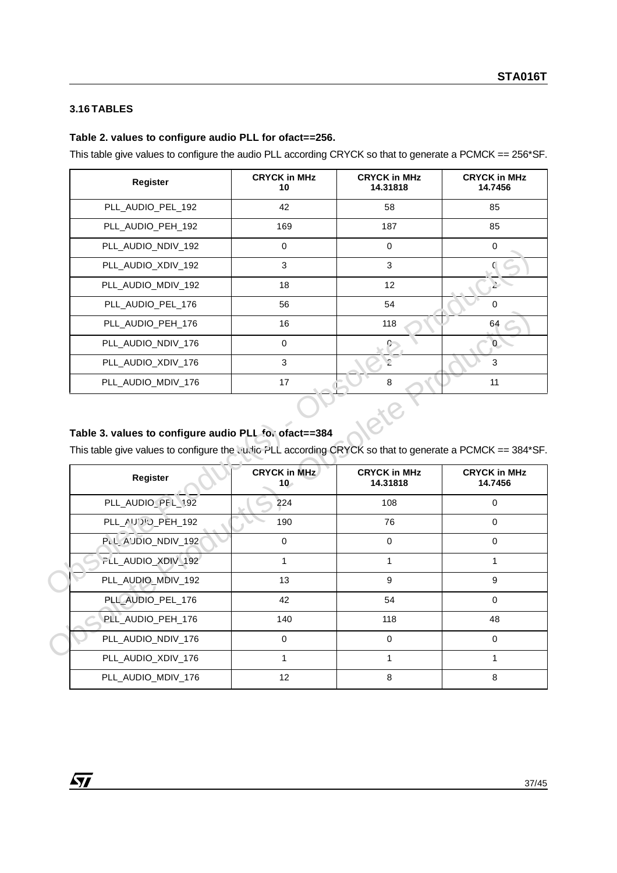## **3.16 TABLES**

#### **Table 2. values to configure audio PLL for ofact==256.**

This table give values to configure the audio PLL according CRYCK so that to generate a PCMCK == 256\*SF.

| Register           | <b>CRYCK in MHz</b><br>10 | <b>CRYCK in MHz</b><br>14.31818 | <b>CRYCK in MHz</b><br>14.7456 |
|--------------------|---------------------------|---------------------------------|--------------------------------|
| PLL_AUDIO_PEL_192  | 42                        | 58                              | 85                             |
| PLL_AUDIO_PEH_192  | 169                       | 187                             | 85                             |
| PLL_AUDIO_NDIV_192 | $\Omega$                  | $\mathbf 0$                     | 0                              |
| PLL_AUDIO_XDIV_192 | 3                         | 3                               |                                |
| PLL AUDIO MDIV 192 | 18                        | 12                              |                                |
| PLL_AUDIO_PEL_176  | 56                        | 54                              | $\Omega$                       |
| PLL AUDIO PEH 176  | 16                        | 118                             | 64                             |
| PLL_AUDIO_NDIV_176 | $\Omega$                  |                                 | 0.                             |
| PLL_AUDIO_XDIV_176 | 3                         | 2                               | 3                              |
| PLL_AUDIO_MDIV_176 | 17                        | 8                               | 11                             |

# **Table 3. values to configure audio PLL for ofact==384**

| $1.$ LL_AUDIO_IVDIV_IJZ                                                                                                                                           |                               |                                 |                                |
|-------------------------------------------------------------------------------------------------------------------------------------------------------------------|-------------------------------|---------------------------------|--------------------------------|
| PLL_AUDIO_XDIV_192                                                                                                                                                | 3                             | 3                               |                                |
| PLL_AUDIO_MDIV_192                                                                                                                                                | 18                            | 12                              | Ž.                             |
| PLL_AUDIO_PEL_176                                                                                                                                                 | 56                            | 54                              | 0                              |
| PLL_AUDIO_PEH_176                                                                                                                                                 | 16                            | 118                             | 64                             |
| PLL_AUDIO_NDIV_176                                                                                                                                                | $\mathbf 0$                   |                                 | $\mathbf{0}$                   |
| PLL_AUDIO_XDIV_176                                                                                                                                                | $\mathfrak{S}$                | $\mathbf{C}$                    | 3                              |
| PLL_AUDIO_MDIV_176                                                                                                                                                | 17                            | 8                               | 11                             |
| Table 3. values to configure audio PLL for ofact==384<br>This table give values to configure the Ludic PLL according CRYCK so that to generate a PCMCK == 384*SF. |                               |                                 |                                |
|                                                                                                                                                                   |                               |                                 |                                |
|                                                                                                                                                                   |                               |                                 |                                |
| Register                                                                                                                                                          | <b>CRYCK in MHz</b><br>$10 -$ | <b>CRYCK in MHz</b><br>14.31818 | <b>CRYCK in MHz</b><br>14.7456 |
| PLL_AUDIO_PFL_192                                                                                                                                                 | 224                           | 108                             | $\mathbf 0$                    |
| PLL_AUDD_PEH_192                                                                                                                                                  | 190                           | 76                              | $\mathbf 0$                    |
| PLL_AUDIO_NDIV_192                                                                                                                                                | $\pmb{0}$                     | $\mathbf 0$                     | $\mathbf 0$                    |
| FLL_AUDIO_XDIV_192                                                                                                                                                | $\mathbf{1}$                  | 1                               | $\mathbf{1}$                   |
| PLL_AUDIO_MDIV_192                                                                                                                                                | 13                            | 9                               | 9                              |
| PLL_AUDIO_PEL_176                                                                                                                                                 | 42                            | 54                              | $\mathbf 0$                    |
| PLL_AUDIO_PEH_176                                                                                                                                                 | 140                           | 118                             | 48                             |
| PLL_AUDIO_NDIV_176                                                                                                                                                | $\mathbf 0$                   | $\mathbf 0$                     | $\mathbf 0$                    |
| PLL_AUDIO_XDIV_176                                                                                                                                                | $\mathbf{1}$                  | $\mathbf{1}$                    | $\mathbf{1}$                   |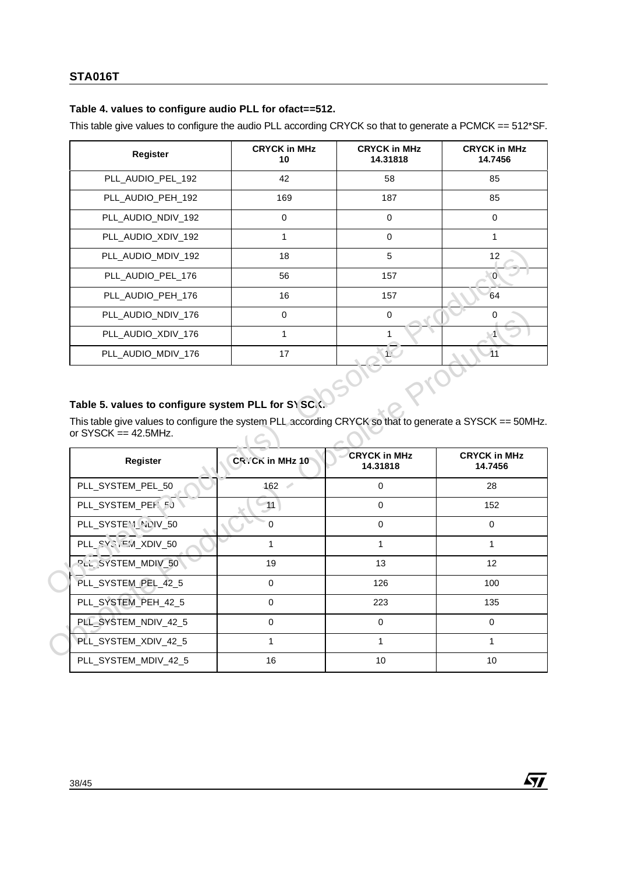## **Table 4. values to configure audio PLL for ofact==512.**

This table give values to configure the audio PLL according CRYCK so that to generate a PCMCK == 512\*SF.

| Register           | <b>CRYCK in MHz</b><br>10 | <b>CRYCK in MHz</b><br>14.31818 | <b>CRYCK in MHz</b><br>14.7456 |
|--------------------|---------------------------|---------------------------------|--------------------------------|
| PLL_AUDIO_PEL_192  | 42                        | 58                              | 85                             |
| PLL_AUDIO_PEH_192  | 169                       | 187                             | 85                             |
| PLL_AUDIO_NDIV_192 | $\Omega$                  | 0                               | 0                              |
| PLL_AUDIO_XDIV_192 |                           | 0                               |                                |
| PLL_AUDIO_MDIV_192 | 18                        | 5                               | 12                             |
| PLL AUDIO PEL 176  | 56                        | 157                             | $\Omega$                       |
| PLL_AUDIO_PEH_176  | 16                        | 157                             | 64                             |
| PLL_AUDIO_NDIV_176 | $\Omega$                  | $\Omega$                        |                                |
| PLL_AUDIO_XDIV_176 | 1                         |                                 |                                |
| PLL_AUDIO_MDIV_176 | 17                        |                                 |                                |

# Table 5. values to configure system PLL for SYSC.

| PLL_AUDIO_MDIV_192                                                                                                                                                                       | 18                     | 5                               | 12                             |  |
|------------------------------------------------------------------------------------------------------------------------------------------------------------------------------------------|------------------------|---------------------------------|--------------------------------|--|
| PLL_AUDIO_PEL_176                                                                                                                                                                        | 56                     | 157                             | $\overline{0}$                 |  |
| PLL_AUDIO_PEH_176                                                                                                                                                                        | 16                     | 157                             | 64                             |  |
| PLL_AUDIO_NDIV_176                                                                                                                                                                       | 0                      | $\mathbf 0$                     | $\mathbf 0$                    |  |
| PLL_AUDIO_XDIV_176                                                                                                                                                                       | 1                      | 1                               |                                |  |
| PLL_AUDIO_MDIV_176                                                                                                                                                                       | 17                     | 1 <sup>2</sup>                  | 11                             |  |
| Table 5. values to configure system PLL for S\ SC.<br>This table give values to configure the system PLL according CRYCK so that to generate a SYSCK == 50MHz.<br>or SYSCK $==$ 42.5MHz. |                        |                                 |                                |  |
|                                                                                                                                                                                          |                        |                                 |                                |  |
| Register                                                                                                                                                                                 | <b>CR</b> CK in MHz 10 | <b>CRYCK in MHz</b><br>14.31818 | <b>CRYCK in MHz</b><br>14.7456 |  |
| PLL_SYSTEM_PEL_50                                                                                                                                                                        | 162                    | $\mathbf 0$                     | 28                             |  |
| PLL_SYSTEM_PEH. 5J                                                                                                                                                                       | 11                     | $\mathbf 0$                     | 152                            |  |
| PLL_SYSTEM_NOIV_50                                                                                                                                                                       | $\mathbf 0$            | $\mathbf 0$                     | $\mathbf 0$                    |  |
| PLL_SYS, EM_XDIV_50                                                                                                                                                                      | 1                      | $\mathbf{1}$                    | 1                              |  |
| <b>PLL SYSTEM_MDIV_50</b>                                                                                                                                                                | 19                     | 13                              | 12                             |  |
| PLL_SYSTEM_PEL_42_5                                                                                                                                                                      | 0                      | 126                             | 100                            |  |
| PLL_SYSTEM_PEH_42_5                                                                                                                                                                      | $\mathbf 0$            | 223                             | 135                            |  |
| PLL_SYSTEM_NDIV_42_5                                                                                                                                                                     | $\mathbf 0$            | $\mathbf 0$                     | $\mathbf 0$                    |  |
| PLL_SYSTEM_XDIV_42_5                                                                                                                                                                     | $\mathbf 1$            | $\mathbf{1}$                    | 1                              |  |
| PLL_SYSTEM_MDIV_42_5                                                                                                                                                                     | 16                     | 10                              | 10                             |  |

冈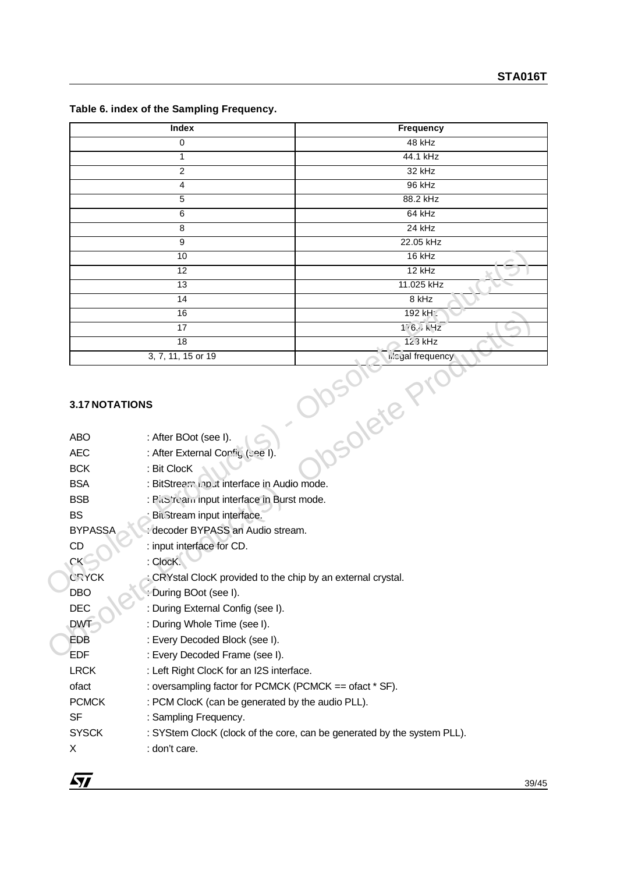| Index              | Frequency                            |  |  |
|--------------------|--------------------------------------|--|--|
| $\mathbf 0$        | 48 kHz                               |  |  |
|                    | 44.1 kHz                             |  |  |
| 2                  | 32 kHz                               |  |  |
| 4                  | 96 kHz                               |  |  |
| 5                  | 88.2 kHz                             |  |  |
| 6                  | 64 kHz                               |  |  |
| 8                  | $24$ kHz                             |  |  |
| 9                  | 22.05 kHz                            |  |  |
| 10                 | $16$ kHz                             |  |  |
| 12                 | $12$ kHz                             |  |  |
| 13                 | 11.025 kHz                           |  |  |
| 14                 | 8 kHz                                |  |  |
| 16                 | 192 kH:                              |  |  |
| 17                 | 16.117                               |  |  |
| 18                 | $123$ kHz                            |  |  |
| 3, 7, 11, 15 or 19 | <b>i.</b> cyal frequency<br>$\Delta$ |  |  |

## **Table 6. index of the Sampling Frequency.**

## **3.17 NOTATIONS**

|                | 10                                                         | $16$ kHz                                                                |  |  |
|----------------|------------------------------------------------------------|-------------------------------------------------------------------------|--|--|
|                | 12                                                         | $12$ kHz                                                                |  |  |
|                | 13                                                         | 11.025 kHz                                                              |  |  |
|                | $\overline{14}$                                            | $8$ kHz                                                                 |  |  |
|                | 16                                                         | 192 kH:                                                                 |  |  |
|                | $\overline{17}$                                            | 16.117                                                                  |  |  |
|                | 18                                                         | $123$ kHz                                                               |  |  |
|                | 3, 7, 11, 15 or 19                                         | hic yal frequency                                                       |  |  |
| 3.17 NOTATIONS |                                                            | JUV- LETE                                                               |  |  |
| <b>ABO</b>     | : After BOot (see I).                                      |                                                                         |  |  |
| <b>AEC</b>     | : After External Config (see I).                           |                                                                         |  |  |
| <b>BCK</b>     | : Bit ClocK                                                |                                                                         |  |  |
| <b>BSA</b>     | : BitStream input interface in Audio mode.                 |                                                                         |  |  |
| <b>BSB</b>     | : Pics're'anninput interface in Burst mode.                |                                                                         |  |  |
| <b>BS</b>      | Bit3tream input interface.                                 |                                                                         |  |  |
| <b>BYPASSA</b> | decoder BYPASS an Audio stream.                            |                                                                         |  |  |
| <b>CD</b>      | : input interface for CD.                                  |                                                                         |  |  |
| <b>CK</b>      | : ClocK.                                                   |                                                                         |  |  |
| <b>CRYCK</b>   | CRYstal ClocK provided to the chip by an external crystal. |                                                                         |  |  |
| DBO            | During BOot (see I).                                       |                                                                         |  |  |
| <b>DEC</b>     | : During External Config (see I).                          |                                                                         |  |  |
| <b>DWT</b>     | : During Whole Time (see I).                               |                                                                         |  |  |
| <b>EDB</b>     | : Every Decoded Block (see I).                             |                                                                         |  |  |
| <b>EDF</b>     | : Every Decoded Frame (see I).                             |                                                                         |  |  |
| <b>LRCK</b>    | : Left Right ClocK for an I2S interface.                   |                                                                         |  |  |
| ofact          | : oversampling factor for PCMCK (PCMCK == ofact * SF).     |                                                                         |  |  |
| <b>PCMCK</b>   | : PCM ClocK (can be generated by the audio PLL).           |                                                                         |  |  |
| <b>SF</b>      | : Sampling Frequency.                                      |                                                                         |  |  |
| <b>SYSCK</b>   |                                                            | : SYStem ClocK (clock of the core, can be generated by the system PLL). |  |  |
| X              | : don't care.                                              |                                                                         |  |  |
|                |                                                            |                                                                         |  |  |

 $\sqrt{27}$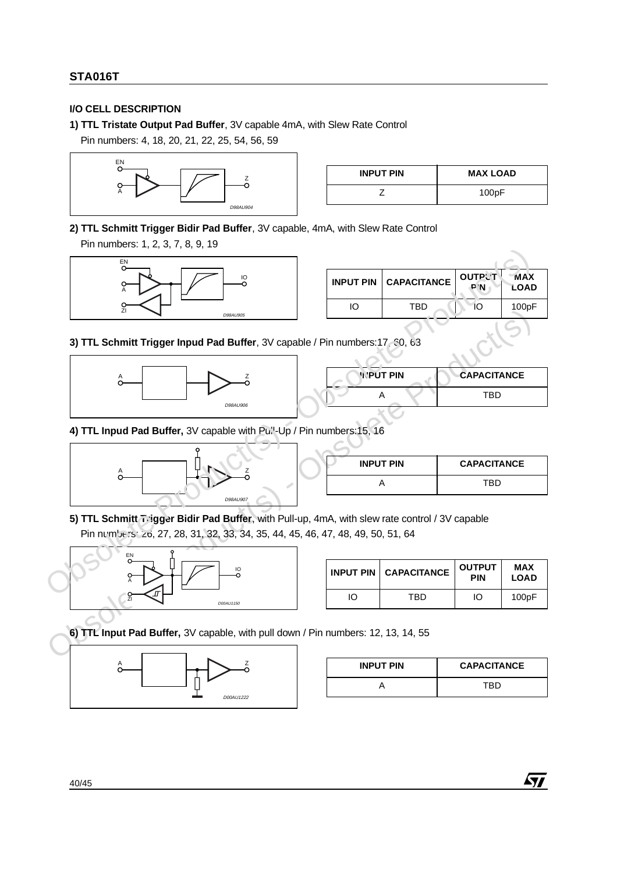## **I/O CELL DESCRIPTION**

**1) TTL Tristate Output Pad Buffer**, 3V capable 4mA, with Slew Rate Control

Pin numbers: 4, 18, 20, 21, 22, 25, 54, 56, 59



| <b>INPUT PIN</b> | <b>MAX LOAD</b> |
|------------------|-----------------|
|                  | 100pF           |

**2) TTL Schmitt Trigger Bidir Pad Buffer**, 3V capable, 4mA, with Slew Rate Control

Pin numbers: 1, 2, 3, 7, 8, 9, 19



|    | <b>INPUT PIN   CAPACITANCE</b> | <b>OUTPL'T</b><br>P <sub>N</sub> | <b>MAX</b><br>LOAD |
|----|--------------------------------|----------------------------------|--------------------|
| IО | TBD                            | $\Omega$                         | 100pF              |
|    |                                |                                  |                    |

**3) TTL Schmitt Trigger Inpud Pad Buffer**, 3V capable / Pin numbers:17, 60, 63



| Pin numbers: 17 30, 63  |                    |
|-------------------------|--------------------|
| <b><i>INPUT PIN</i></b> | <b>CAPACITANCE</b> |
|                         | TBD                |
|                         |                    |

4) TTL Inpud Pad Buffer, 3V capable with Pull-Up / Pin numbers:15, 16



| <b>INPUT PIN</b> | <b>CAPACITANCE</b> |
|------------------|--------------------|
|                  | TRD                |

**5) TTL Schmitt Trigger Bidir Pad Buffer**, with Pull-up, 4mA, with slew rate control / 3V capable Pin numbers: 26, 27, 28, 31, 32, 33, 34, 35, 44, 45, 46, 47, 48, 49, 50, 51, 64



|    | <b>INPUT PIN   CAPACITANCE</b> | <b>OUTPUT</b><br><b>PIN</b> | <b>MAX</b><br><b>LOAD</b> |
|----|--------------------------------|-----------------------------|---------------------------|
| IO | TBD                            | IО                          | 100pF                     |

**6) TTL Input Pad Buffer,** 3V capable, with pull down / Pin numbers: 12, 13, 14, 55



| <b>INPUT PIN</b> | <b>CAPACITANCE</b> |
|------------------|--------------------|
|                  | TRD                |

冈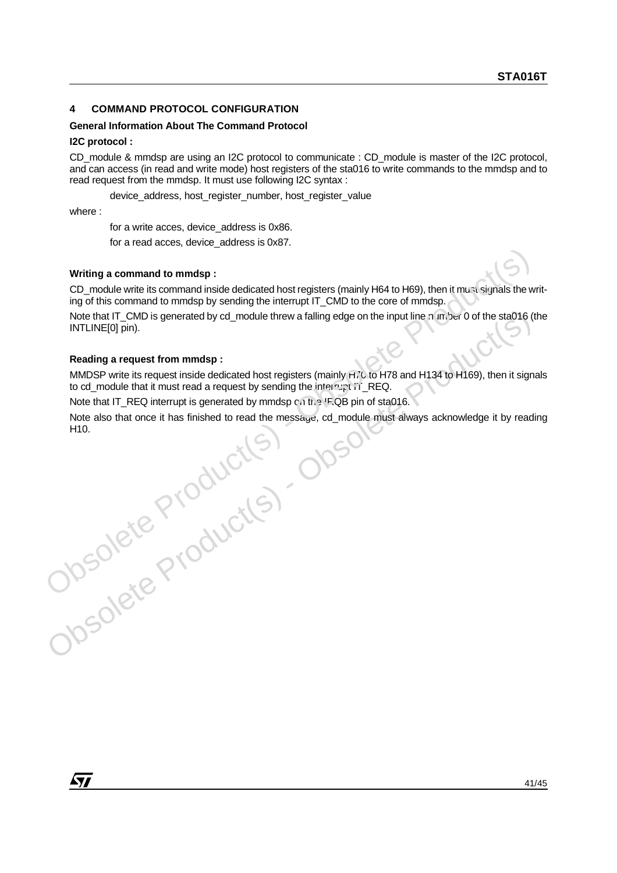## **4 COMMAND PROTOCOL CONFIGURATION**

#### **General Information About The Command Protocol**

#### **I2C protocol :**

CD\_module & mmdsp are using an I2C protocol to communicate : CD\_module is master of the I2C protocol, and can access (in read and write mode) host registers of the sta016 to write commands to the mmdsp and to read request from the mmdsp. It must use following I2C syntax :

device\_address, host\_register\_number, host\_register\_value

where :

for a write acces, device\_address is 0x86.

for a read acces, device\_address is 0x87.

#### **Writing a command to mmdsp :**

CD\_module write its command inside dedicated host registers (mainly H64 to H69), then it must signals the writing of this command to mmdsp by sending the interrupt IT\_CMD to the core of mmdsp.

Note that IT\_CMD is generated by cd\_module threw a falling edge on the input line number 0 of the sta016 (the INTLINE[0] pin).

#### **Reading a request from mmdsp :**

MMDSP write its request inside dedicated host registers (mainly  $H70$  to H78 and H134 to H169), then it signals to cd\_module that it must read a request by sending the interrupt IT\_REQ.

Note that IT\_REQ interrupt is generated by mmdsp  $c \wedge$  the IRQB pin of sta016.

Note that IT CMD is generated by od\_module threw a falling edge on the input line a imper 0 of the sta016 (the<br>
INTLINE[0] pin).<br>
Reading a request from mmdsp :<br>
MMDSP with the request inside dedicated host registers (main Note also that once it has finished to read the message, cd\_module must always acknowledge it by reading H10.Writing a command to mmdsp :<br>
CD\_module write its command inside dedicated host registers (mainly H64 to H69), then it must signals the vigor<br>
ing of this command to mmdsp by sending the interrupt IT\_CMD to the core of mm

*ky*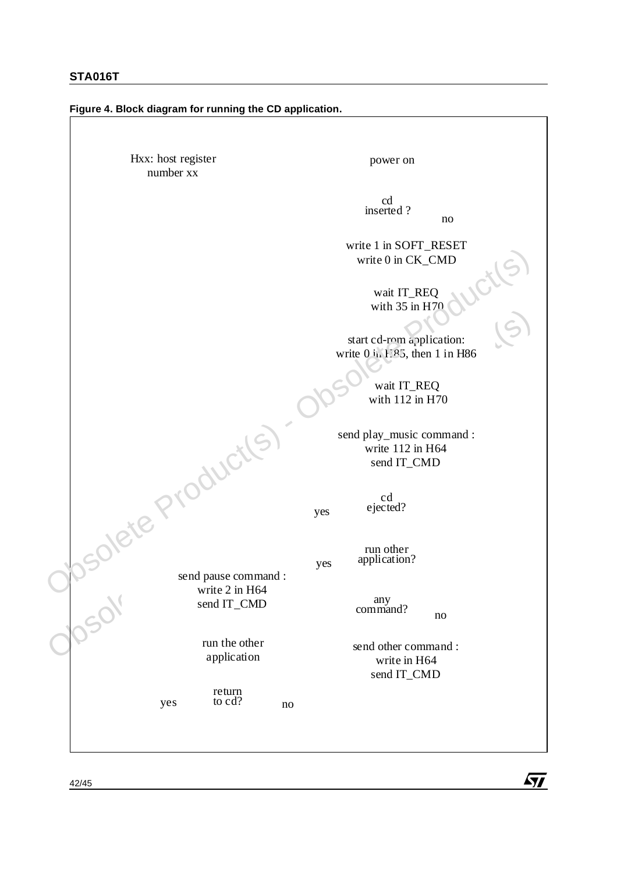#### **Figure 4. Block diagram for running the CD application.**

start ed-rom application:<br>
write 0 in FSS, then 1 in H86<br>
write 0 in FSS, then 1 in H86<br>
write 12 in H64<br>
write 112 in H64<br>
send play\_music command :<br>
write 112 in H64<br>
send IT\_CMD<br>
send play\_music command :<br>
write 2 in H power on  $\mathbf{r}$  and  $\mathbf{r}$  and  $\mathbf{r}$  and  $\mathbf{r}$  and  $\mathbf{r}$  and  $\mathbf{r}$  and  $\mathbf{r}$  $cd$ inserted ? no wait IT\_REQ with  $35$  in H70 start cd-rom application: write  $0$  in E<sup>85</sup>, then 1 in H86 send play\_music command : write 112 in H64 send IT\_CMD wait IT\_REQ with 112 in H70 any<br>command?  $\alpha$  $\mathbf{J}$  and  $\mathbf{J}$  and  $\mathbf{J}$  and  $\mathbf{J}$  and  $\mathbf{J}$  and  $\mathbf{J}$  and  $\mathbf{J}$  and  $\mathbf{J}$  and  $\mathbf{J}$  and  $\mathbf{J}$  and  $\mathbf{J}$  and  $\mathbf{J}$  and  $\mathbf{J}$  and  $\mathbf{J}$  and  $\mathbf{J}$  and  $\mathbf{J}$  and  $\mathbf{J}$  and cd ejected? run other s application? send IT\_CMD yes ejected?<br>
yes eigeted?<br>
yes application?<br>
any<br>
command?<br>
send other command :<br>
write in H64<br>
send IT\_CMD ed<br>
other<br>
aation?<br>
y<br>
mo<br>
ther command :<br>
rite in H64<br>
d IT\_CMD send pause command : write 2 in H64 send IT\_CMD  $5 \text{cm}$   $\text{cm}$   $\text{cm}$ run the other application the contract of the contract of the contract of the contract of the contract of the contract of the contract of no yes yes return yes to cd? no e i . . e other<br>cation<br>rn send other command : write in H64 Hxx: host register number xx write 1 in SOFT\_RESET write 0 in CK\_CMD with US and FREQ<br>
with  $35$  in H7 and FREQ<br>
with  $35$  in H7 and FREQ<br>
with  $112$  in H86<br>
with  $112$  in H64<br>
with  $112$  in H64<br>
with  $112$  in H64<br>
with  $112$  in H64<br>
with  $112$  in H64<br>
with  $112$  in H64<br>
with  $112$  in H64<br>



 $\frac{1}{2}$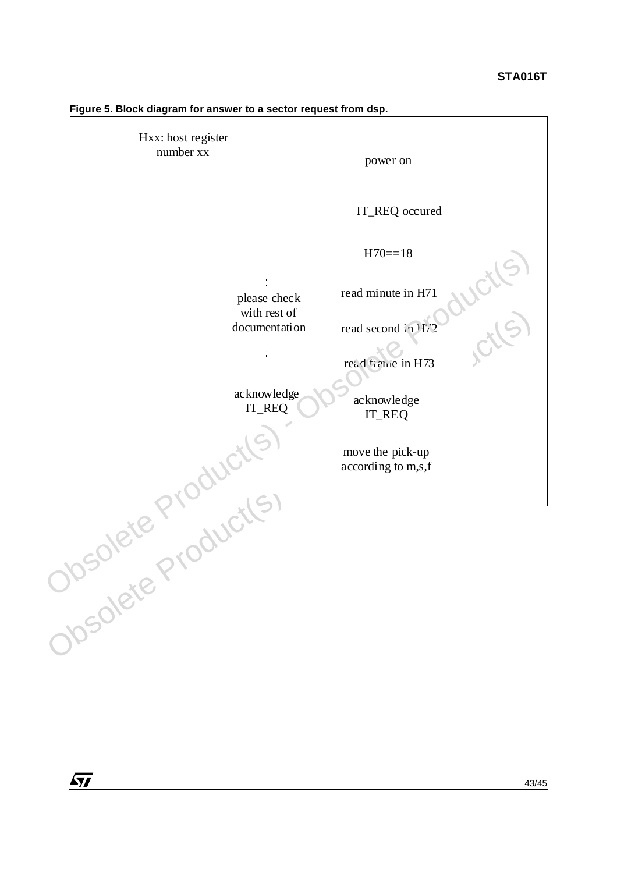

**Figure 5. Block diagram for answer to a sector request from dsp.** 

 $\sqrt{1}$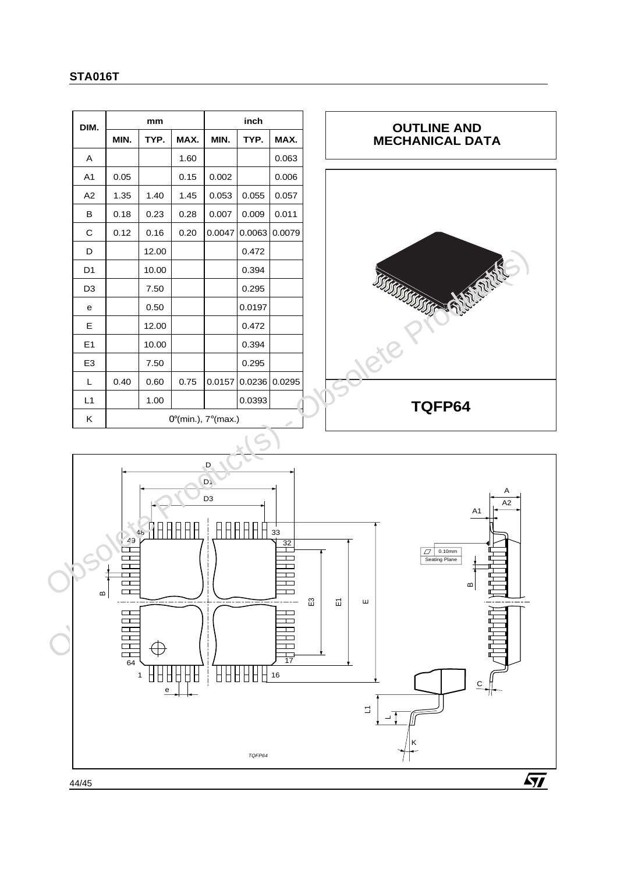| DIM.           | mm                                     |       | inch |        |        |        |
|----------------|----------------------------------------|-------|------|--------|--------|--------|
|                | MIN.                                   | TYP.  | MAX. | MIN.   | TYP.   | MAX.   |
| A              |                                        |       | 1.60 |        |        | 0.063  |
| A <sub>1</sub> | 0.05                                   |       | 0.15 | 0.002  |        | 0.006  |
| A2             | 1.35                                   | 1.40  | 1.45 | 0.053  | 0.055  | 0.057  |
| B              | 0.18                                   | 0.23  | 0.28 | 0.007  | 0.009  | 0.011  |
| C              | 0.12                                   | 0.16  | 0.20 | 0.0047 | 0.0063 | 0.0079 |
| D              |                                        | 12.00 |      |        | 0.472  |        |
| D <sub>1</sub> |                                        | 10.00 |      |        | 0.394  |        |
| D <sub>3</sub> |                                        | 7.50  |      |        | 0.295  |        |
| e              |                                        | 0.50  |      |        | 0.0197 |        |
| Е              |                                        | 12.00 |      |        | 0.472  |        |
| E1             |                                        | 10.00 |      |        | 0.394  |        |
| E <sub>3</sub> |                                        | 7.50  |      |        | 0.295  |        |
| L              | 0.40                                   | 0.60  | 0.75 | 0.0157 | 0.0236 | 0.0295 |
| L1             |                                        | 1.00  |      |        | 0.0393 |        |
| K              | $0^{\circ}$ (min.), $7^{\circ}$ (max.) |       |      |        |        |        |





44/45